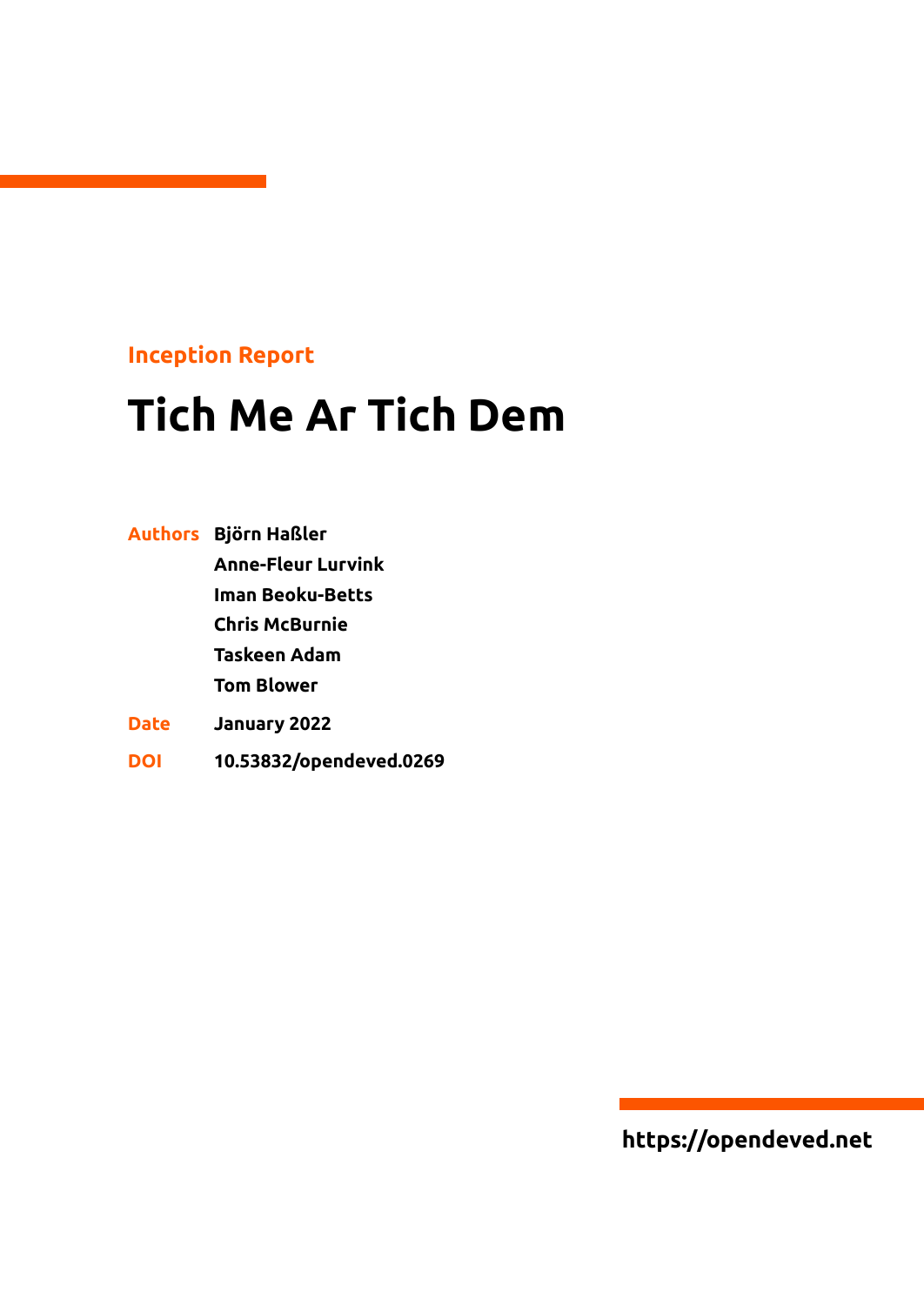## **Inception Report**

# **Tich Me Ar Tich Dem**

|             | Authors Björn Haßler      |
|-------------|---------------------------|
|             | <b>Anne-Fleur Lurvink</b> |
|             | Iman Beoku-Betts          |
|             | <b>Chris McBurnie</b>     |
|             | Taskeen Adam              |
|             | <b>Tom Blower</b>         |
| <b>Date</b> | January 2022              |
| DOI         | 10.53832/opendeved.0269   |

**https://opendeved.net**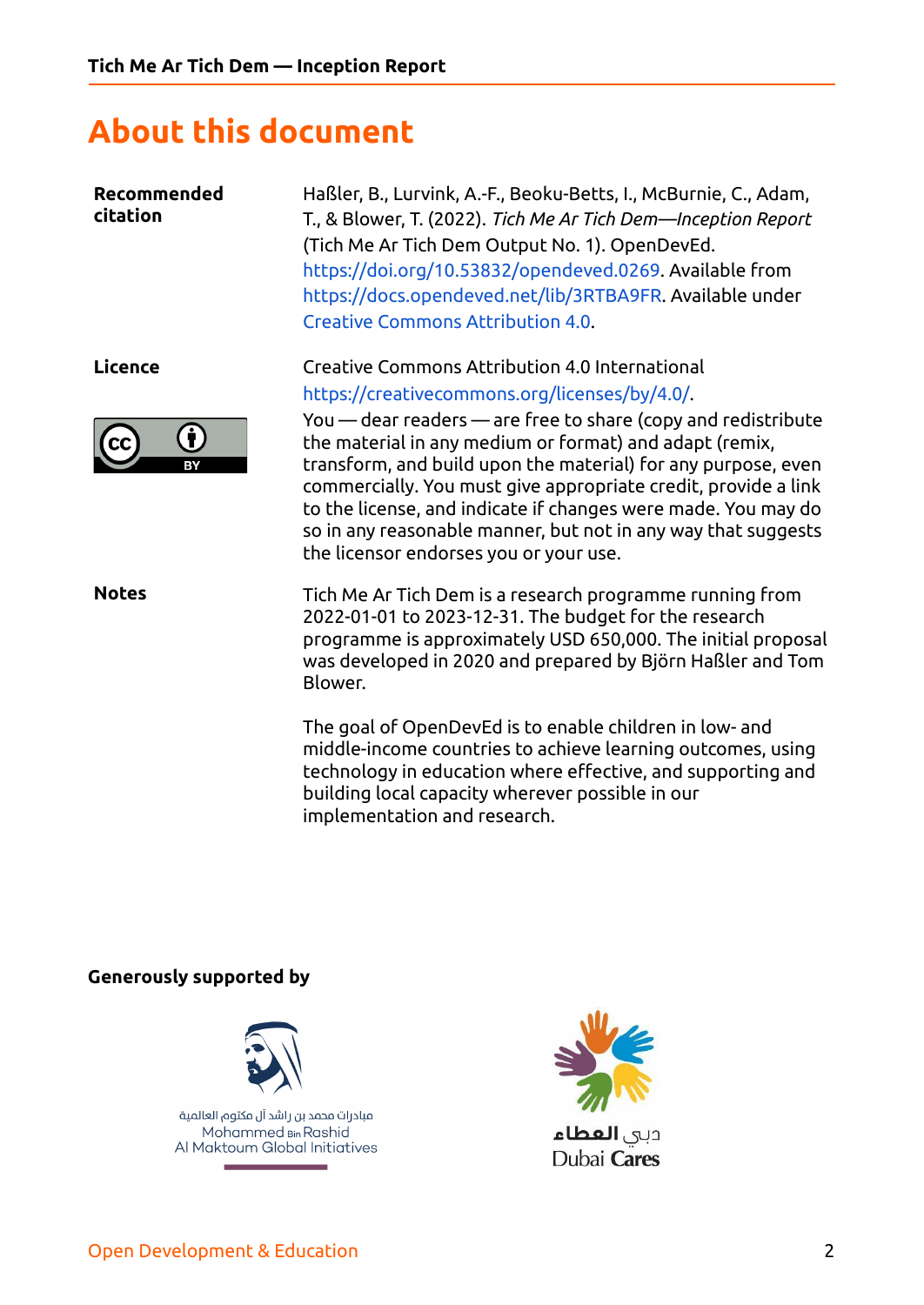# **About this document**

**Recommended** Haßler, B., Lurvink, A.-F., Beoku-Betts, I., McBurnie, C., Adam, **citation** T., & Blower, T. (2022). *Tich Me Ar Tich Dem—Inception Report* (Tich Me Ar Tich Dem Output No. 1). OpenDevEd. <https://doi.org/10.53832/opendeved.0269>. Available from [https://docs.opendeved.net/lib/3RTBA9FR.](https://docs.opendeved.net/lib/3RTBA9FR) Available under Creative Commons [Attribution](https://creativecommons.org/licenses/by/4.0/) 4.0. **Licence** Creative Commons Attribution 4.0 International [https://creativecommons.org/licenses/by/4.0/.](https://creativecommons.org/licenses/by/4.0/) You — dear readers — are free to share (copy and redistribute n) the material in any medium or format) and adapt (remix, transform, and build upon the material) for any purpose, even commercially. You must give appropriate credit, provide a link to the license, and indicate if changes were made. You may do so in any reasonable manner, but not in any way that suggests the licensor endorses you or your use. **Notes** Tich Me Ar Tich Dem is a research programme running from 2022-01-01 to 2023-12-31. The budget for the research programme is approximately USD 650,000. The initial proposal was developed in 2020 and prepared by Björn Haßler and Tom Blower. The goal of OpenDevEd is to enable children in low- and middle-income countries to achieve learning outcomes, using technology in education where effective, and supporting and building local capacity wherever possible in our

implementation and research.

#### **Generously supported by**



مبادرات محمد بن راشد آل مكتوم العالمية Mohammed Bin Rashid Al Maktoum Global Initiatives



Dubai Cares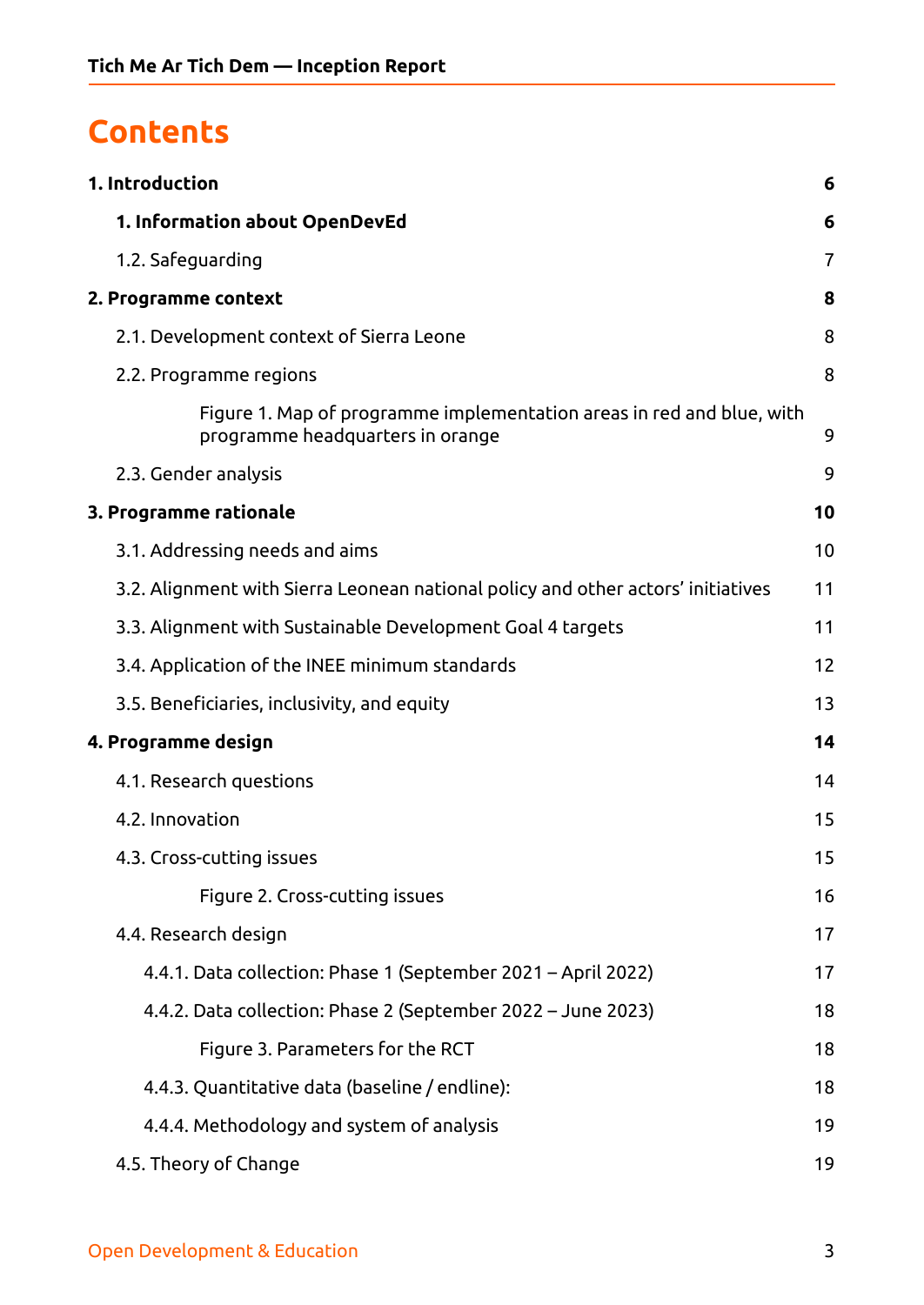# **Contents**

| 1. Introduction                                                                                           | 6  |
|-----------------------------------------------------------------------------------------------------------|----|
| 1. Information about OpenDevEd                                                                            | 6  |
| 1.2. Safeguarding                                                                                         | 7  |
| 2. Programme context                                                                                      | 8  |
| 2.1. Development context of Sierra Leone                                                                  | 8  |
| 2.2. Programme regions                                                                                    | 8  |
| Figure 1. Map of programme implementation areas in red and blue, with<br>programme headquarters in orange | 9  |
| 2.3. Gender analysis                                                                                      | 9  |
| 3. Programme rationale                                                                                    | 10 |
| 3.1. Addressing needs and aims                                                                            | 10 |
| 3.2. Alignment with Sierra Leonean national policy and other actors' initiatives                          | 11 |
| 3.3. Alignment with Sustainable Development Goal 4 targets                                                | 11 |
| 3.4. Application of the INEE minimum standards                                                            | 12 |
| 3.5. Beneficiaries, inclusivity, and equity                                                               | 13 |
| 4. Programme design                                                                                       | 14 |
| 4.1. Research questions                                                                                   | 14 |
| 4.2. Innovation                                                                                           | 15 |
| 4.3. Cross-cutting issues                                                                                 | 15 |
| Figure 2. Cross-cutting issues                                                                            | 16 |
| 4.4. Research design                                                                                      | 17 |
| 4.4.1. Data collection: Phase 1 (September 2021 - April 2022)                                             | 17 |
| 4.4.2. Data collection: Phase 2 (September 2022 – June 2023)                                              | 18 |
| Figure 3. Parameters for the RCT                                                                          | 18 |
| 4.4.3. Quantitative data (baseline / endline):                                                            | 18 |
| 4.4.4. Methodology and system of analysis                                                                 | 19 |
| 4.5. Theory of Change                                                                                     | 19 |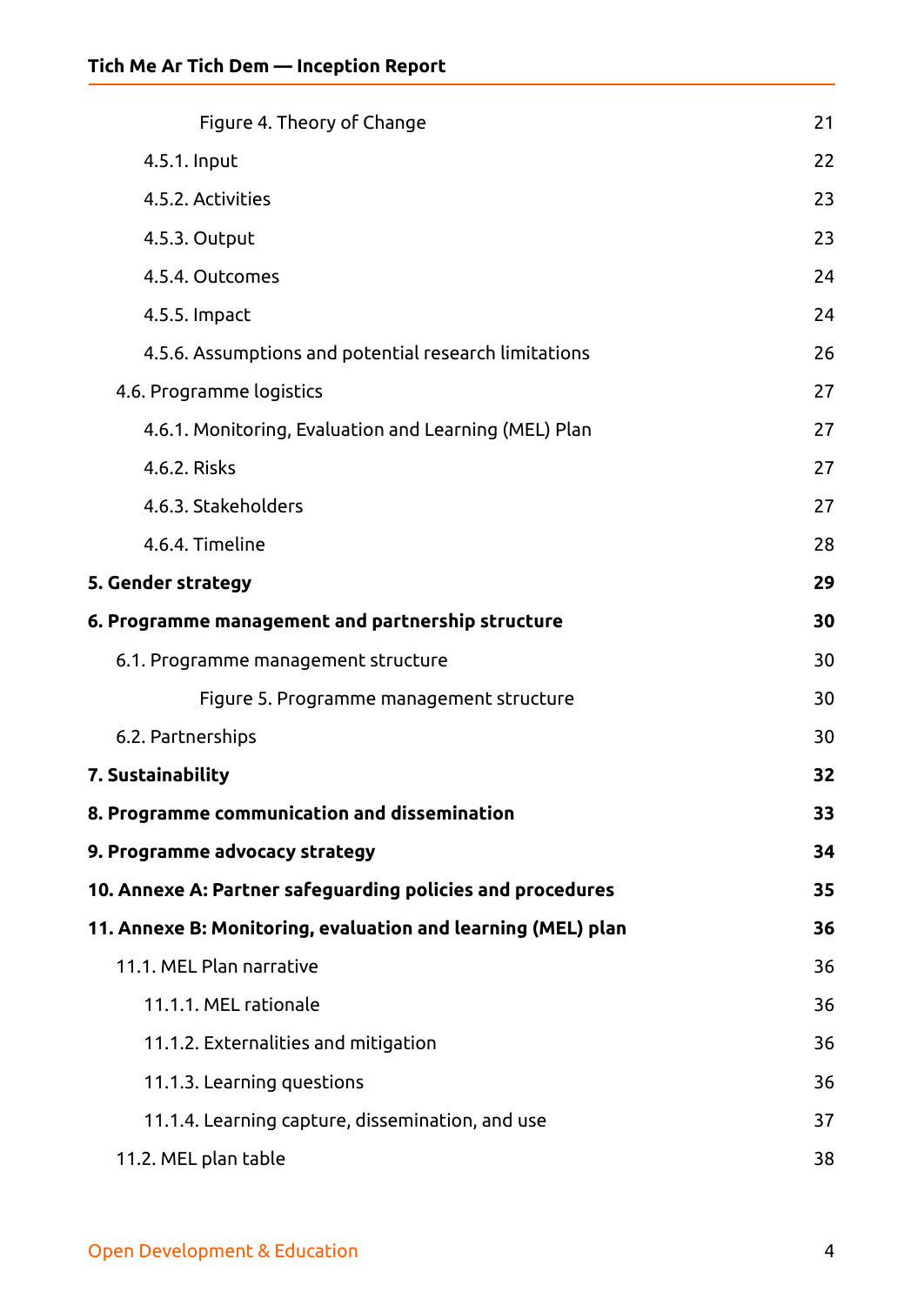| Figure 4. Theory of Change                                   | 21 |
|--------------------------------------------------------------|----|
| 4.5.1. Input                                                 | 22 |
| 4.5.2. Activities                                            | 23 |
| 4.5.3. Output                                                | 23 |
| 4.5.4. Outcomes                                              | 24 |
| 4.5.5. Impact                                                | 24 |
| 4.5.6. Assumptions and potential research limitations        | 26 |
| 4.6. Programme logistics                                     | 27 |
| 4.6.1. Monitoring, Evaluation and Learning (MEL) Plan        | 27 |
| 4.6.2. Risks                                                 | 27 |
| 4.6.3. Stakeholders                                          | 27 |
| 4.6.4. Timeline                                              | 28 |
| 5. Gender strategy                                           | 29 |
| 6. Programme management and partnership structure            | 30 |
| 6.1. Programme management structure                          | 30 |
| Figure 5. Programme management structure                     | 30 |
| 6.2. Partnerships                                            | 30 |
| 7. Sustainability                                            | 32 |
| 8. Programme communication and dissemination                 | 33 |
| 9. Programme advocacy strategy                               | 34 |
| 10. Annexe A: Partner safeguarding policies and procedures   | 35 |
| 11. Annexe B: Monitoring, evaluation and learning (MEL) plan | 36 |
| 11.1. MEL Plan narrative                                     | 36 |
| 11.1.1. MEL rationale                                        | 36 |
| 11.1.2. Externalities and mitigation                         | 36 |
| 11.1.3. Learning questions                                   | 36 |
| 11.1.4. Learning capture, dissemination, and use             | 37 |
| 11.2. MEL plan table                                         | 38 |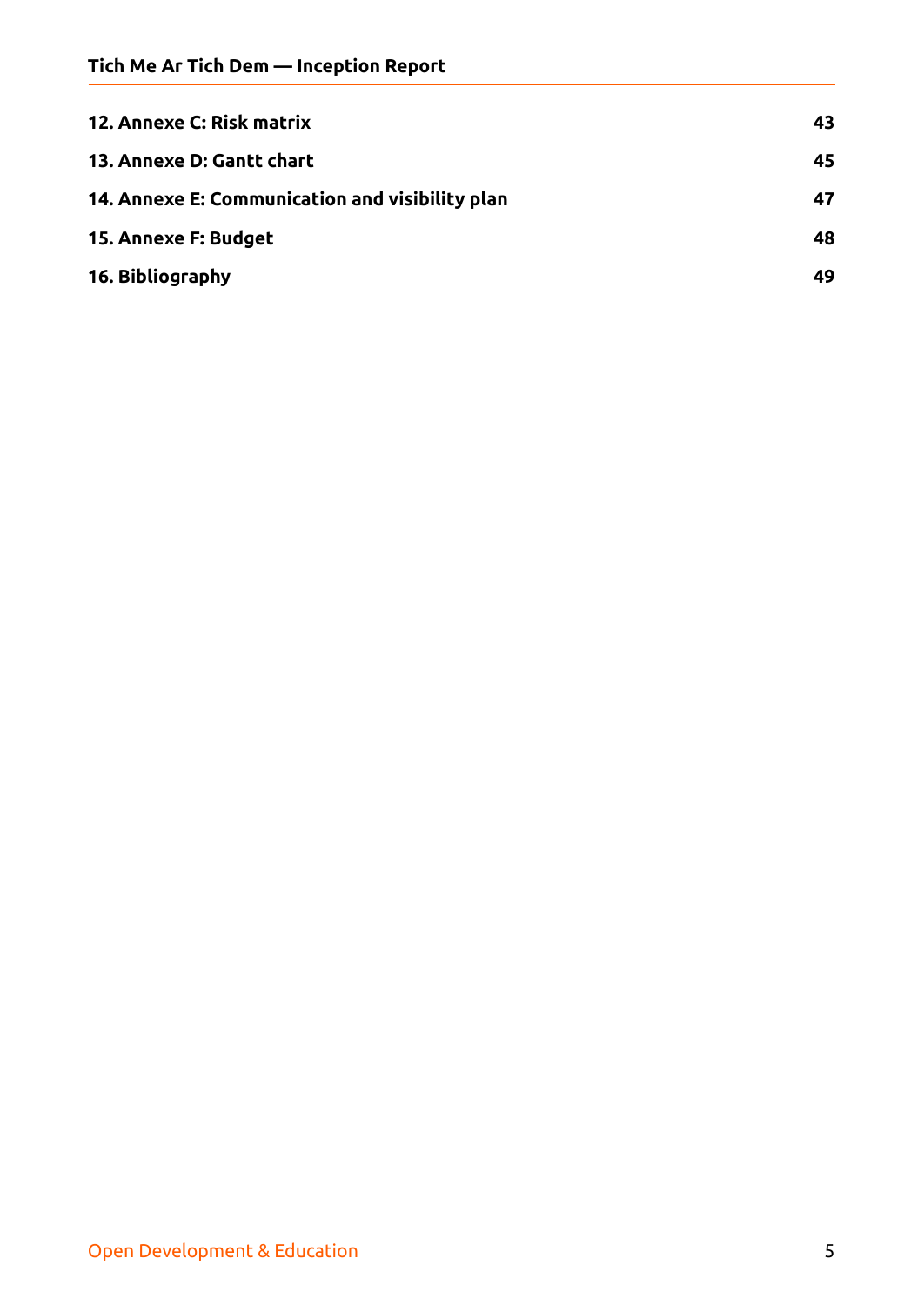| <b>12. Annexe C: Risk matrix</b>                | 43 |
|-------------------------------------------------|----|
| 13. Annexe D: Gantt chart                       | 45 |
| 14. Annexe E: Communication and visibility plan | 47 |
| 15. Annexe F: Budget                            | 48 |
| 16. Bibliography                                | 49 |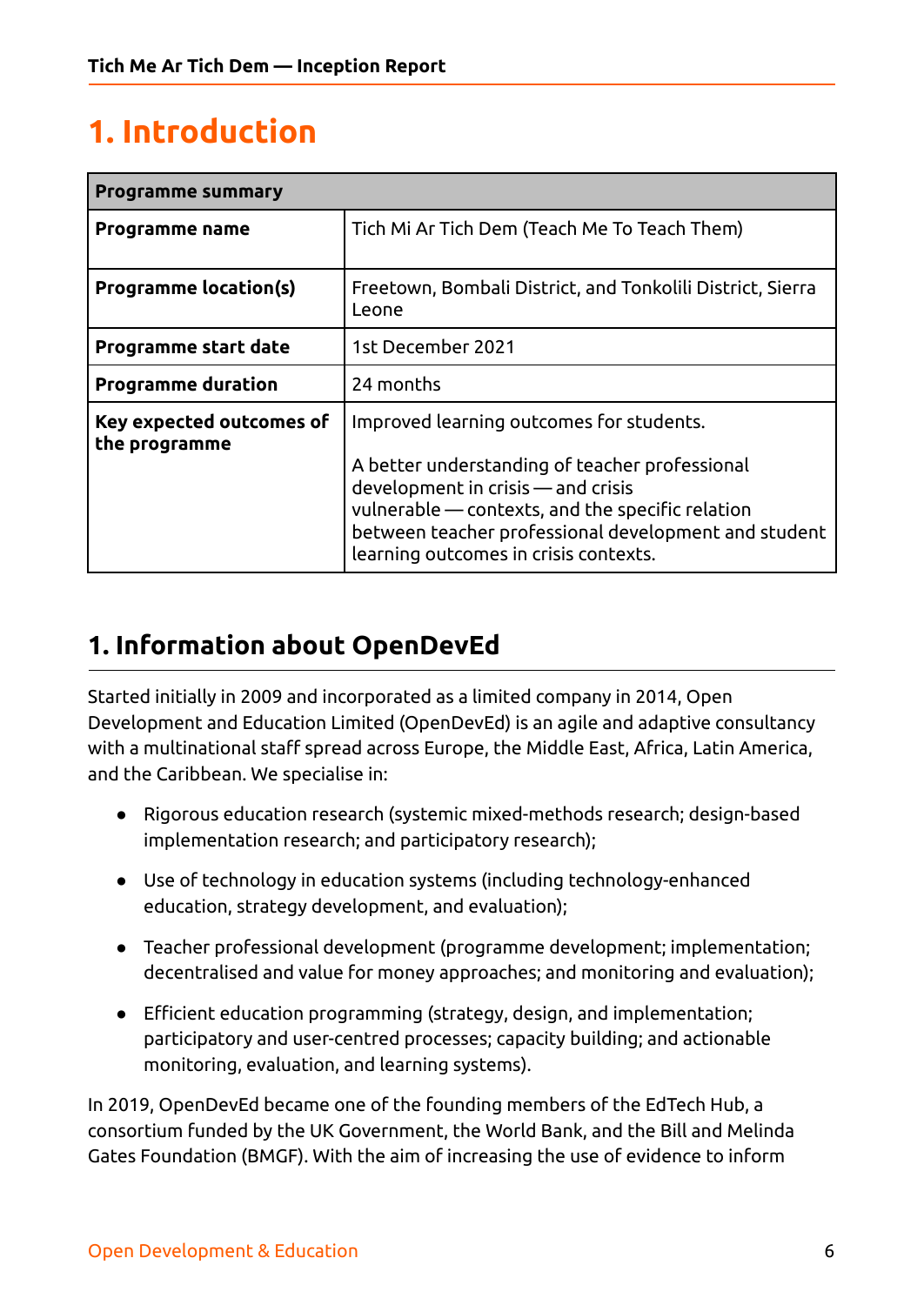# <span id="page-5-0"></span>**1. Introduction**

| <b>Programme summary</b>                  |                                                                                                                                                                                                                                                                                       |  |  |  |  |  |
|-------------------------------------------|---------------------------------------------------------------------------------------------------------------------------------------------------------------------------------------------------------------------------------------------------------------------------------------|--|--|--|--|--|
| Programme name                            | Tich Mi Ar Tich Dem (Teach Me To Teach Them)                                                                                                                                                                                                                                          |  |  |  |  |  |
| <b>Programme location(s)</b>              | Freetown, Bombali District, and Tonkolili District, Sierra<br>Leone                                                                                                                                                                                                                   |  |  |  |  |  |
| <b>Programme start date</b>               | 1st December 2021                                                                                                                                                                                                                                                                     |  |  |  |  |  |
| <b>Programme duration</b>                 | 24 months                                                                                                                                                                                                                                                                             |  |  |  |  |  |
| Key expected outcomes of<br>the programme | Improved learning outcomes for students.<br>A better understanding of teacher professional<br>development in crisis — and crisis<br>vulnerable — contexts, and the specific relation<br>between teacher professional development and student<br>learning outcomes in crisis contexts. |  |  |  |  |  |

## <span id="page-5-1"></span>**1. Information about OpenDevEd**

Started initially in 2009 and incorporated as a limited company in 2014, Open Development and Education Limited (OpenDevEd) is an agile and adaptive consultancy with a multinational staff spread across Europe, the Middle East, Africa, Latin America, and the Caribbean. We specialise in:

- Rigorous education research (systemic mixed-methods research; design-based implementation research; and participatory research);
- Use of technology in education systems (including technology-enhanced education, strategy development, and evaluation);
- Teacher professional development (programme development; implementation; decentralised and value for money approaches; and monitoring and evaluation);
- Efficient education programming (strategy, design, and implementation; participatory and user-centred processes; capacity building; and actionable monitoring, evaluation, and learning systems).

In 2019, OpenDevEd became one of the founding members of the EdTech Hub, a consortium funded by the UK Government, the World Bank, and the Bill and Melinda Gates Foundation (BMGF). With the aim of increasing the use of evidence to inform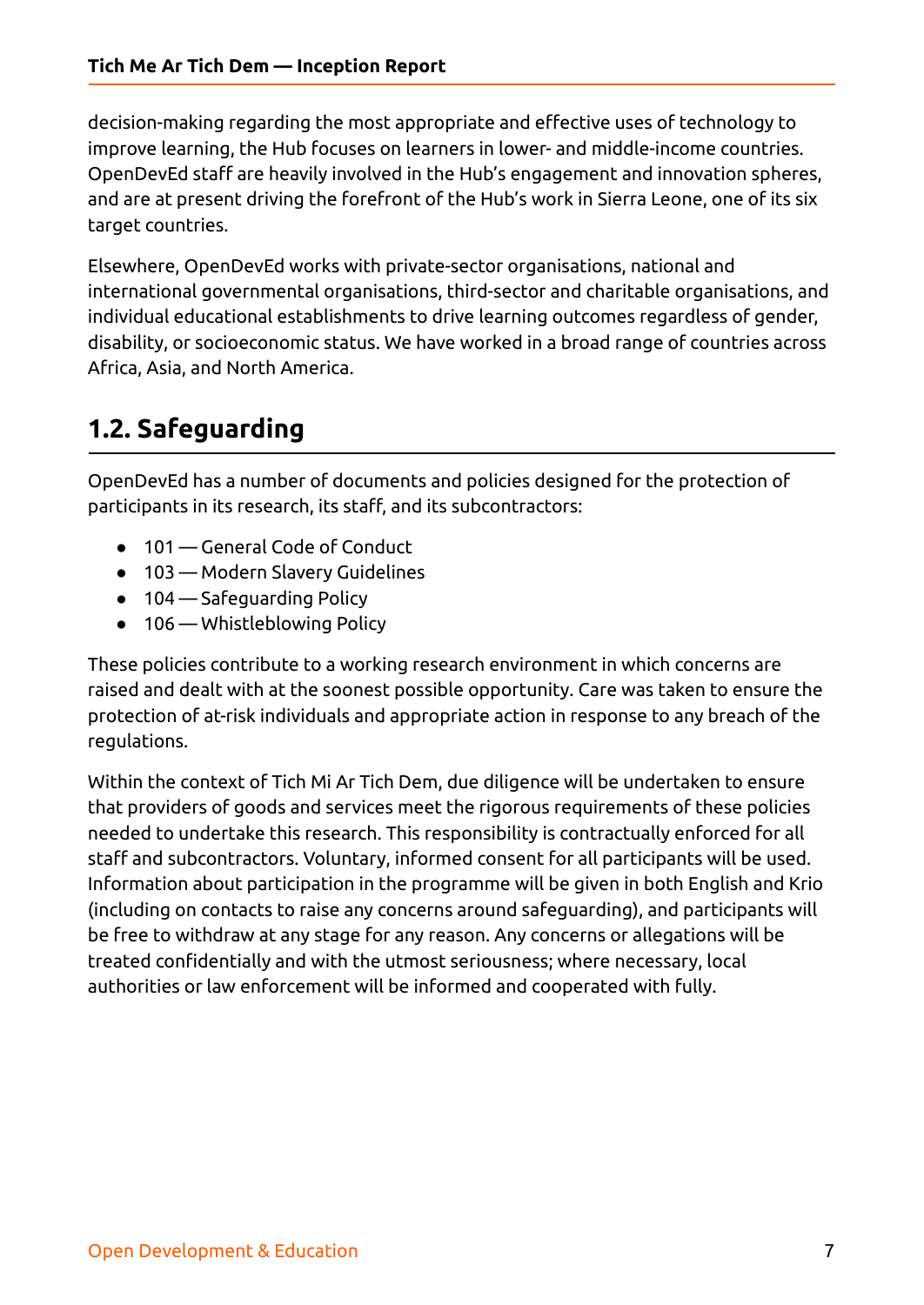decision-making regarding the most appropriate and effective uses of technology to improve learning, the Hub focuses on learners in lower- and middle-income countries. OpenDevEd staff are heavily involved in the Hub's engagement and innovation spheres, and are at present driving the forefront of the Hub's work in Sierra Leone, one of its six target countries.

Elsewhere, OpenDevEd works with private-sector organisations, national and international governmental organisations, third-sector and charitable organisations, and individual educational establishments to drive learning outcomes regardless of gender, disability, or socioeconomic status. We have worked in a broad range of countries across Africa, Asia, and North America.

# <span id="page-6-0"></span>**1.2. Safeguarding**

OpenDevEd has a number of documents and policies designed for the protection of participants in its research, its staff, and its subcontractors:

- 101 General Code of Conduct
- 103 Modern Slavery Guidelines
- 104 Safeguarding Policy
- 106 Whistleblowing Policy

These policies contribute to a working research environment in which concerns are raised and dealt with at the soonest possible opportunity. Care was taken to ensure the protection of at-risk individuals and appropriate action in response to any breach of the regulations.

Within the context of Tich Mi Ar Tich Dem, due diligence will be undertaken to ensure that providers of goods and services meet the rigorous requirements of these policies needed to undertake this research. This responsibility is contractually enforced for all staff and subcontractors. Voluntary, informed consent for all participants will be used. Information about participation in the programme will be given in both English and Krio (including on contacts to raise any concerns around safeguarding), and participants will be free to withdraw at any stage for any reason. Any concerns or allegations will be treated confidentially and with the utmost seriousness; where necessary, local authorities or law enforcement will be informed and cooperated with fully.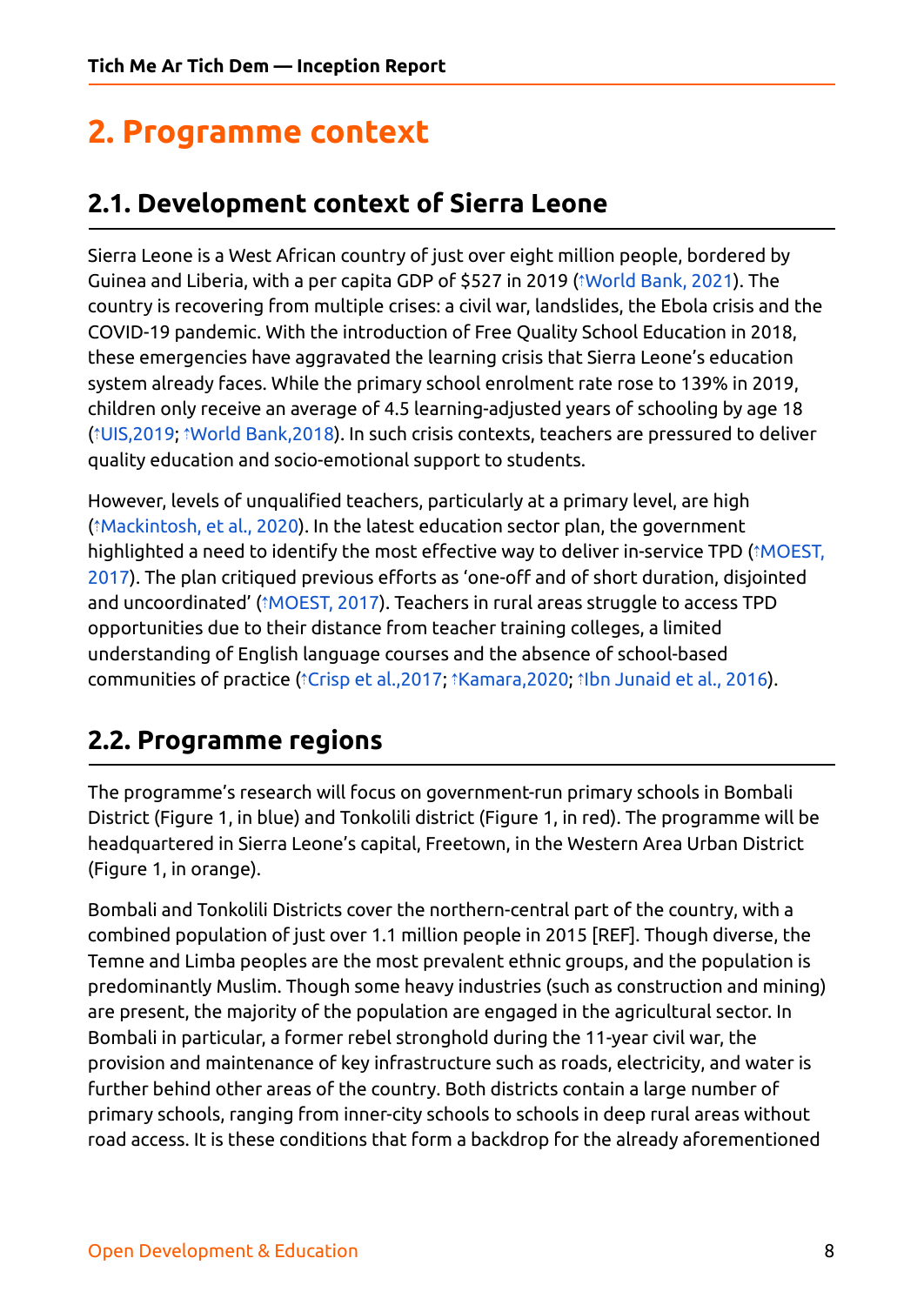# <span id="page-7-0"></span>**2. Programme context**

## <span id="page-7-1"></span>**2.1. Development context of Sierra Leone**

Sierra Leone is a West African country of just over eight million people, bordered by Guinea and Liberia, with a per capita GDP of \$527 in 2019 (⇡[World](https://ref.opendeved.net/zo/zg/2129771/7/C7JAZE66/World%20Bank,%202021?src=2129771:3RTBA9FR) Bank, 2021). The country is recovering from multiple crises: a civil war, landslides, the Ebola crisis and the COVID-19 pandemic. With the introduction of Free Quality School Education in 2018, these emergencies have aggravated the learning crisis that Sierra Leone's education system already faces. While the primary school enrolment rate rose to 139% in 2019, children only receive an average of 4.5 learning-adjusted years of schooling by age 18 (⇡[UIS,2019;](https://ref.opendeved.net/zo/zg/2129771/7/745JE8XZ/UIS,2019?src=2129771:3RTBA9FR) ⇡World [Bank,2018\)](https://ref.opendeved.net/zo/zg/2129771/7/V6N4LNEI/World%20Bank,2018?src=2129771:3RTBA9FR). In such crisis contexts, teachers are pressured to deliver quality education and socio-emotional support to students.

However, levels of unqualified teachers, particularly at a primary level, are high (⇡[Mackintosh,](https://ref.opendeved.net/zo/zg/2129771/7/NVEG4QQ7/Mackintosh,%20et%20al.,%202020?src=2129771:3RTBA9FR) et al., 2020). In the latest education sector plan, the government highlighted a need to identify the most effective way to deliver in-service TPD (*îMOEST*, [2017\)](https://ref.opendeved.net/zo/zg/2129771/7/L3KM6UKJ/MOEST,%202017?src=2129771:3RTBA9FR). The plan critiqued previous efforts as 'one-off and of short duration, disjointed and uncoordinated' (*<u>NOEST, 2017</u>)*. Teachers in rural areas struggle to access TPD opportunities due to their distance from teacher training colleges, a limited understanding of English language courses and the absence of school-based communities of practice (⇡Crisp et [al.,2017;](https://ref.opendeved.net/zo/zg/2129771/7/4ZWNMP4P/Crisp%20et%20al.,2017?src=2129771:3RTBA9FR) ⇡[Kamara,2020;](https://ref.opendeved.net/zo/zg/2129771/7/2SLNN2ZL/Kamara,2020?src=2129771:3RTBA9FR) ⇡Ibn [Junaid](https://ref.opendeved.net/zo/zg/2129771/7/AGCBZMKU/Ibn%20Junaid%20et%20al.,%202016?src=2129771:3RTBA9FR) et al., 2016).

## <span id="page-7-2"></span>**2.2. Programme regions**

The programme's research will focus on government-run primary schools in Bombali District (Figure 1, in blue) and Tonkolili district (Figure 1, in red). The programme will be headquartered in Sierra Leone's capital, Freetown, in the Western Area Urban District (Figure 1, in orange).

Bombali and Tonkolili Districts cover the northern-central part of the country, with a combined population of just over 1.1 million people in 2015 [REF]. Though diverse, the Temne and Limba peoples are the most prevalent ethnic groups, and the population is predominantly Muslim. Though some heavy industries (such as construction and mining) are present, the majority of the population are engaged in the agricultural sector. In Bombali in particular, a former rebel stronghold during the 11-year civil war, the provision and maintenance of key infrastructure such as roads, electricity, and water is further behind other areas of the country. Both districts contain a large number of primary schools, ranging from inner-city schools to schools in deep rural areas without road access. It is these conditions that form a backdrop for the already aforementioned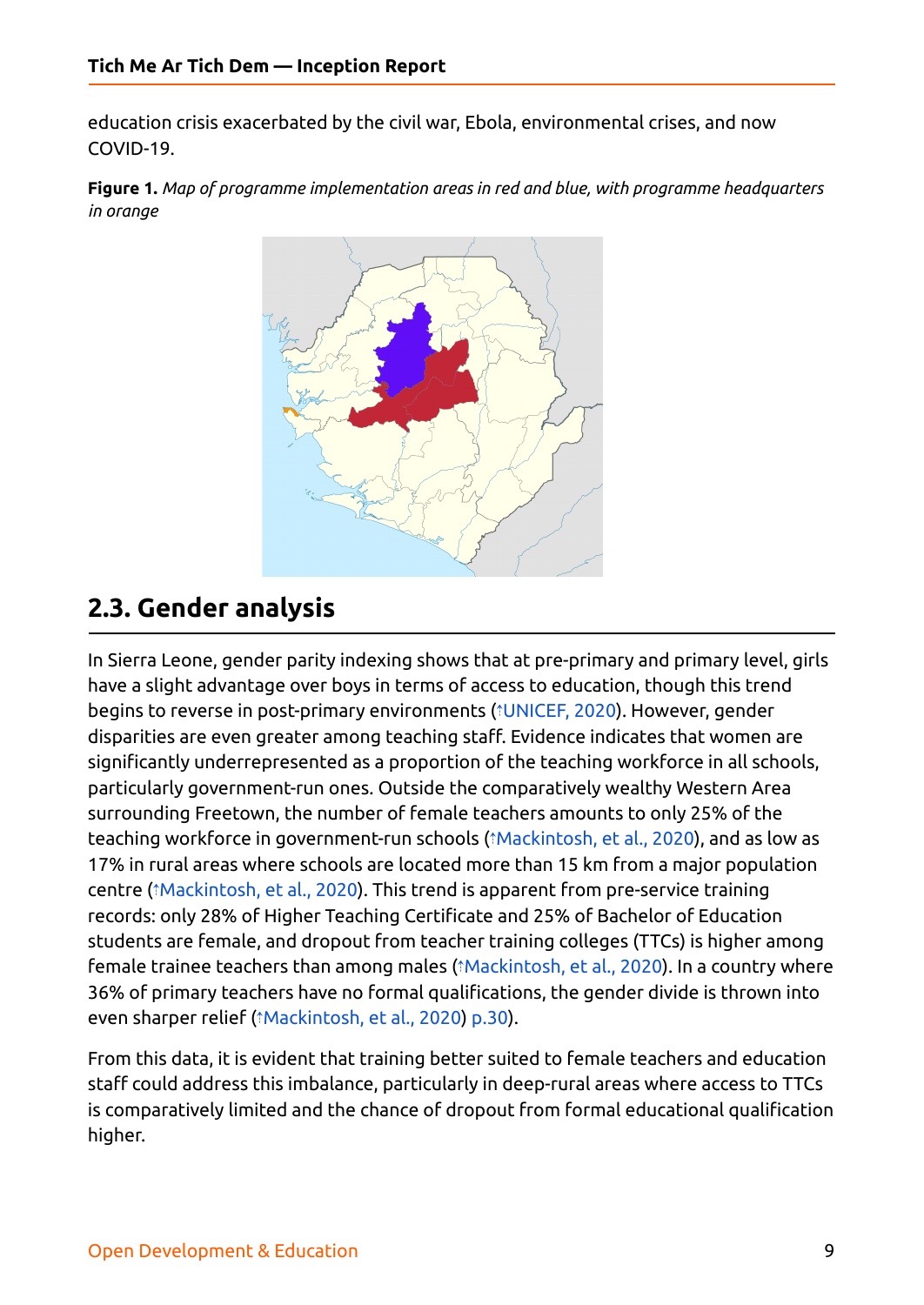education crisis exacerbated by the civil war, Ebola, environmental crises, and now COVID-19.

<span id="page-8-1"></span><span id="page-8-0"></span>**Figure 1.** *Map of programme implementation areas in red and blue, with programme headquarters in orange*



## **2.3. Gender analysis**

In Sierra Leone, gender parity indexing shows that at pre-primary and primary level, girls have a slight advantage over boys in terms of access to education, though this trend begins to reverse in post-primary environments (⇡[UNICEF,](https://ref.opendeved.net/zo/zg/2129771/7/F3TVHD2G/UNICEF,%202020?src=2129771:3RTBA9FR) 2020). However, gender disparities are even greater among teaching staff. Evidence indicates that women are significantly underrepresented as a proportion of the teaching workforce in all schools, particularly government-run ones. Outside the comparatively wealthy Western Area surrounding Freetown, the number of female teachers amounts to only 25% of the teaching workforce in government-run schools (⇡[Mackintosh,](https://ref.opendeved.net/zo/zg/2129771/7/NVEG4QQ7/Mackintosh,%20et%20al.,%202020?src=2129771:3RTBA9FR) et al., 2020), and as low as 17% in rural areas where schools are located more than 15 km from a major population centre (⇡[Mackintosh,](https://ref.opendeved.net/zo/zg/2129771/7/KY2Y4AEB/Mackintosh,%20et%20al.,%202020?src=2129771:3RTBA9FR) et al., 2020). This trend is apparent from pre-service training records: only 28% of Higher Teaching Certificate and 25% of Bachelor of Education students are female, and dropout from teacher training colleges (TTCs) is higher among female trainee teachers than among males (⇡[Mackintosh,](https://ref.opendeved.net/zo/zg/2129771/7/KY2Y4AEB/Mackintosh,%20et%20al.,%202020?src=2129771:3RTBA9FR) et al., 2020). In a country where 36% of primary teachers have no formal qualifications, the gender divide is thrown into even sharper relief (⇡[Mackintosh,](https://ref.opendeved.net/zo/zg/2129771/7/NVEG4QQ7/Mackintosh,%20et%20al.,%202020?src=2129771:3RTBA9FR) et al., 2020) [p.30\)](https://ref.opendeved.net/zo/zg/2129771/7/NVEG4QQ7/ibid.,%20p.30?src=2129771:3RTBA9FR).

From this data, it is evident that training better suited to female teachers and education staff could address this imbalance, particularly in deep-rural areas where access to TTCs is comparatively limited and the chance of dropout from formal educational qualification higher.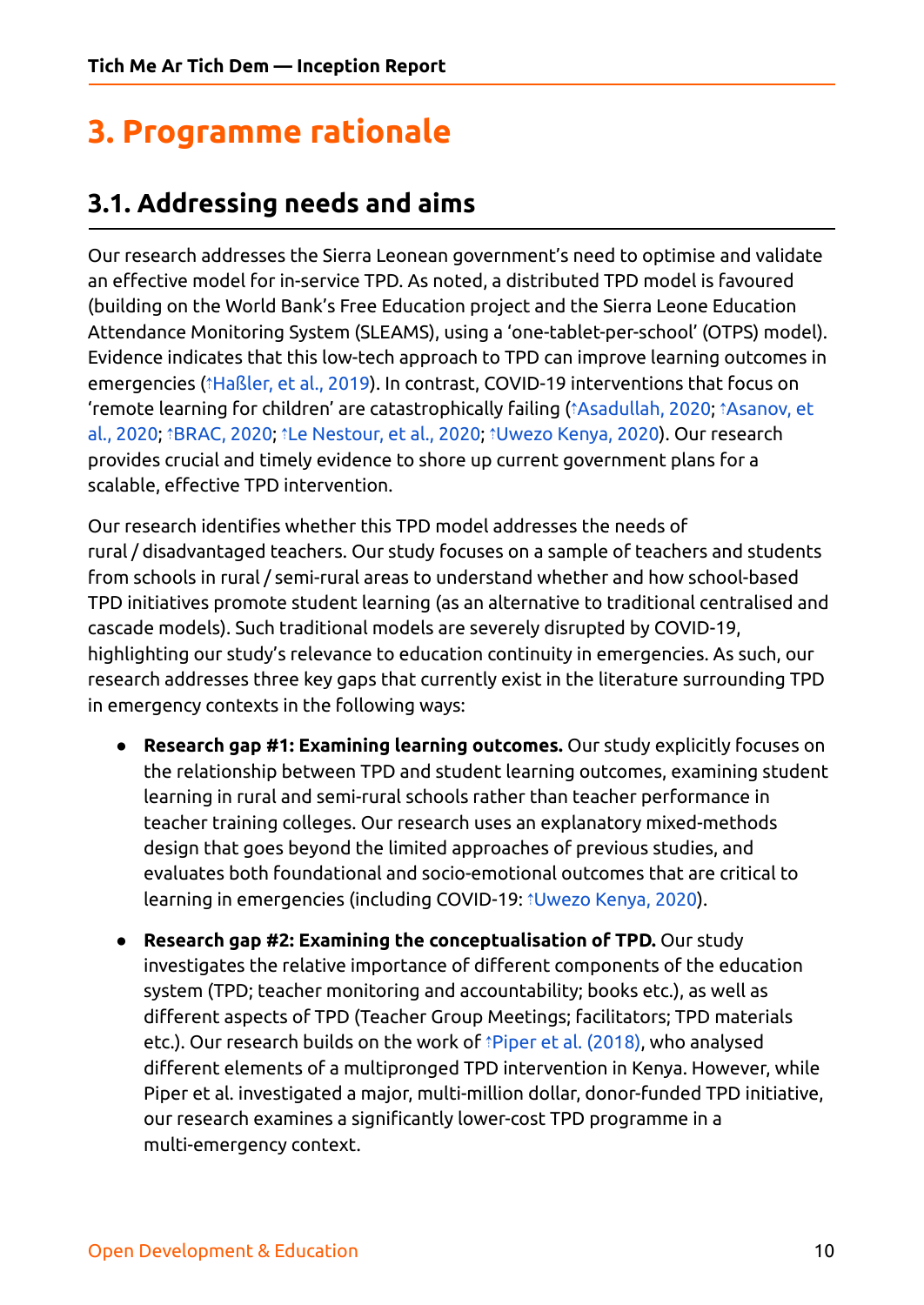# <span id="page-9-0"></span>**3. Programme rationale**

### <span id="page-9-1"></span>**3.1. Addressing needs and aims**

Our research addresses the Sierra Leonean government's need to optimise and validate an effective model for in-service TPD. As noted, a distributed TPD model is favoured (building on the World Bank's Free Education project and the Sierra Leone Education Attendance Monitoring System (SLEAMS), using a 'one-tablet-per-school' (OTPS) model). Evidence indicates that this low-tech approach to TPD can improve learning outcomes in emergencies (⇡[Haßler,](https://ref.opendeved.net/zo/zg/2129771/7/SC8FTPC4/Ha%C3%9Fler,%20et%20al.,%202019?src=2129771:3RTBA9FR) et al., 2019). In contrast, COVID-19 interventions that focus on 'remote learning for children' are catastrophically failing (⇡[Asadullah,](https://ref.opendeved.net/zo/zg/2129771/7/DL2YWCN7/Asadullah,%202020?src=2129771:3RTBA9FR) 2020; ⇡[Asanov,](https://ref.opendeved.net/zo/zg/2129771/7/SZ37A924/Asanov,%20et%20al.,%202020?src=2129771:3RTBA9FR) et al., [2020;](https://ref.opendeved.net/zo/zg/2129771/7/SZ37A924/Asanov,%20et%20al.,%202020?src=2129771:3RTBA9FR) ⇡[BRAC,](https://ref.opendeved.net/zo/zg/2129771/7/DQK5I79P/BRAC,%202020?src=2129771:3RTBA9FR) 2020; ⇡Le [Nestour,](https://ref.opendeved.net/zo/zg/2129771/7/EC2R6KUT/Le%20Nestour,%20et%20al.,%202020?src=2129771:3RTBA9FR) et al., 2020; ⇡[Uwezo](https://ref.opendeved.net/zo/zg/2129771/7/LRBK4LWS/Uwezo%20Kenya,%202020?src=2129771:3RTBA9FR) Kenya, 2020). Our research provides crucial and timely evidence to shore up current government plans for a scalable, effective TPD intervention.

Our research identifies whether this TPD model addresses the needs of rural / disadvantaged teachers. Our study focuses on a sample of teachers and students from schools in rural / semi-rural areas to understand whether and how school-based TPD initiatives promote student learning (as an alternative to traditional centralised and cascade models). Such traditional models are severely disrupted by COVID-19, highlighting our study's relevance to education continuity in emergencies. As such, our research addresses three key gaps that currently exist in the literature surrounding TPD in emergency contexts in the following ways:

- **Research gap #1: Examining learning outcomes.** Our study explicitly focuses on the relationship between TPD and student learning outcomes, examining student learning in rural and semi-rural schools rather than teacher performance in teacher training colleges. Our research uses an explanatory mixed-methods design that goes beyond the limited approaches of previous studies, and evaluates both foundational and socio-emotional outcomes that are critical to learning in emergencies (including COVID-19: ⇡[Uwezo](https://ref.opendeved.net/zo/zg/2129771/7/LRBK4LWS/Uwezo%20Kenya,%202020?src=2129771:3RTBA9FR) Kenya, 2020).
- **Research gap #2: Examining the conceptualisation of TPD.** Our study investigates the relative importance of different components of the education system (TPD; teacher monitoring and accountability; books etc.), as well as different aspects of TPD (Teacher Group Meetings; facilitators; TPD materials etc.). Our research builds on the work of *¡Piper et al. [\(2018\)](https://ref.opendeved.net/zo/zg/2129771/7/3IIW96ZB/Piper%20et%20al.%20(2018)?src=2129771:3RTBA9FR)*, who analysed different elements of a multipronged TPD intervention in Kenya. However, while Piper et al. investigated a major, multi-million dollar, donor-funded TPD initiative, our research examines a significantly lower-cost TPD programme in a multi-emergency context.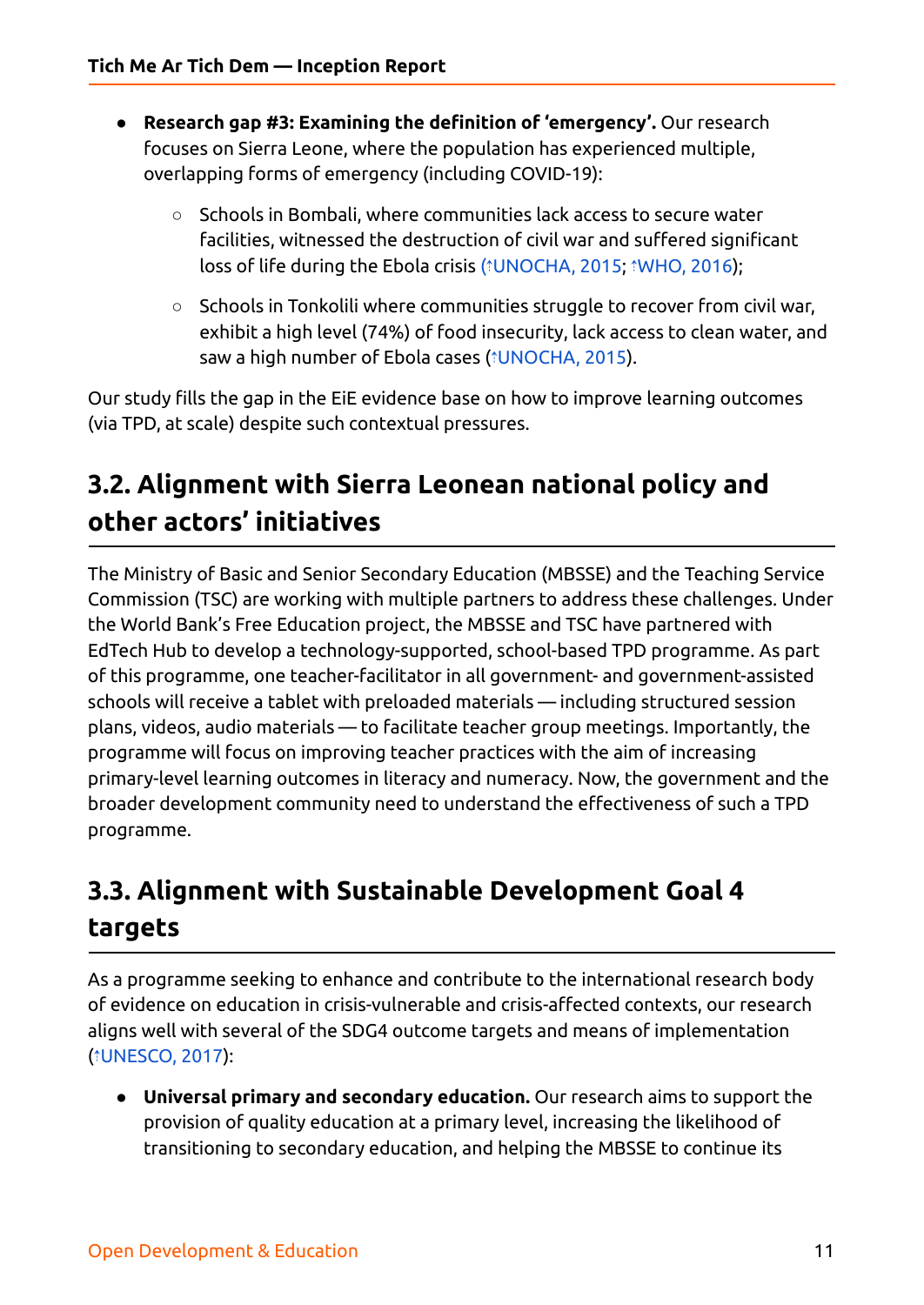- **Research gap #3: Examining the definition of 'emergency'.** Our research focuses on Sierra Leone, where the population has experienced multiple, overlapping forms of emergency (including COVID-19):
	- Schools in Bombali, where communities lack access to secure water facilities, witnessed the destruction of civil war and suffered significant loss of life during the Ebola crisis (⇡[UNOCHA,](https://ref.opendeved.net/zo/zg/2129771/7/AIKESIRX/UNOCHA,%202015?src=2129771:3RTBA9FR) 2015; ⇡[WHO,](https://ref.opendeved.net/zo/zg/2129771/7/V76BPIA7/WHO,%202016?src=2129771:3RTBA9FR) 2016);
	- Schools in Tonkolili where communities struggle to recover from civil war, exhibit a high level (74%) of food insecurity, lack access to clean water, and saw a high number of Ebola cases (⇡[UNOCHA,](https://ref.opendeved.net/zo/zg/2129771/7/B9W6JXTW/UNOCHA,%202015?src=2129771:3RTBA9FR) 2015).

Our study fills the gap in the EiE evidence base on how to improve learning outcomes (via TPD, at scale) despite such contextual pressures.

# <span id="page-10-0"></span>**3.2. Alignment with Sierra Leonean national policy and other actors' initiatives**

The Ministry of Basic and Senior Secondary Education (MBSSE) and the Teaching Service Commission (TSC) are working with multiple partners to address these challenges. Under the World Bank's Free Education project, the MBSSE and TSC have partnered with EdTech Hub to develop a technology-supported, school-based TPD programme. As part of this programme, one teacher-facilitator in all government- and government-assisted schools will receive a tablet with preloaded materials — including structured session plans, videos, audio materials — to facilitate teacher group meetings. Importantly, the programme will focus on improving teacher practices with the aim of increasing primary-level learning outcomes in literacy and numeracy. Now, the government and the broader development community need to understand the effectiveness of such a TPD programme.

# <span id="page-10-1"></span>**3.3. Alignment with Sustainable Development Goal 4 targets**

As a programme seeking to enhance and contribute to the international research body of evidence on education in crisis-vulnerable and crisis-affected contexts, our research aligns well with several of the SDG4 outcome targets and means of implementation (⇡[UNESCO,](https://ref.opendeved.net/zo/zg/2129771/7/922GAFMZ/UNESCO,%202017?src=2129771:3RTBA9FR) 2017):

● **Universal primary and secondary education.** Our research aims to support the provision of quality education at a primary level, increasing the likelihood of transitioning to secondary education, and helping the MBSSE to continue its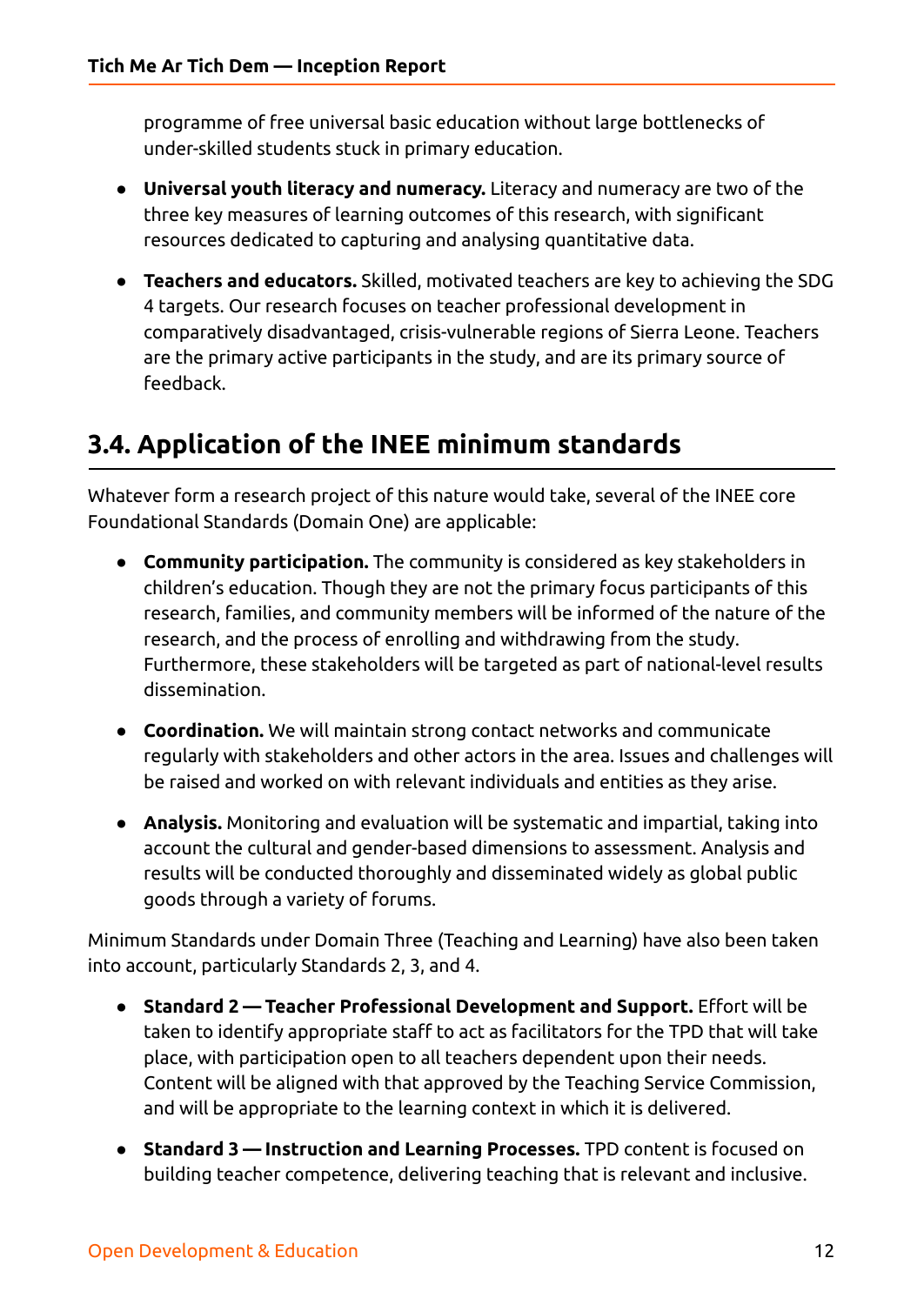programme of free universal basic education without large bottlenecks of under-skilled students stuck in primary education.

- **Universal youth literacy and numeracy.** Literacy and numeracy are two of the three key measures of learning outcomes of this research, with significant resources dedicated to capturing and analysing quantitative data.
- **Teachers and educators.** Skilled, motivated teachers are key to achieving the SDG 4 targets. Our research focuses on teacher professional development in comparatively disadvantaged, crisis-vulnerable regions of Sierra Leone. Teachers are the primary active participants in the study, and are its primary source of feedback.

## <span id="page-11-0"></span>**3.4. Application of the INEE minimum standards**

Whatever form a research project of this nature would take, several of the INEE core Foundational Standards (Domain One) are applicable:

- **Community participation.** The community is considered as key stakeholders in children's education. Though they are not the primary focus participants of this research, families, and community members will be informed of the nature of the research, and the process of enrolling and withdrawing from the study. Furthermore, these stakeholders will be targeted as part of national-level results dissemination.
- **Coordination.** We will maintain strong contact networks and communicate regularly with stakeholders and other actors in the area. Issues and challenges will be raised and worked on with relevant individuals and entities as they arise.
- **Analysis.** Monitoring and evaluation will be systematic and impartial, taking into account the cultural and gender-based dimensions to assessment. Analysis and results will be conducted thoroughly and disseminated widely as global public goods through a variety of forums.

Minimum Standards under Domain Three (Teaching and Learning) have also been taken into account, particularly Standards 2, 3, and 4.

- **Standard 2 — Teacher Professional Development and Support.** Effort will be taken to identify appropriate staff to act as facilitators for the TPD that will take place, with participation open to all teachers dependent upon their needs. Content will be aligned with that approved by the Teaching Service Commission, and will be appropriate to the learning context in which it is delivered.
- **Standard 3 — Instruction and Learning Processes.** TPD content is focused on building teacher competence, delivering teaching that is relevant and inclusive.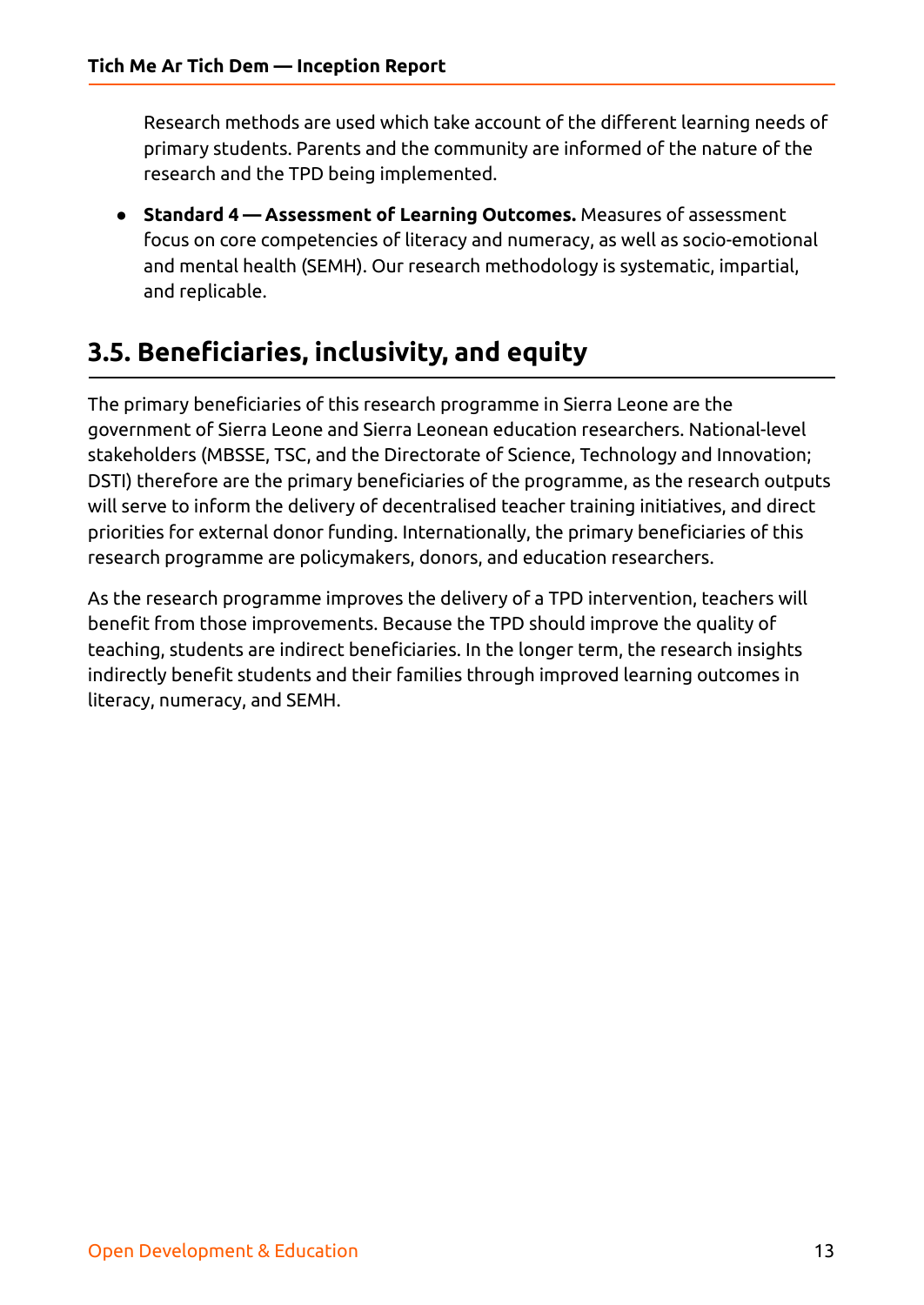Research methods are used which take account of the different learning needs of primary students. Parents and the community are informed of the nature of the research and the TPD being implemented.

● **Standard 4 — Assessment of Learning Outcomes.** Measures of assessment focus on core competencies of literacy and numeracy, as well as socio-emotional and mental health (SEMH). Our research methodology is systematic, impartial, and replicable.

## <span id="page-12-0"></span>**3.5. Beneficiaries, inclusivity, and equity**

The primary beneficiaries of this research programme in Sierra Leone are the government of Sierra Leone and Sierra Leonean education researchers. National-level stakeholders (MBSSE, TSC, and the Directorate of Science, Technology and Innovation; DSTI) therefore are the primary beneficiaries of the programme, as the research outputs will serve to inform the delivery of decentralised teacher training initiatives, and direct priorities for external donor funding. Internationally, the primary beneficiaries of this research programme are policymakers, donors, and education researchers.

As the research programme improves the delivery of a TPD intervention, teachers will benefit from those improvements. Because the TPD should improve the quality of teaching, students are indirect beneficiaries. In the longer term, the research insights indirectly benefit students and their families through improved learning outcomes in literacy, numeracy, and SEMH.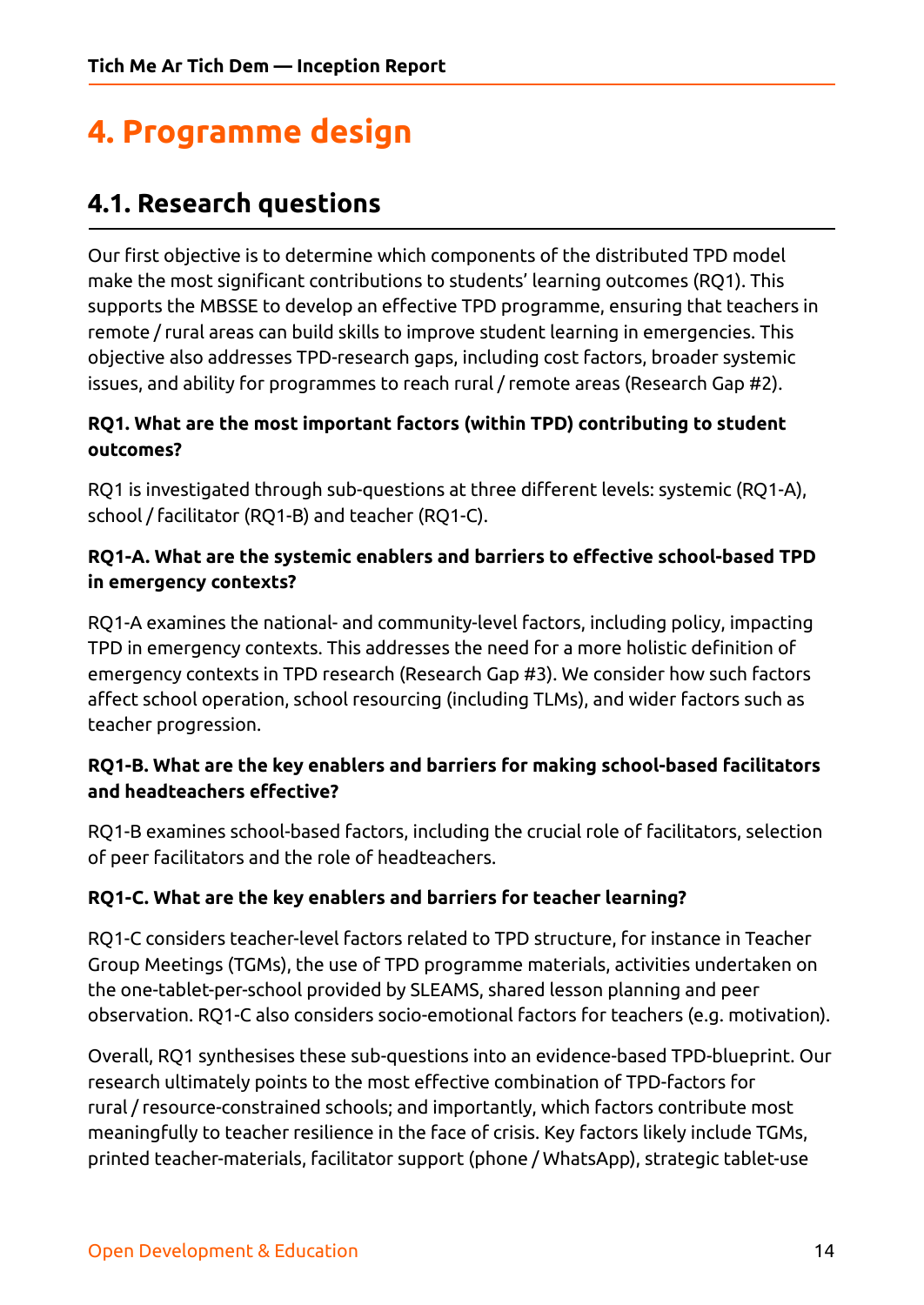# <span id="page-13-0"></span>**4. Programme design**

## <span id="page-13-1"></span>**4.1. Research questions**

Our first objective is to determine which components of the distributed TPD model make the most significant contributions to students' learning outcomes (RQ1). This supports the MBSSE to develop an effective TPD programme, ensuring that teachers in remote / rural areas can build skills to improve student learning in emergencies. This objective also addresses TPD-research gaps, including cost factors, broader systemic issues, and ability for programmes to reach rural / remote areas (Research Gap #2).

#### **RQ1. What are the most important factors (within TPD) contributing to student outcomes?**

RQ1 is investigated through sub-questions at three different levels: systemic (RQ1-A), school / facilitator (RQ1-B) and teacher (RQ1-C).

#### **RQ1-A. What are the systemic enablers and barriers to effective school-based TPD in emergency contexts?**

RQ1-A examines the national- and community-level factors, including policy, impacting TPD in emergency contexts. This addresses the need for a more holistic definition of emergency contexts in TPD research (Research Gap #3). We consider how such factors affect school operation, school resourcing (including TLMs), and wider factors such as teacher progression.

#### **RQ1-B. What are the key enablers and barriers for making school-based facilitators and headteachers effective?**

RQ1-B examines school-based factors, including the crucial role of facilitators, selection of peer facilitators and the role of headteachers.

#### **RQ1-C. What are the key enablers and barriers for teacher learning?**

RQ1-C considers teacher-level factors related to TPD structure, for instance in Teacher Group Meetings (TGMs), the use of TPD programme materials, activities undertaken on the one-tablet-per-school provided by SLEAMS, shared lesson planning and peer observation. RQ1-C also considers socio-emotional factors for teachers (e.g. motivation).

Overall, RQ1 synthesises these sub-questions into an evidence-based TPD-blueprint. Our research ultimately points to the most effective combination of TPD-factors for rural / resource-constrained schools; and importantly, which factors contribute most meaningfully to teacher resilience in the face of crisis. Key factors likely include TGMs, printed teacher-materials, facilitator support (phone / WhatsApp), strategic tablet-use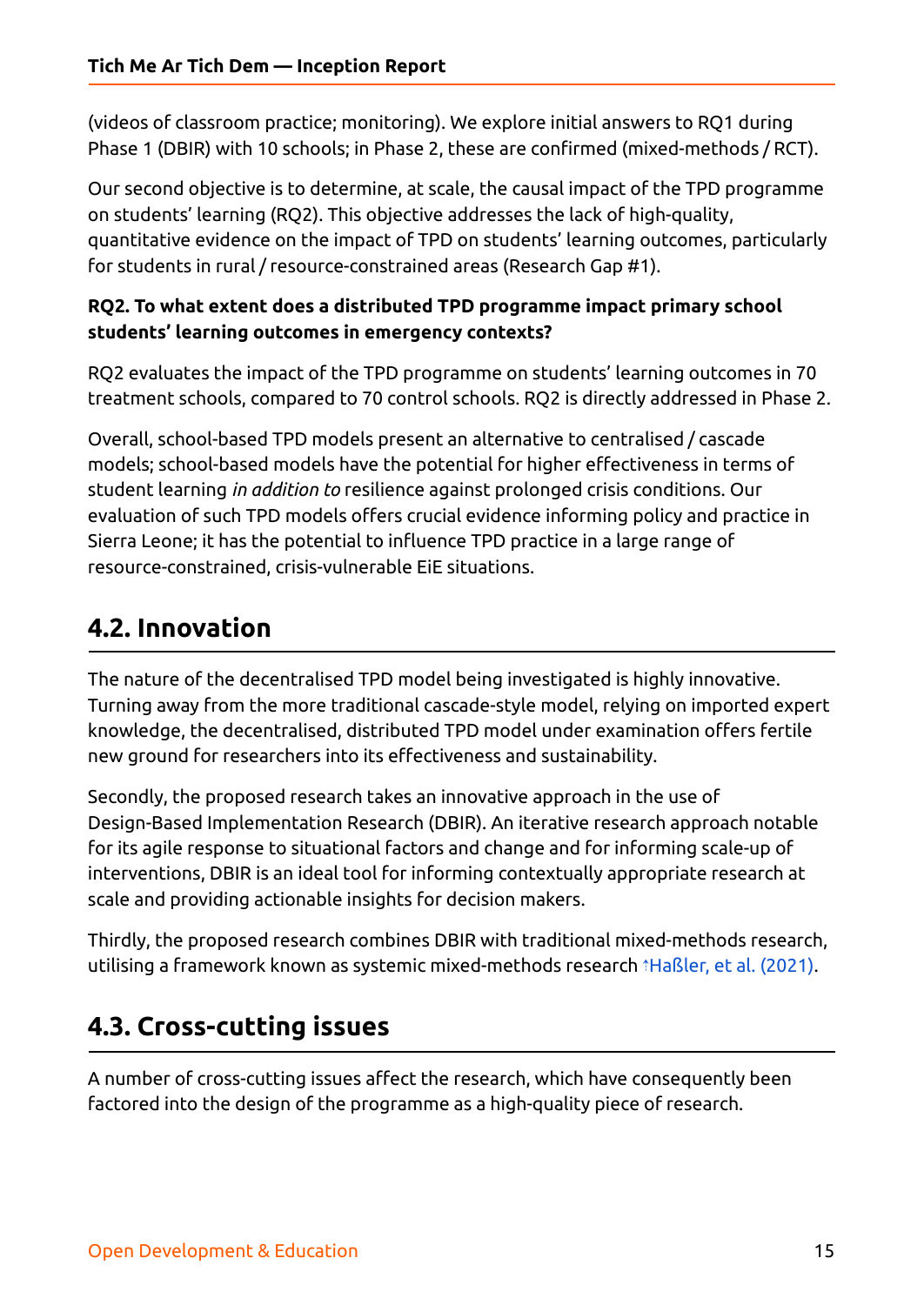(videos of classroom practice; monitoring). We explore initial answers to RQ1 during Phase 1 (DBIR) with 10 schools; in Phase 2, these are confirmed (mixed-methods / RCT).

Our second objective is to determine, at scale, the causal impact of the TPD programme on students' learning (RQ2). This objective addresses the lack of high-quality, quantitative evidence on the impact of TPD on students' learning outcomes, particularly for students in rural / resource-constrained areas (Research Gap #1).

#### **RQ2. To what extent does a distributed TPD programme impact primary school students' learning outcomes in emergency contexts?**

RQ2 evaluates the impact of the TPD programme on students' learning outcomes in 70 treatment schools, compared to 70 control schools. RQ2 is directly addressed in Phase 2.

Overall, school-based TPD models present an alternative to centralised / cascade models; school-based models have the potential for higher effectiveness in terms of student learning *in addition to* resilience against prolonged crisis conditions. Our evaluation of such TPD models offers crucial evidence informing policy and practice in Sierra Leone; it has the potential to influence TPD practice in a large range of resource-constrained, crisis-vulnerable EiE situations.

# <span id="page-14-0"></span>**4.2. Innovation**

The nature of the decentralised TPD model being investigated is highly innovative. Turning away from the more traditional cascade-style model, relying on imported expert knowledge, the decentralised, distributed TPD model under examination offers fertile new ground for researchers into its effectiveness and sustainability.

Secondly, the proposed research takes an innovative approach in the use of Design-Based Implementation Research (DBIR). An iterative research approach notable for its agile response to situational factors and change and for informing scale-up of interventions, DBIR is an ideal tool for informing contextually appropriate research at scale and providing actionable insights for decision makers.

Thirdly, the proposed research combines DBIR with traditional mixed-methods research, utilising a framework known as systemic mixed-methods research ⇡[Haßler,](https://ref.opendeved.net/zo/zg/2129771/7/HT9D5C8E/Ha%C3%9Fler,%20et%20al.,%202021?src=2129771:3RTBA9FR) et al. (2021).

# <span id="page-14-1"></span>**4.3. Cross-cutting issues**

A number of cross-cutting issues affect the research, which have consequently been factored into the design of the programme as a high-quality piece of research.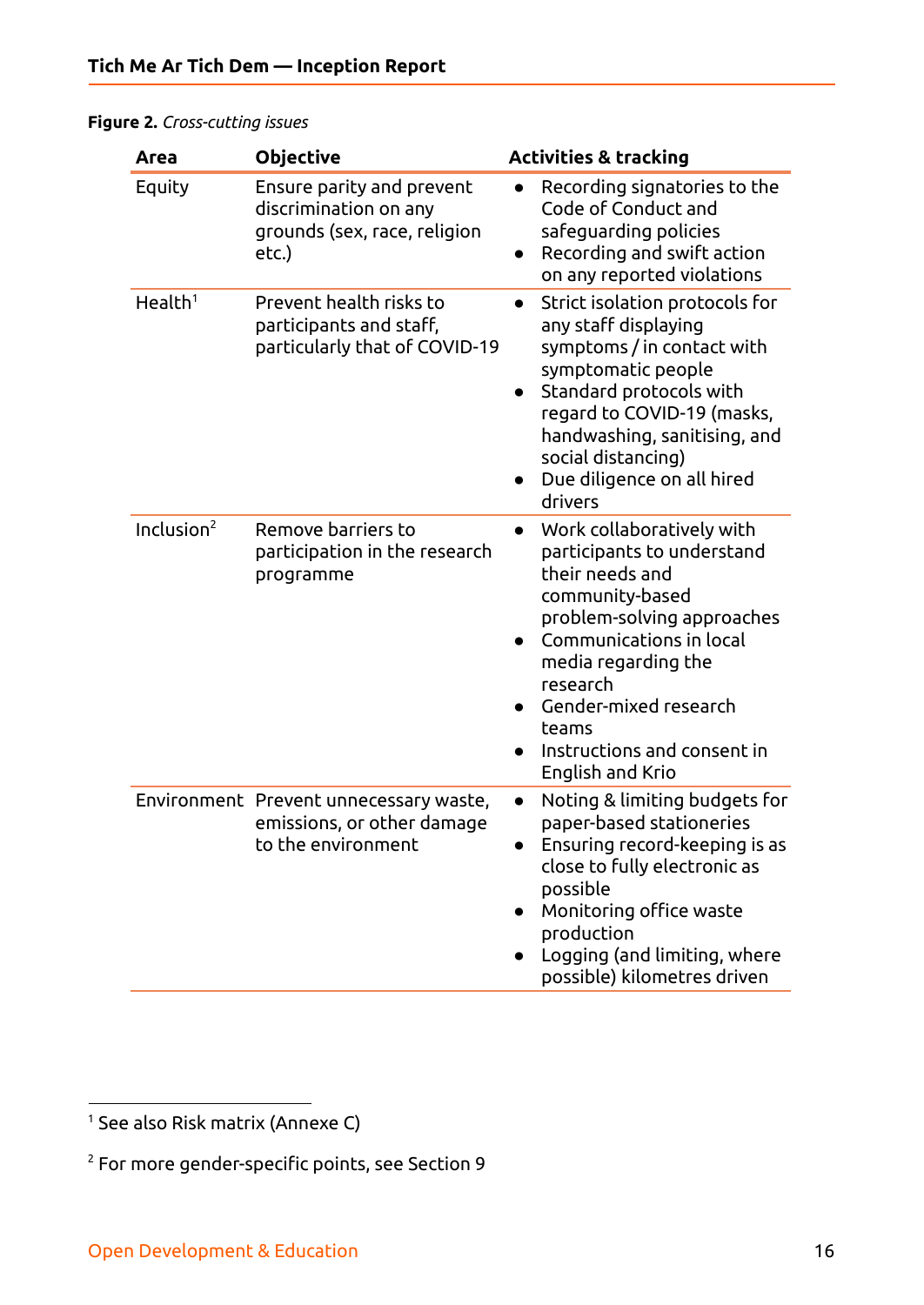#### <span id="page-15-0"></span>**Figure 2.** *Cross-cutting issues*

| Area                | <b>Objective</b>                                                                            | <b>Activities &amp; tracking</b>                                                                                                                                                                                                                                                                         |
|---------------------|---------------------------------------------------------------------------------------------|----------------------------------------------------------------------------------------------------------------------------------------------------------------------------------------------------------------------------------------------------------------------------------------------------------|
| Equity              | Ensure parity and prevent<br>discrimination on any<br>grounds (sex, race, religion<br>etc.) | Recording signatories to the<br>$\bullet$<br>Code of Conduct and<br>safeguarding policies<br>Recording and swift action<br>on any reported violations                                                                                                                                                    |
| Health <sup>1</sup> | Prevent health risks to<br>participants and staff,<br>particularly that of COVID-19         | Strict isolation protocols for<br>$\bullet$<br>any staff displaying<br>symptoms / in contact with<br>symptomatic people<br>Standard protocols with<br>regard to COVID-19 (masks,<br>handwashing, sanitising, and<br>social distancing)<br>Due diligence on all hired<br>drivers                          |
| Inclusion $2$       | Remove barriers to<br>participation in the research<br>programme                            | Work collaboratively with<br>$\bullet$<br>participants to understand<br>their needs and<br>community-based<br>problem-solving approaches<br>Communications in local<br>$\bullet$<br>media regarding the<br>research<br>Gender-mixed research<br>teams<br>Instructions and consent in<br>English and Krio |
|                     | Environment Prevent unnecessary waste,<br>emissions, or other damage<br>to the environment  | Noting & limiting budgets for<br>$\bullet$<br>paper-based stationeries<br>Ensuring record-keeping is as<br>close to fully electronic as<br>possible<br>Monitoring office waste<br>production<br>Logging (and limiting, where<br>$\bullet$<br>possible) kilometres driven                                 |

<sup>1</sup> See also Risk matrix (Annexe C)

 $2$  For more gender-specific points, see Section 9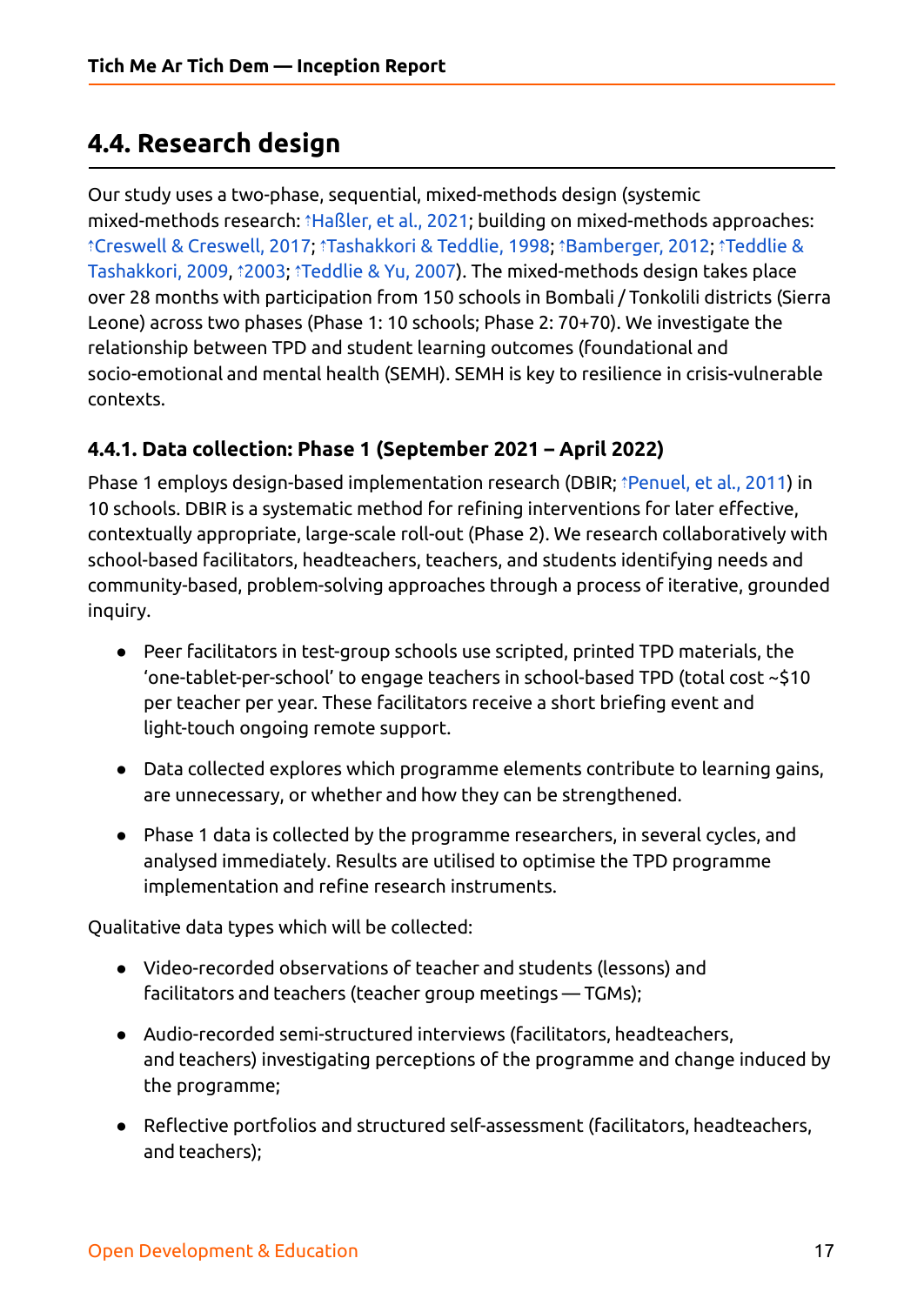## <span id="page-16-0"></span>**4.4. Research design**

Our study uses a two-phase, sequential, mixed-methods design (systemic mixed-methods research[:](https://ref.opendeved.net/zo/zg/2129771/7/EJPU329W/Creswell%20&%20Creswell,%202017?src=2129771:3RTBA9FR) *î*[Haßler,](https://ref.opendeved.net/zo/zg/2129771/7/HT9D5C8E/Ha%C3%9Fler,%20et%20al.,%202021?src=2129771:3RTBA9FR) et al., 2021; building on mixed-methods approaches: ⇡Creswell & [Creswell,](https://ref.opendeved.net/zo/zg/2129771/7/EJPU329W/Creswell%20&%20Creswell,%202017?src=2129771:3RTBA9FR) 2017; ⇡[Tashakkori](https://ref.opendeved.net/zo/zg/2129771/7/DYMUFPI7/Tashakkori%20&%20Teddlie,%201998?src=2129771:3RTBA9FR) & Teddlie, 1998; ⇡[Bamberger,](https://ref.opendeved.net/zo/zg/2129771/7/47GR9E3C/Bamberger,%202012?src=2129771:3RTBA9FR) 2012; ⇡[Teddlie](https://ref.opendeved.net/zo/zg/2129771/7/WW5RDP97/Teddlie%20&%20Tashakkori,%202009?src=2129771:3RTBA9FR) & [Tashakkori,](https://ref.opendeved.net/zo/zg/2129771/7/WW5RDP97/Teddlie%20&%20Tashakkori,%202009?src=2129771:3RTBA9FR) 2009, ⇡[2003](https://ref.opendeved.net/zo/zg/2129771/7/42PBFYSZ/2003?src=2129771:3RTBA9FR); ⇡[Teddlie](https://ref.opendeved.net/zo/zg/2129771/7/WGBILE5I/Teddlie%20&%20Yu,%202007?src=2129771:3RTBA9FR) & Yu, 2007). The mixed-methods design takes place over 28 months with participation from 150 schools in Bombali / Tonkolili districts (Sierra Leone) across two phases (Phase 1: 10 schools; Phase 2: 70+70). We investigate the relationship between TPD and student learning outcomes (foundational and socio-emotional and mental health (SEMH). SEMH is key to resilience in crisis-vulnerable contexts.

#### <span id="page-16-1"></span>**4.4.1. Data collection: Phase 1 (September 2021 – April 2022)**

Phase 1 employs design-based implementation research (DBIR; ⇡[Penuel,](https://ref.opendeved.net/zo/zg/2129771/7/9MT6Q4IT/Penuel,%20et%20al.,%202011?src=2129771:3RTBA9FR) et al., 2011) in 10 schools. DBIR is a systematic method for refining interventions for later effective, contextually appropriate, large-scale roll-out (Phase 2). We research collaboratively with school-based facilitators, headteachers, teachers, and students identifying needs and community-based, problem-solving approaches through a process of iterative, grounded inquiry.

- Peer facilitators in test-group schools use scripted, printed TPD materials, the 'one-tablet-per-school' to engage teachers in school-based TPD (total cost ~\$10 per teacher per year. These facilitators receive a short briefing event and light-touch ongoing remote support.
- Data collected explores which programme elements contribute to learning gains, are unnecessary, or whether and how they can be strengthened.
- Phase 1 data is collected by the programme researchers, in several cycles, and analysed immediately. Results are utilised to optimise the TPD programme implementation and refine research instruments.

Qualitative data types which will be collected:

- Video-recorded observations of teacher and students (lessons) and facilitators and teachers (teacher group meetings — TGMs);
- Audio-recorded semi-structured interviews (facilitators, headteachers, and teachers) investigating perceptions of the programme and change induced by the programme;
- Reflective portfolios and structured self-assessment (facilitators, headteachers, and teachers);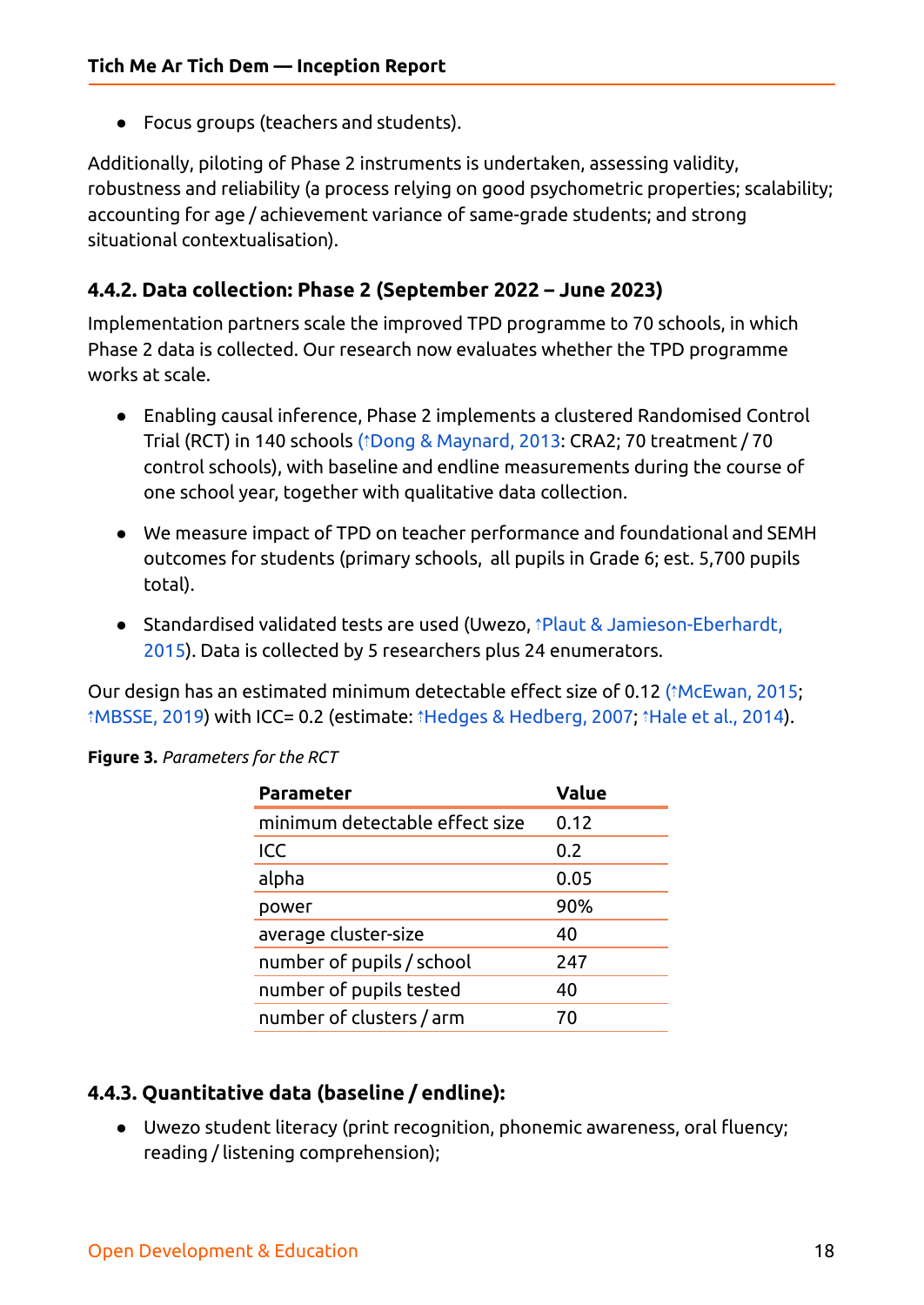● Focus groups (teachers and students).

Additionally, piloting of Phase 2 instruments is undertaken, assessing validity, robustness and reliability (a process relying on good psychometric properties; scalability; accounting for age / achievement variance of same-grade students; and strong situational contextualisation).

#### <span id="page-17-0"></span>**4.4.2. Data collection: Phase 2 (September 2022 – June 2023)**

Implementation partners scale the improved TPD programme to 70 schools, in which Phase 2 data is collected. Our research now evaluates whether the TPD programme works at scale.

- Enabling causal inference, Phase 2 implements a clustered Randomised Control Trial (RCT) in 140 schools (⇡Dong & [Maynard,](https://ref.opendeved.net/zo/zg/2129771/7/D6B2YWIC/Dong%20&%20Maynard,%202013?src=2129771:3RTBA9FR) 2013: CRA2; 70 treatment / 70 control schools), with baseline and endline measurements during the course of one school year, together with qualitative data collection.
- We measure impact of TPD on teacher performance and foundational and SEMH outcomes for students (primary schools, all pupils in Grade 6; est. 5,700 pupils total).
- Standardised validated tests are used (Uwezo, †Plaut & [Jamieson-Eberhardt,](https://ref.opendeved.net/zo/zg/2129771/7/7XH66MAB/Plaut%20&%20Jamieson-Eberhardt,%202015?src=2129771:3RTBA9FR) [2015\)](https://ref.opendeved.net/zo/zg/2129771/7/7XH66MAB/Plaut%20&%20Jamieson-Eberhardt,%202015?src=2129771:3RTBA9FR). Data is collected by 5 researchers plus 24 enumerators.

Our design has an estimated minimum detectable effect size of 0.12 (⇡[McEwan,](https://ref.opendeved.net/zo/zg/2129771/7/8IGI2G66/McEwan,%202015?src=2129771:3RTBA9FR) 2015; ⇡[MBSSE,](https://ref.opendeved.net/zo/zg/2129771/7/XBP2R2XI/MBSSE,%202019?src=2129771:3RTBA9FR) 2019) with ICC= 0.2 (estimate: ⇡Hedges & [Hedberg,](https://ref.opendeved.net/zo/zg/2129771/7/F8TWE7SI/Hedges%20&%20Hedberg,%202007?src=2129771:3RTBA9FR) 2007; ⇡Hale et al., [2014\)](https://ref.opendeved.net/zo/zg/2129771/7/LGNT6S8W/Hale%20et%20al.,%202014?src=2129771:3RTBA9FR).

| <b>Parameter</b>               | <b>Value</b> |
|--------------------------------|--------------|
| minimum detectable effect size | 0.12         |
| ICC                            | 0.2          |
| alpha                          | 0.05         |
| power                          | 90%          |
| average cluster-size           | 40           |
| number of pupils / school      | 247          |
| number of pupils tested        | 40           |
| number of clusters / arm       | 70           |

<span id="page-17-1"></span>**Figure 3.** *Parameters for the RCT*

#### <span id="page-17-2"></span>**4.4.3. Quantitative data (baseline / endline):**

● Uwezo student literacy (print recognition, phonemic awareness, oral fluency; reading / listening comprehension);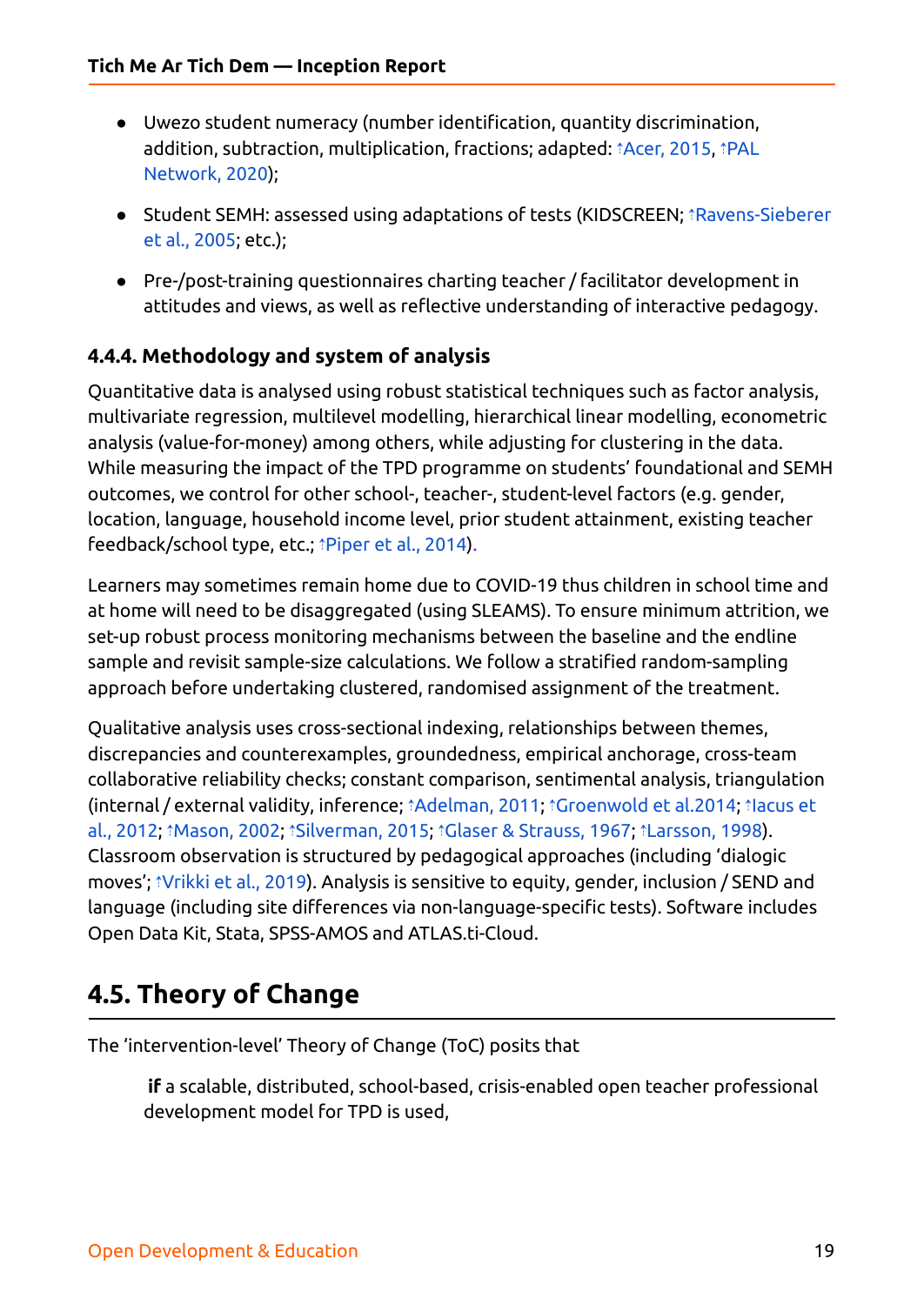- Uwezo student numeracy (number identification, quantity discrimination, addition, subtraction, multiplication, fractions; adapted: *<u>Acer, [2015,](https://ref.opendeved.net/zo/zg/2129771/7/SCAL75HT/Acer,%202015?src=2129771:3RTBA9FR) ¡[PAL](https://ref.opendeved.net/zo/zg/2129771/7/3K8HUV3T/PAL%20Network,%202020?src=2129771:3RTBA9FR)</u>* [Network,](https://ref.opendeved.net/zo/zg/2129771/7/3K8HUV3T/PAL%20Network,%202020?src=2129771:3RTBA9FR) 2020);
- Student SEMH: assessed using adaptations of tests (KIDSCREEN; ⇡[Ravens-Sieberer](https://ref.opendeved.net/zo/zg/2129771/7/AIRB5JEP/Ravens-Sieberer%20et%20al.,%202005?src=2129771:3RTBA9FR) et al., [2005](https://ref.opendeved.net/zo/zg/2129771/7/AIRB5JEP/Ravens-Sieberer%20et%20al.,%202005?src=2129771:3RTBA9FR); etc.);
- Pre-/post-training questionnaires charting teacher / facilitator development in attitudes and views, as well as reflective understanding of interactive pedagogy.

#### <span id="page-18-0"></span>**4.4.4. Methodology and system of analysis**

Quantitative data is analysed using robust statistical techniques such as factor analysis, multivariate regression, multilevel modelling, hierarchical linear modelling, econometric analysis (value-for-money) among others, while adjusting for clustering in the data. While measuring the impact of the TPD programme on students' foundational and SEMH outcomes, we control for other school-, teacher-, student-level factors (e.g. gender, location, language, household income level, prior student attainment, existing teacher feedback/school type, etc.; *†*[Piper](https://ref.opendeved.net/zo/zg/2129771/7/XJR35PXI/Piper%20et%20al.,%202014?src=2129771:3RTBA9FR) et al., 2014).

Learners may sometimes remain home due to COVID-19 thus children in school time and at home will need to be disaggregated (using SLEAMS). To ensure minimum attrition, we set-up robust process monitoring mechanisms between the baseline and the endline sample and revisit sample-size calculations. We follow a stratified random-sampling approach before undertaking clustered, randomised assignment of the treatment.

Qualitative analysis uses cross-sectional indexing, relationships between themes, discrepancies and counterexamples, groundedness, empirical anchorage, cross-team collaborative reliability checks; constant comparison, sentimental analysis, triangulation (internal / external validity, inference; ⇡[Adelman,](https://ref.opendeved.net/zo/zg/2129771/7/9LXEUU2G/Adelman,%202011?src=2129771:3RTBA9FR) 2011; ⇡[Groenwold](https://ref.opendeved.net/zo/zg/2129771/7/J5YNSL5W/Groenwold%20et%20al.2014?src=2129771:3RTBA9FR) et al.2014; ⇡[Iacus](https://ref.opendeved.net/zo/zg/2129771/7/QSHBGGL8/Iacus%20et%20al.,%202012?src=2129771:3RTBA9FR) et al., [2012;](https://ref.opendeved.net/zo/zg/2129771/7/QSHBGGL8/Iacus%20et%20al.,%202012?src=2129771:3RTBA9FR) ⇡[Mason,](https://ref.opendeved.net/zo/zg/2129771/7/S3AYR6UI/Mason,%202002?src=2129771:3RTBA9FR) 2002; ⇡[Silverman,](https://ref.opendeved.net/zo/zg/2129771/7/FDLAJLIG/Silverman,%202015?src=2129771:3RTBA9FR) 2015; ⇡Glaser & [Strauss,](https://ref.opendeved.net/zo/zg/2129771/7/V92QNPMR/Glaser%20&%20Strauss,%201967?src=2129771:3RTBA9FR) 1967; ⇡[Larsson,](https://ref.opendeved.net/zo/zg/2129771/7/I58LVFZB/Larsson,%201998?src=2129771:3RTBA9FR) 1998). Classroom observation is structured by pedagogical approaches (including 'dialogic moves'; ⇡[Vrikki](https://ref.opendeved.net/zo/zg/2129771/7/TJGPVXL7/Vrikki%20et%20al.,%202019?src=2129771:3RTBA9FR) et al., 2019). Analysis is sensitive to equity, gender, inclusion / SEND and language (including site differences via non-language-specific tests). Software includes Open Data Kit, Stata, SPSS-AMOS and ATLAS.ti-Cloud.

## <span id="page-18-1"></span>**4.5. Theory of Change**

The 'intervention-level' Theory of Change (ToC) posits that

**if** a scalable, distributed, school-based, crisis-enabled open teacher professional development model for TPD is used,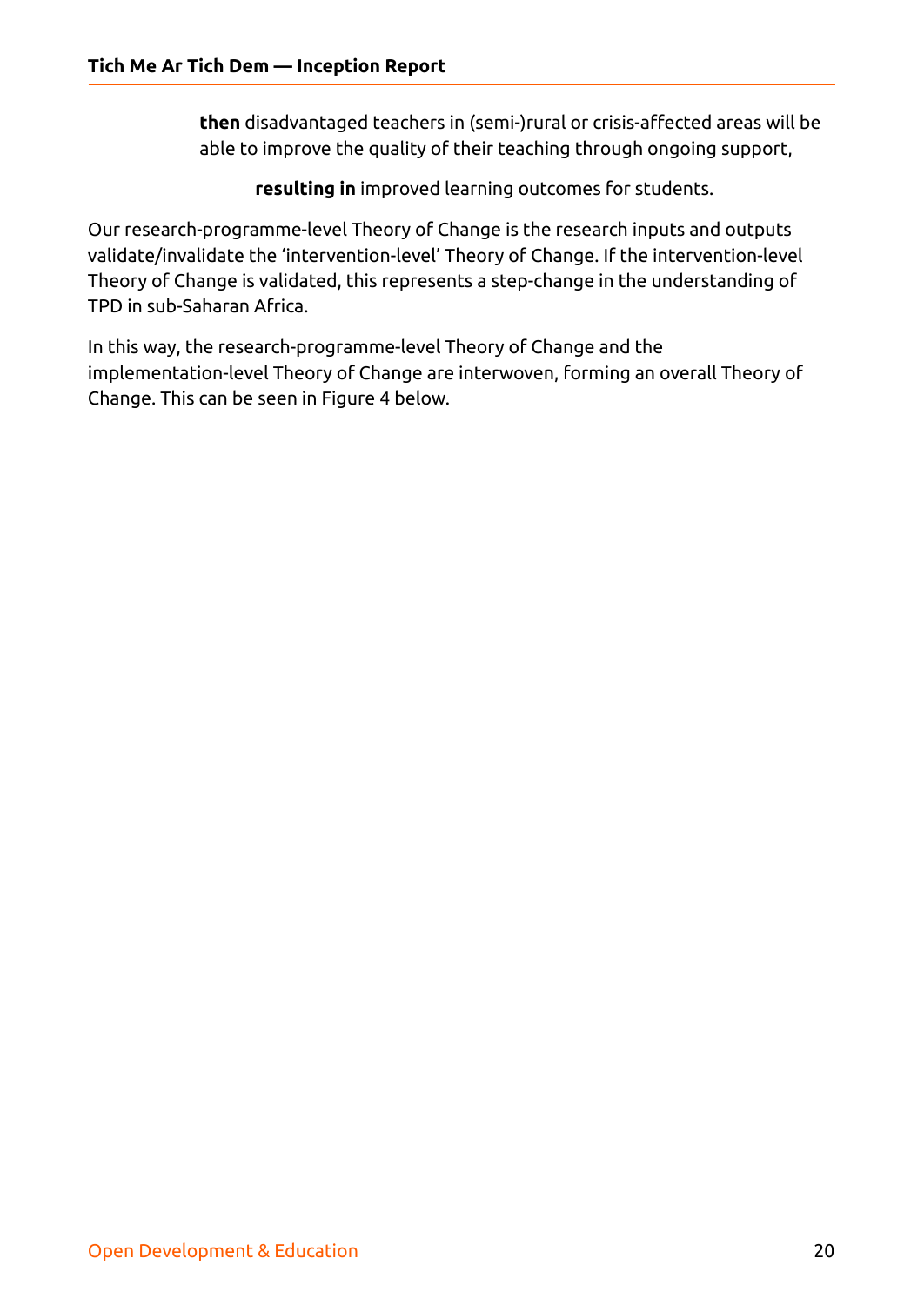**then** disadvantaged teachers in (semi-)rural or crisis-affected areas will be able to improve the quality of their teaching through ongoing support,

**resulting in** improved learning outcomes for students.

Our research-programme-level Theory of Change is the research inputs and outputs validate/invalidate the 'intervention-level' Theory of Change. If the intervention-level Theory of Change is validated, this represents a step-change in the understanding of TPD in sub-Saharan Africa.

In this way, the research-programme-level Theory of Change and the implementation-level Theory of Change are interwoven, forming an overall Theory of Change. This can be seen in Figure 4 below.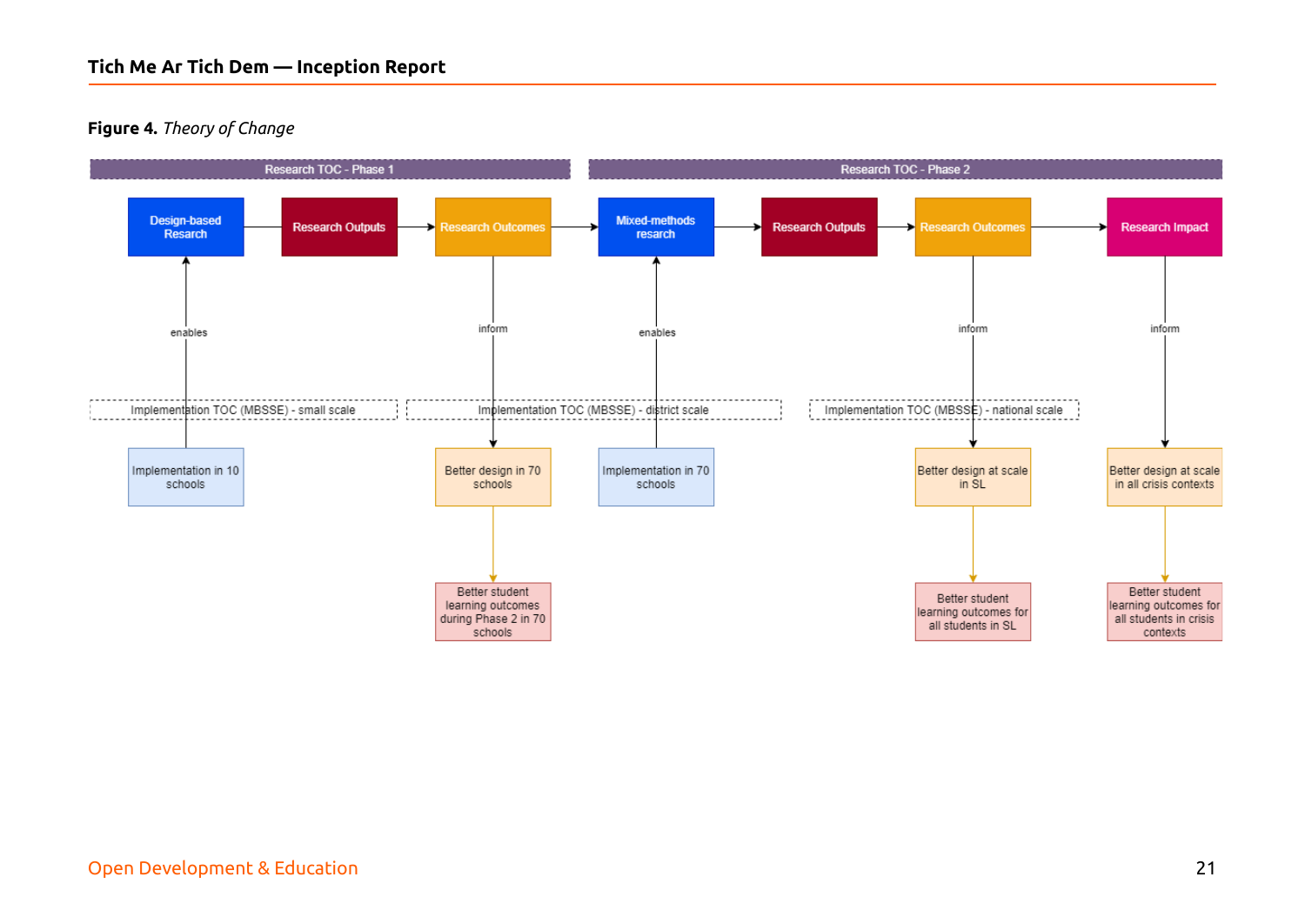#### **Figure 4.** *Theory of Change*

<span id="page-20-0"></span>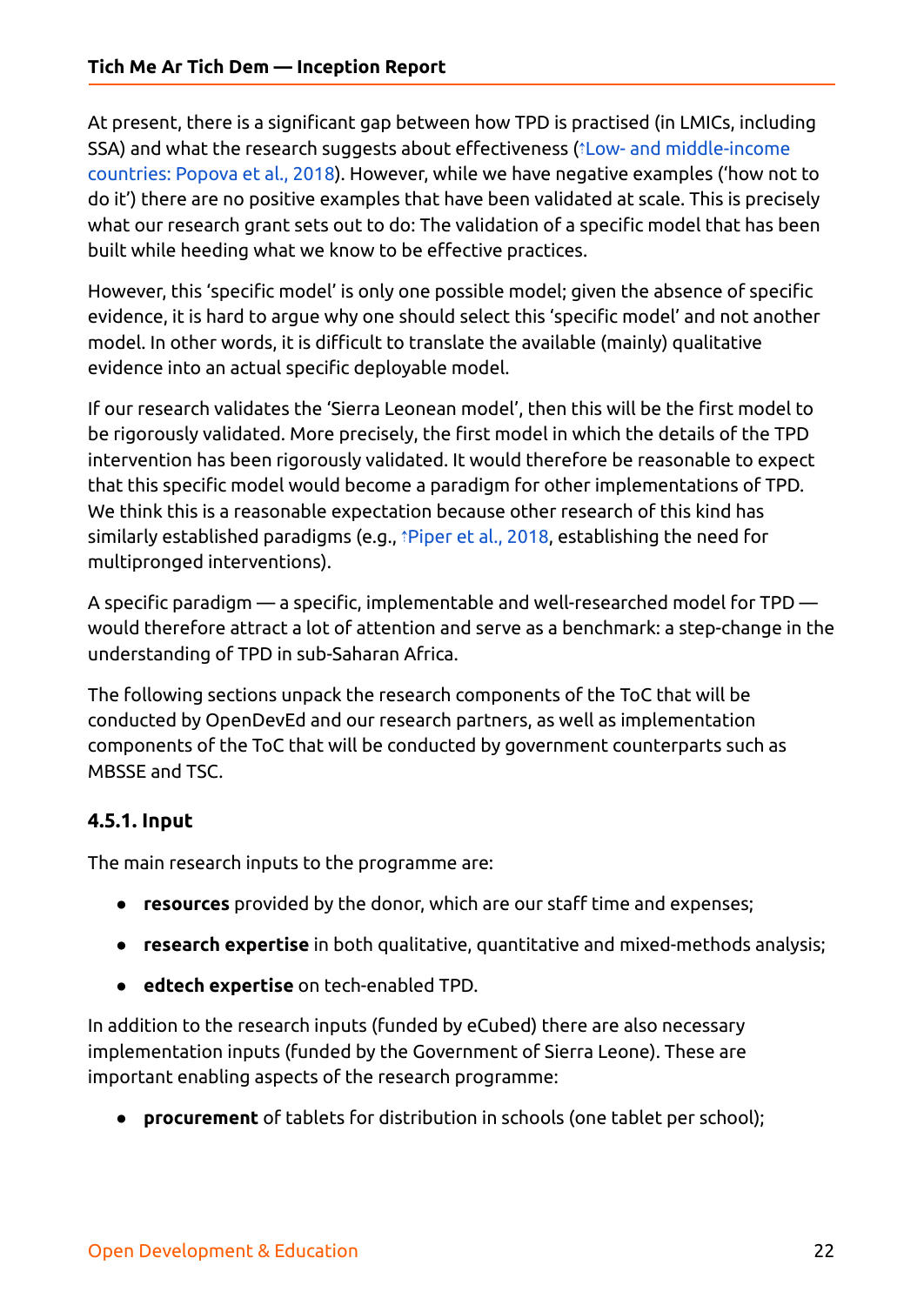At present, there is a significant gap between how TPD is practised (in LMICs, including SSA) and what the research suggests about effectiveness (⇡Low- and [middle-income](https://ref.opendeved.net/zo/zg/2129771/7/LJZMNXHB/Popova%20et%20al.,%202018?src=2129771:3RTBA9FR) [countries:](https://ref.opendeved.net/zo/zg/2129771/7/LJZMNXHB/Popova%20et%20al.,%202018?src=2129771:3RTBA9FR) Popova et al., 2018). However, while we have negative examples ('how not to do it') there are no positive examples that have been validated at scale. This is precisely what our research grant sets out to do: The validation of a specific model that has been built while heeding what we know to be effective practices.

However, this 'specific model' is only one possible model; given the absence of specific evidence, it is hard to argue why one should select this 'specific model' and not another model. In other words, it is difficult to translate the available (mainly) qualitative evidence into an actual specific deployable model.

If our research validates the 'Sierra Leonean model', then this will be the first model to be rigorously validated. More precisely, the first model in which the details of the TPD intervention has been rigorously validated. It would therefore be reasonable to expect that this specific model would become a paradigm for other implementations of TPD. We think this is a reasonable expectation because other research of this kind has similarly established paradigms (e.g., ⇡[Piper](https://ref.opendeved.net/zo/zg/2129771/7/3IIW96ZB/Piper%20et%20al.%20(2018)?src=2129771:3RTBA9FR) et al., 2018, establishing the need for multipronged interventions).

A specific paradigm — a specific, implementable and well-researched model for TPD would therefore attract a lot of attention and serve as a benchmark: a step-change in the understanding of TPD in sub-Saharan Africa.

The following sections unpack the research components of the ToC that will be conducted by OpenDevEd and our research partners, as well as implementation components of the ToC that will be conducted by government counterparts such as MBSSE and TSC.

#### <span id="page-21-0"></span>**4.5.1. Input**

The main research inputs to the programme are:

- **resources** provided by the donor, which are our staff time and expenses;
- **research expertise** in both qualitative, quantitative and mixed-methods analysis;
- **edtech expertise** on tech-enabled TPD.

In addition to the research inputs (funded by eCubed) there are also necessary implementation inputs (funded by the Government of Sierra Leone). These are important enabling aspects of the research programme:

● **procurement** of tablets for distribution in schools (one tablet per school);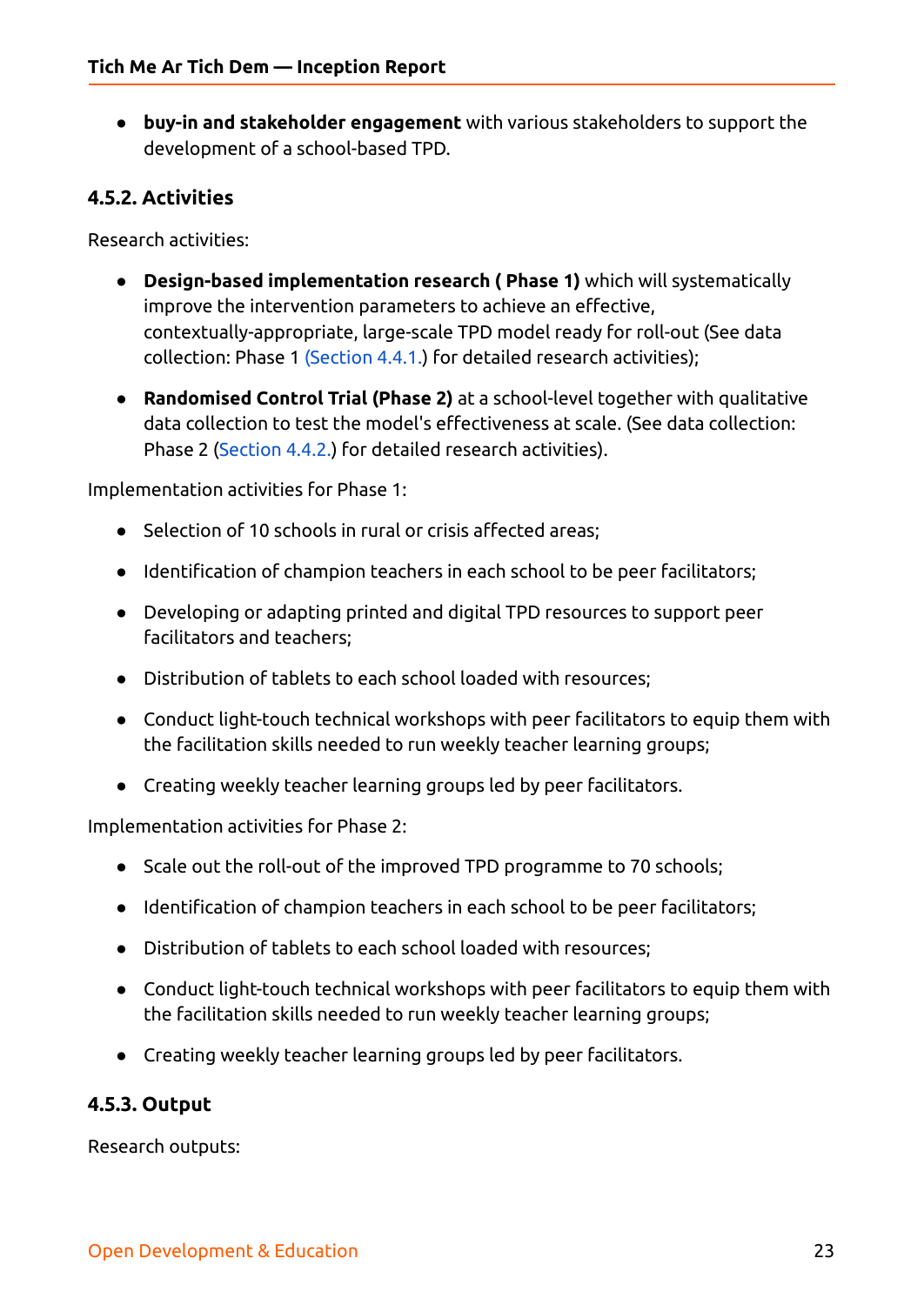● **buy-in and stakeholder engagement** with various stakeholders to support the development of a school-based TPD.

#### <span id="page-22-0"></span>**4.5.2. Activities**

Research activities:

- **Design-based implementation research ( Phase 1)** which will systematically improve the intervention parameters to achieve an effective, contextually-appropriate, large-scale TPD model ready for roll-out (See data collection: Phase 1 [\(Section](#page-16-1) 4.4.1.) for detailed research activities);
- **Randomised Control Trial (Phase 2)** at a school-level together with qualitative data collection to test the model's effectiveness at scale. (See data collection: Phase 2 [\(Section](#page-17-0) 4.4.2.) for detailed research activities).

Implementation activities for Phase 1:

- Selection of 10 schools in rural or crisis affected areas;
- Identification of champion teachers in each school to be peer facilitators;
- Developing or adapting printed and digital TPD resources to support peer facilitators and teachers;
- Distribution of tablets to each school loaded with resources;
- Conduct light-touch technical workshops with peer facilitators to equip them with the facilitation skills needed to run weekly teacher learning groups;
- Creating weekly teacher learning groups led by peer facilitators.

Implementation activities for Phase 2:

- Scale out the roll-out of the improved TPD programme to 70 schools;
- Identification of champion teachers in each school to be peer facilitators;
- Distribution of tablets to each school loaded with resources;
- Conduct light-touch technical workshops with peer facilitators to equip them with the facilitation skills needed to run weekly teacher learning groups;
- Creating weekly teacher learning groups led by peer facilitators.

#### <span id="page-22-1"></span>**4.5.3. Output**

Research outputs: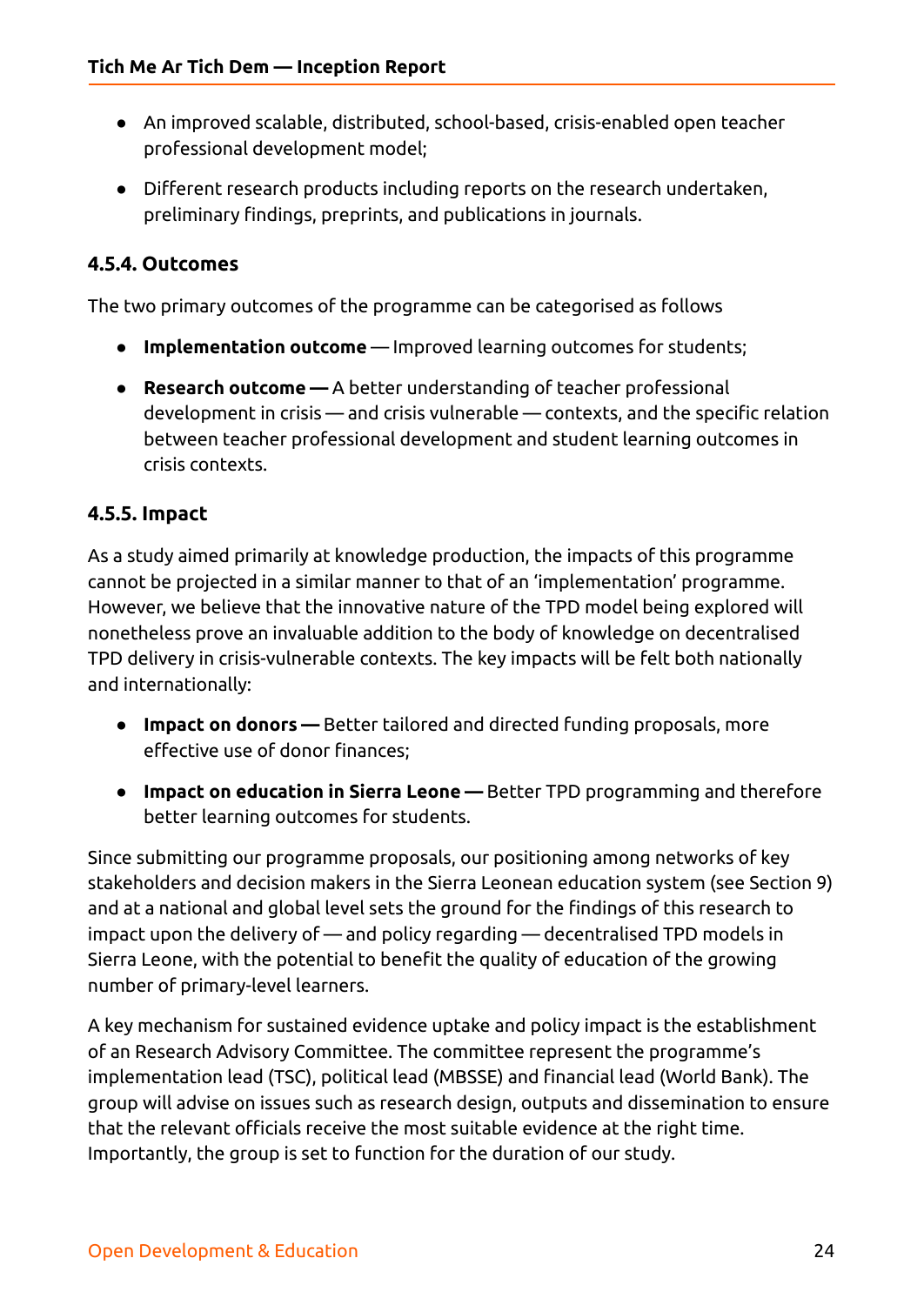- An improved scalable, distributed, school-based, crisis-enabled open teacher professional development model;
- Different research products including reports on the research undertaken, preliminary findings, preprints, and publications in journals.

#### <span id="page-23-0"></span>**4.5.4. Outcomes**

The two primary outcomes of the programme can be categorised as follows

- **Implementation outcome** Improved learning outcomes for students;
- **● Research outcome —** A better understanding of teacher professional development in crisis — and crisis vulnerable — contexts, and the specific relation between teacher professional development and student learning outcomes in crisis contexts.

#### <span id="page-23-1"></span>**4.5.5. Impact**

As a study aimed primarily at knowledge production, the impacts of this programme cannot be projected in a similar manner to that of an 'implementation' programme. However, we believe that the innovative nature of the TPD model being explored will nonetheless prove an invaluable addition to the body of knowledge on decentralised TPD delivery in crisis-vulnerable contexts. The key impacts will be felt both nationally and internationally:

- **Impact on donors —** Better tailored and directed funding proposals, more effective use of donor finances;
- **Impact on education in Sierra Leone —** Better TPD programming and therefore better learning outcomes for students.

Since submitting our programme proposals, our positioning among networks of key stakeholders and decision makers in the Sierra Leonean education system (see Section 9) and at a national and global level sets the ground for the findings of this research to impact upon the delivery of — and policy regarding — decentralised TPD models in Sierra Leone, with the potential to benefit the quality of education of the growing number of primary-level learners.

A key mechanism for sustained evidence uptake and policy impact is the establishment of an Research Advisory Committee. The committee represent the programme's implementation lead (TSC), political lead (MBSSE) and financial lead (World Bank). The group will advise on issues such as research design, outputs and dissemination to ensure that the relevant officials receive the most suitable evidence at the right time. Importantly, the group is set to function for the duration of our study.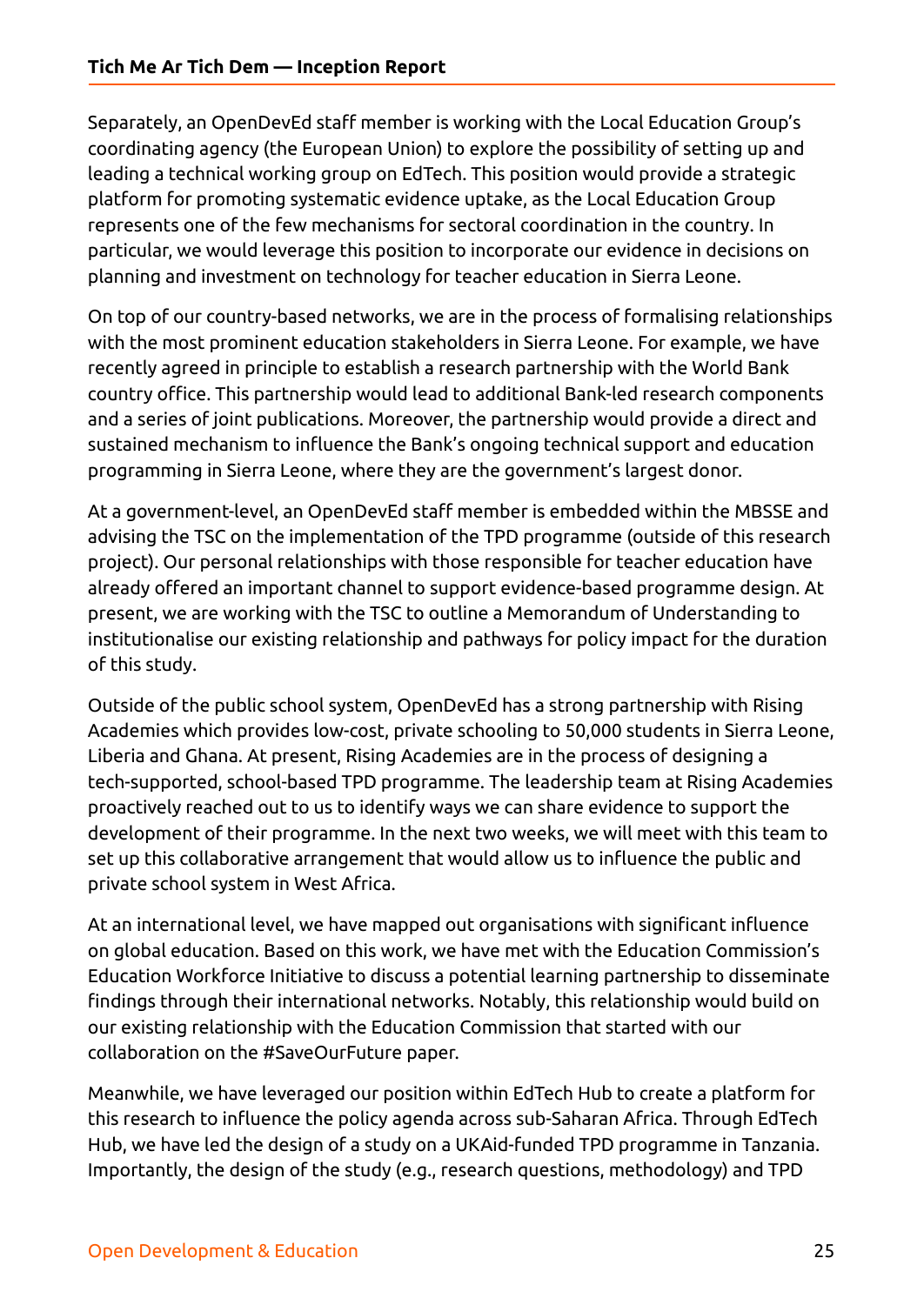Separately, an OpenDevEd staff member is working with the Local Education Group's coordinating agency (the European Union) to explore the possibility of setting up and leading a technical working group on EdTech. This position would provide a strategic platform for promoting systematic evidence uptake, as the Local Education Group represents one of the few mechanisms for sectoral coordination in the country. In particular, we would leverage this position to incorporate our evidence in decisions on planning and investment on technology for teacher education in Sierra Leone.

On top of our country-based networks, we are in the process of formalising relationships with the most prominent education stakeholders in Sierra Leone. For example, we have recently agreed in principle to establish a research partnership with the World Bank country office. This partnership would lead to additional Bank-led research components and a series of joint publications. Moreover, the partnership would provide a direct and sustained mechanism to influence the Bank's ongoing technical support and education programming in Sierra Leone, where they are the government's largest donor.

At a government-level, an OpenDevEd staff member is embedded within the MBSSE and advising the TSC on the implementation of the TPD programme (outside of this research project). Our personal relationships with those responsible for teacher education have already offered an important channel to support evidence-based programme design. At present, we are working with the TSC to outline a Memorandum of Understanding to institutionalise our existing relationship and pathways for policy impact for the duration of this study.

Outside of the public school system, OpenDevEd has a strong partnership with Rising Academies which provides low-cost, private schooling to 50,000 students in Sierra Leone, Liberia and Ghana. At present, Rising Academies are in the process of designing a tech-supported, school-based TPD programme. The leadership team at Rising Academies proactively reached out to us to identify ways we can share evidence to support the development of their programme. In the next two weeks, we will meet with this team to set up this collaborative arrangement that would allow us to influence the public and private school system in West Africa.

At an international level, we have mapped out organisations with significant influence on global education. Based on this work, we have met with the Education Commission's Education Workforce Initiative to discuss a potential learning partnership to disseminate findings through their international networks. Notably, this relationship would build on our existing relationship with the Education Commission that started with our collaboration on the #SaveOurFuture paper.

Meanwhile, we have leveraged our position within EdTech Hub to create a platform for this research to influence the policy agenda across sub-Saharan Africa. Through EdTech Hub, we have led the design of a study on a UKAid-funded TPD programme in Tanzania. Importantly, the design of the study (e.g., research questions, methodology) and TPD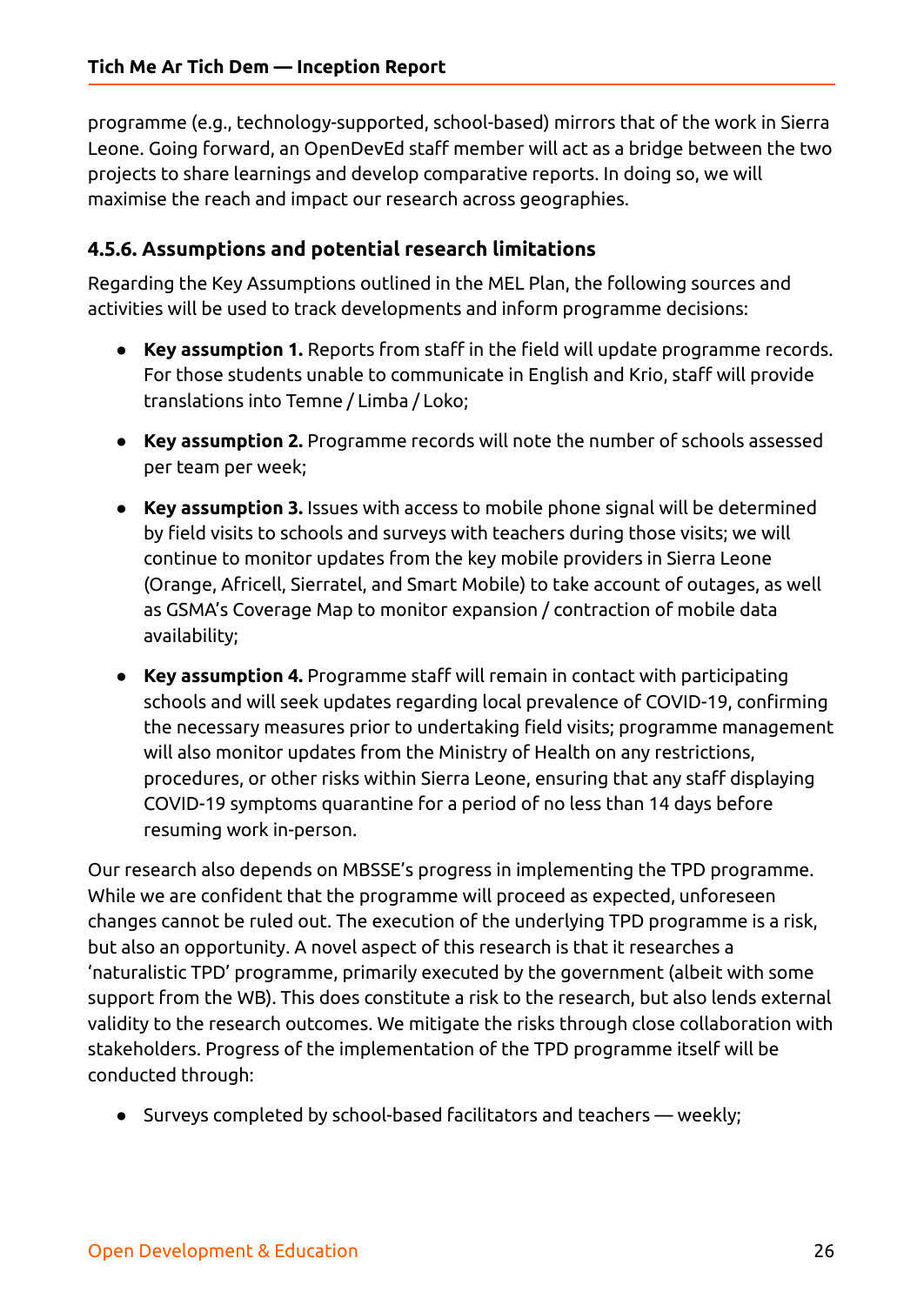programme (e.g., technology-supported, school-based) mirrors that of the work in Sierra Leone. Going forward, an OpenDevEd staff member will act as a bridge between the two projects to share learnings and develop comparative reports. In doing so, we will maximise the reach and impact our research across geographies.

#### <span id="page-25-0"></span>**4.5.6. Assumptions and potential research limitations**

Regarding the Key Assumptions outlined in the MEL Plan, the following sources and activities will be used to track developments and inform programme decisions:

- **Key assumption 1.** Reports from staff in the field will update programme records. For those students unable to communicate in English and Krio, staff will provide translations into Temne / Limba / Loko;
- **Key assumption 2.** Programme records will note the number of schools assessed per team per week;
- **Key assumption 3.** Issues with access to mobile phone signal will be determined by field visits to schools and surveys with teachers during those visits; we will continue to monitor updates from the key mobile providers in Sierra Leone (Orange, Africell, Sierratel, and Smart Mobile) to take account of outages, as well as GSMA's Coverage Map to monitor expansion / contraction of mobile data availability;
- **Key assumption 4.** Programme staff will remain in contact with participating schools and will seek updates regarding local prevalence of COVID-19, confirming the necessary measures prior to undertaking field visits; programme management will also monitor updates from the Ministry of Health on any restrictions, procedures, or other risks within Sierra Leone, ensuring that any staff displaying COVID-19 symptoms quarantine for a period of no less than 14 days before resuming work in-person.

Our research also depends on MBSSE's progress in implementing the TPD programme. While we are confident that the programme will proceed as expected, unforeseen changes cannot be ruled out. The execution of the underlying TPD programme is a risk, but also an opportunity. A novel aspect of this research is that it researches a 'naturalistic TPD' programme, primarily executed by the government (albeit with some support from the WB). This does constitute a risk to the research, but also lends external validity to the research outcomes. We mitigate the risks through close collaboration with stakeholders. Progress of the implementation of the TPD programme itself will be conducted through:

● Surveys completed by school-based facilitators and teachers — weekly;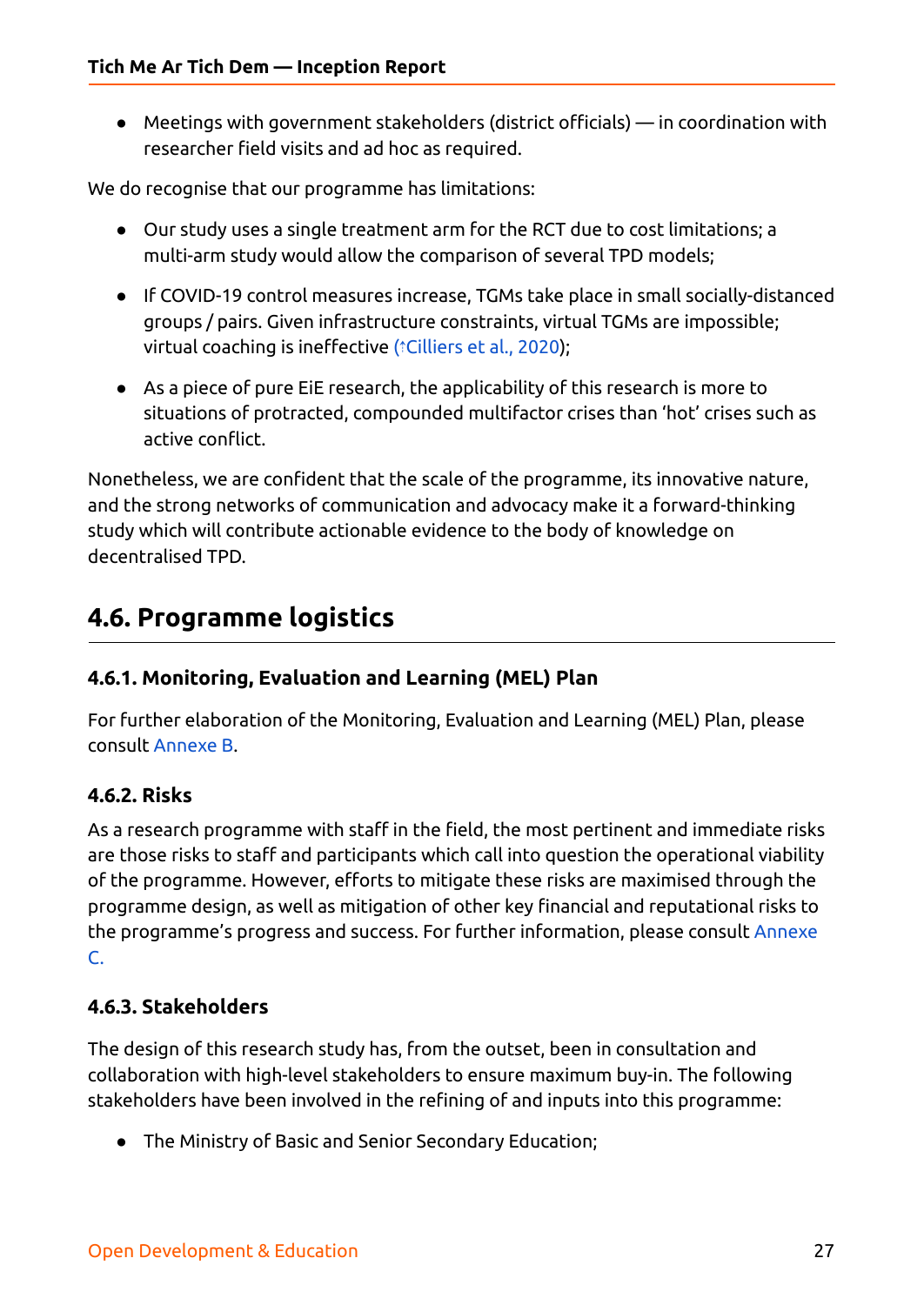● Meetings with government stakeholders (district officials) — in coordination with researcher field visits and ad hoc as required.

We do recognise that our programme has limitations:

- Our study uses a single treatment arm for the RCT due to cost limitations; a multi-arm study would allow the comparison of several TPD models;
- If COVID-19 control measures increase, TGMs take place in small socially-distanced groups / pairs. Given infrastructure constraints, virtual TGMs are impossible; virtual coaching is ineffective ( $\hat{i}$ [Cilliers](https://ref.opendeved.net/zo/zg/2129771/7/8M4KYKZ8/Cilliers%20et%20al.,%202020?src=2129771:3RTBA9FR) et al., 2020);
- As a piece of pure EiE research, the applicability of this research is more to situations of protracted, compounded multifactor crises than 'hot' crises such as active conflict.

Nonetheless, we are confident that the scale of the programme, its innovative nature, and the strong networks of communication and advocacy make it a forward-thinking study which will contribute actionable evidence to the body of knowledge on decentralised TPD.

## <span id="page-26-0"></span>**4.6. Programme logistics**

#### <span id="page-26-1"></span>**4.6.1. Monitoring, Evaluation and Learning (MEL) Plan**

For further elaboration of the Monitoring, Evaluation and Learning (MEL) Plan, please consult [Annexe](#page-35-0) B.

#### <span id="page-26-2"></span>**4.6.2. Risks**

As a research programme with staff in the field, the most pertinent and immediate risks are those risks to staff and participants which call into question the operational viability of the programme. However, efforts to mitigate these risks are maximised through the programme design, as well as mitigation of other key financial and reputational risks to the programme's progress and success. For further information, please consult [Annexe](#page-42-0) [C.](#page-42-0)

#### <span id="page-26-3"></span>**4.6.3. Stakeholders**

The design of this research study has, from the outset, been in consultation and collaboration with high-level stakeholders to ensure maximum buy-in. The following stakeholders have been involved in the refining of and inputs into this programme:

● The Ministry of Basic and Senior Secondary Education;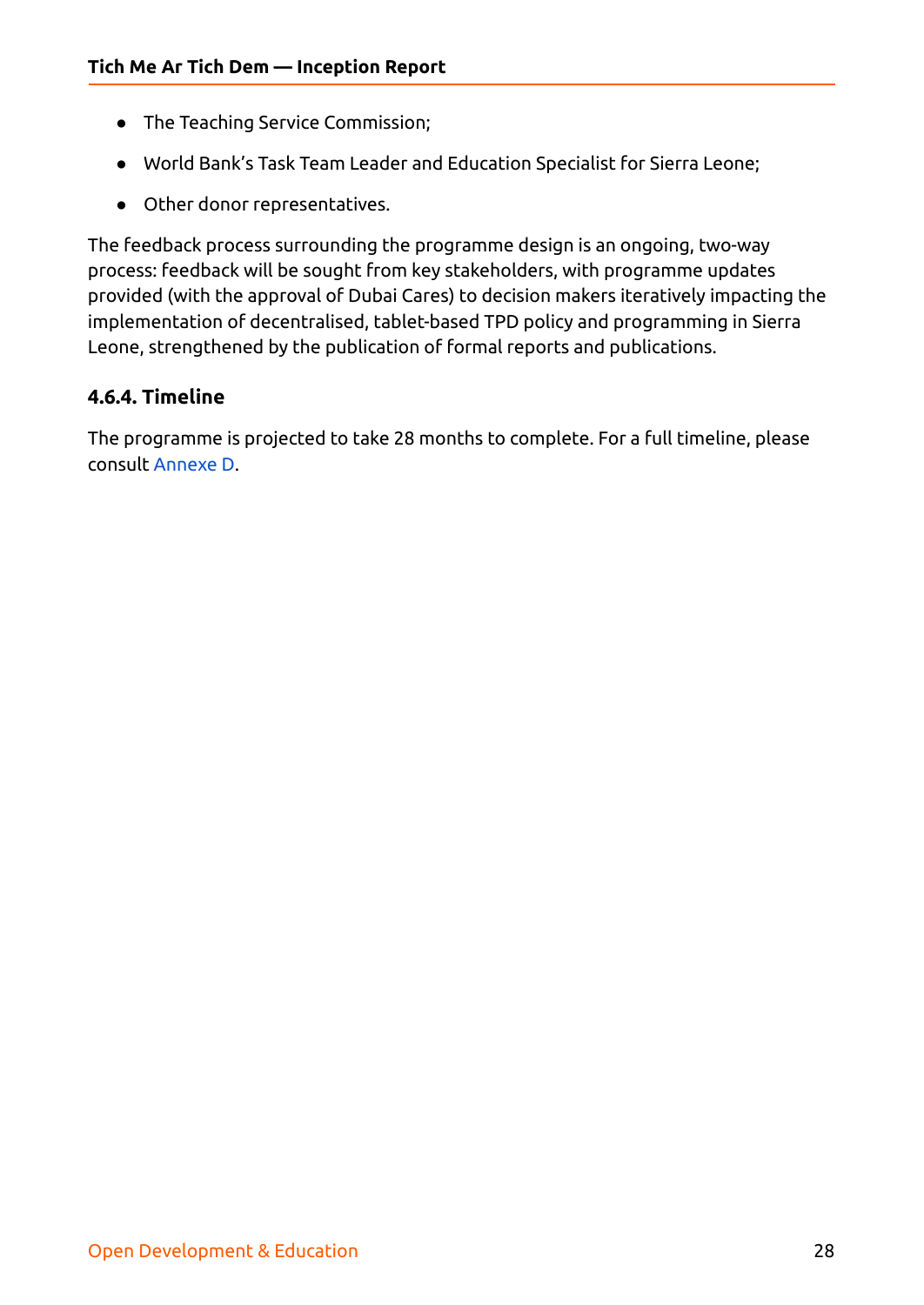- The Teaching Service Commission;
- World Bank's Task Team Leader and Education Specialist for Sierra Leone;
- Other donor representatives.

The feedback process surrounding the programme design is an ongoing, two-way process: feedback will be sought from key stakeholders, with programme updates provided (with the approval of Dubai Cares) to decision makers iteratively impacting the implementation of decentralised, tablet-based TPD policy and programming in Sierra Leone, strengthened by the publication of formal reports and publications.

#### <span id="page-27-0"></span>**4.6.4. Timeline**

The programme is projected to take 28 months to complete. For a full timeline, please consult [Annexe](#page-44-0) D.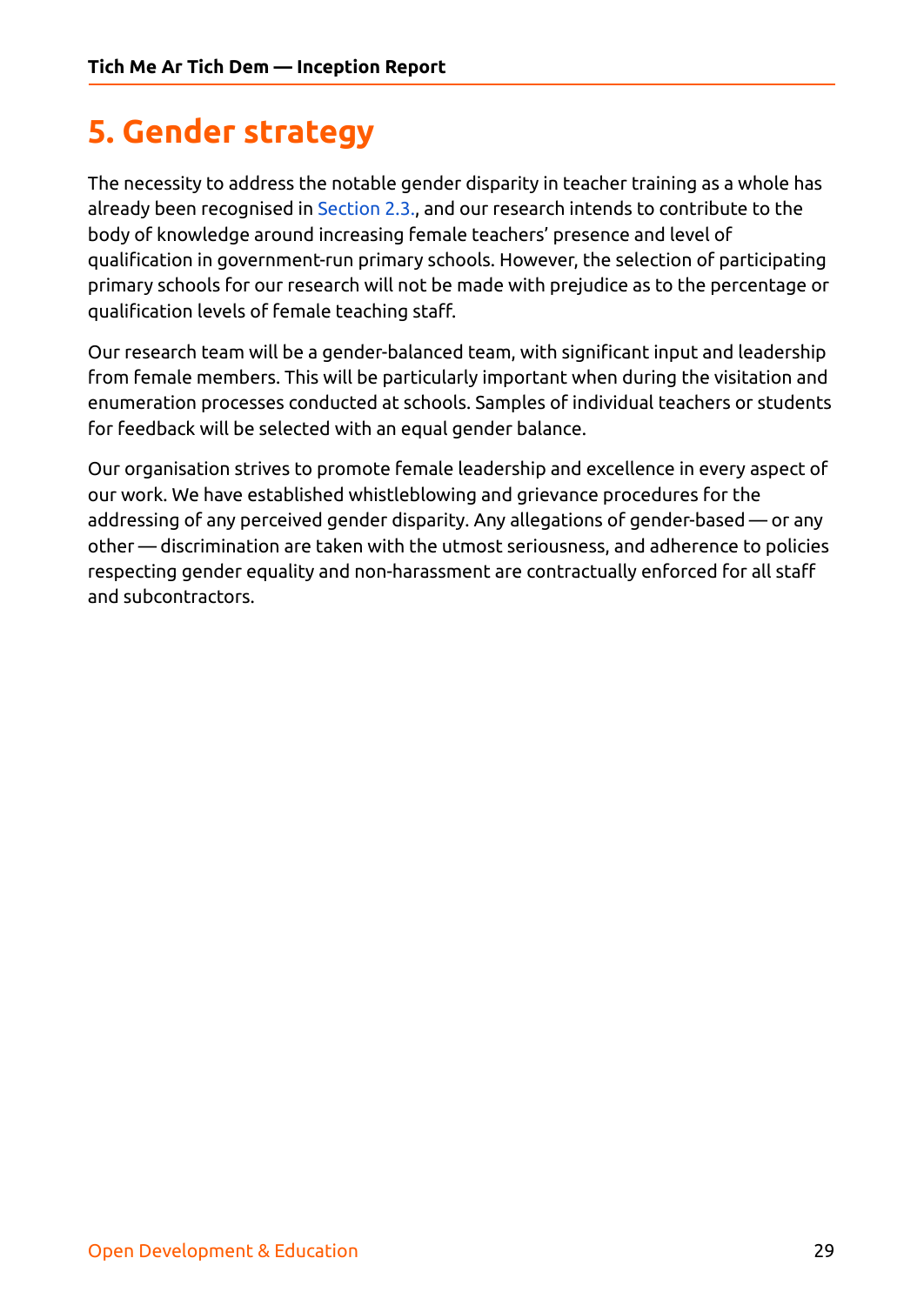# <span id="page-28-0"></span>**5. Gender strategy**

The necessity to address the notable gender disparity in teacher training as a whole has already been recognised in [Section](#page-8-1) 2.3., and our research intends to contribute to the body of knowledge around increasing female teachers' presence and level of qualification in government-run primary schools. However, the selection of participating primary schools for our research will not be made with prejudice as to the percentage or qualification levels of female teaching staff.

Our research team will be a gender-balanced team, with significant input and leadership from female members. This will be particularly important when during the visitation and enumeration processes conducted at schools. Samples of individual teachers or students for feedback will be selected with an equal gender balance.

Our organisation strives to promote female leadership and excellence in every aspect of our work. We have established whistleblowing and grievance procedures for the addressing of any perceived gender disparity. Any allegations of gender-based — or any other — discrimination are taken with the utmost seriousness, and adherence to policies respecting gender equality and non-harassment are contractually enforced for all staff and subcontractors.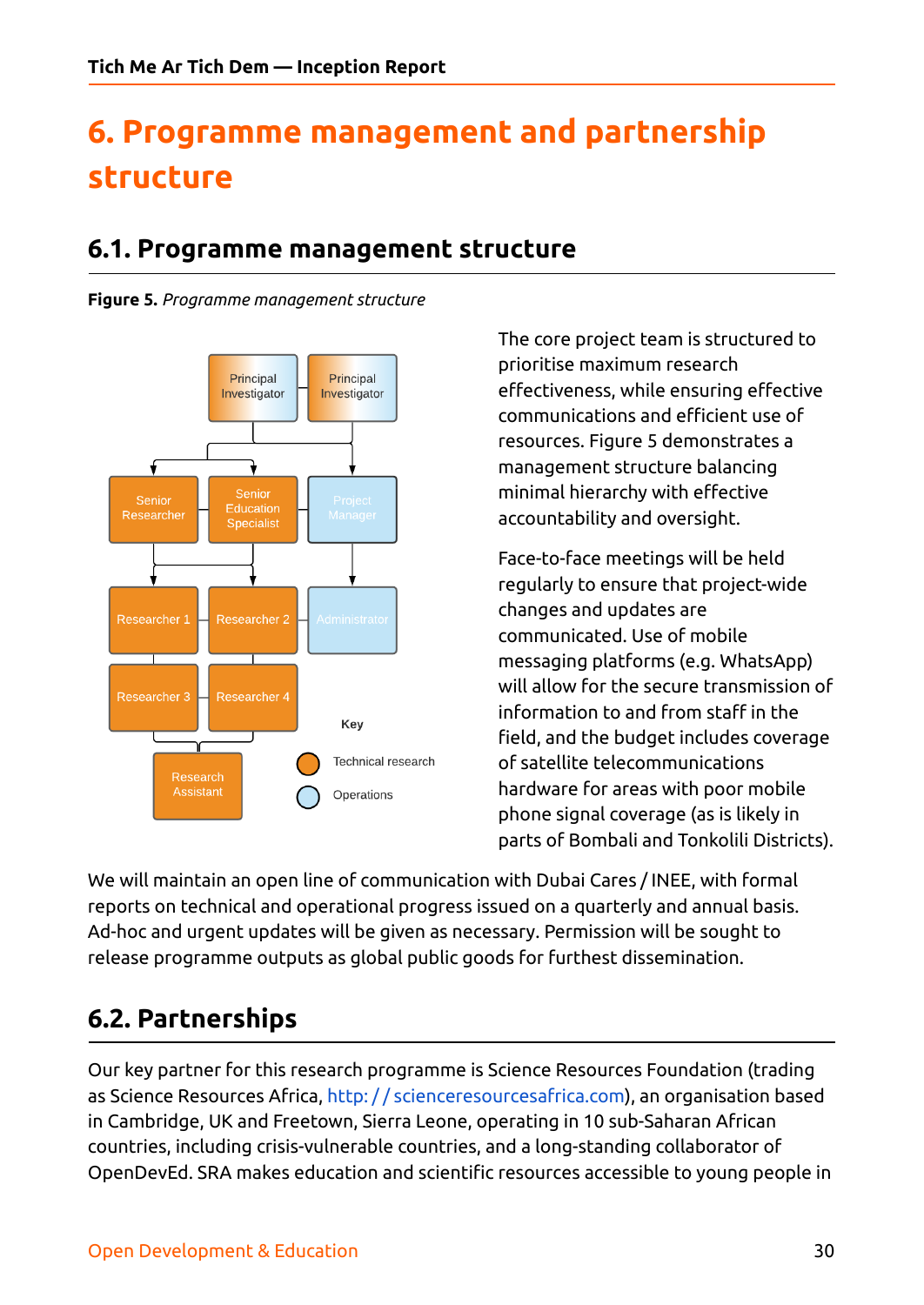# <span id="page-29-0"></span>**6. Programme management and partnership structure**

## <span id="page-29-1"></span>**6.1. Programme management structure**

<span id="page-29-2"></span>**Figure 5.** *Programme management structure*



The core project team is structured to prioritise maximum research effectiveness, while ensuring effective communications and efficient use of resources. Figure 5 demonstrates a management structure balancing minimal hierarchy with effective accountability and oversight.

Face-to-face meetings will be held regularly to ensure that project-wide changes and updates are communicated. Use of mobile messaging platforms (e.g. WhatsApp) will allow for the secure transmission of information to and from staff in the field, and the budget includes coverage of satellite telecommunications hardware for areas with poor mobile phone signal coverage (as is likely in parts of Bombali and Tonkolili Districts).

We will maintain an open line of communication with Dubai Cares / INEE, with formal reports on technical and operational progress issued on a quarterly and annual basis. Ad-hoc and urgent updates will be given as necessary. Permission will be sought to release programme outputs as global public goods for furthest dissemination.

## <span id="page-29-3"></span>**6.2. Partnerships**

Our key partner for this research programme is Science Resources Foundation (trading as Science Resources Africa, http: / / [scienceresourcesafrica.com](http://scienceresourcesafrica.com)), an organisation based in Cambridge, UK and Freetown, Sierra Leone, operating in 10 sub-Saharan African countries, including crisis-vulnerable countries, and a long-standing collaborator of OpenDevEd. SRA makes education and scientific resources accessible to young people in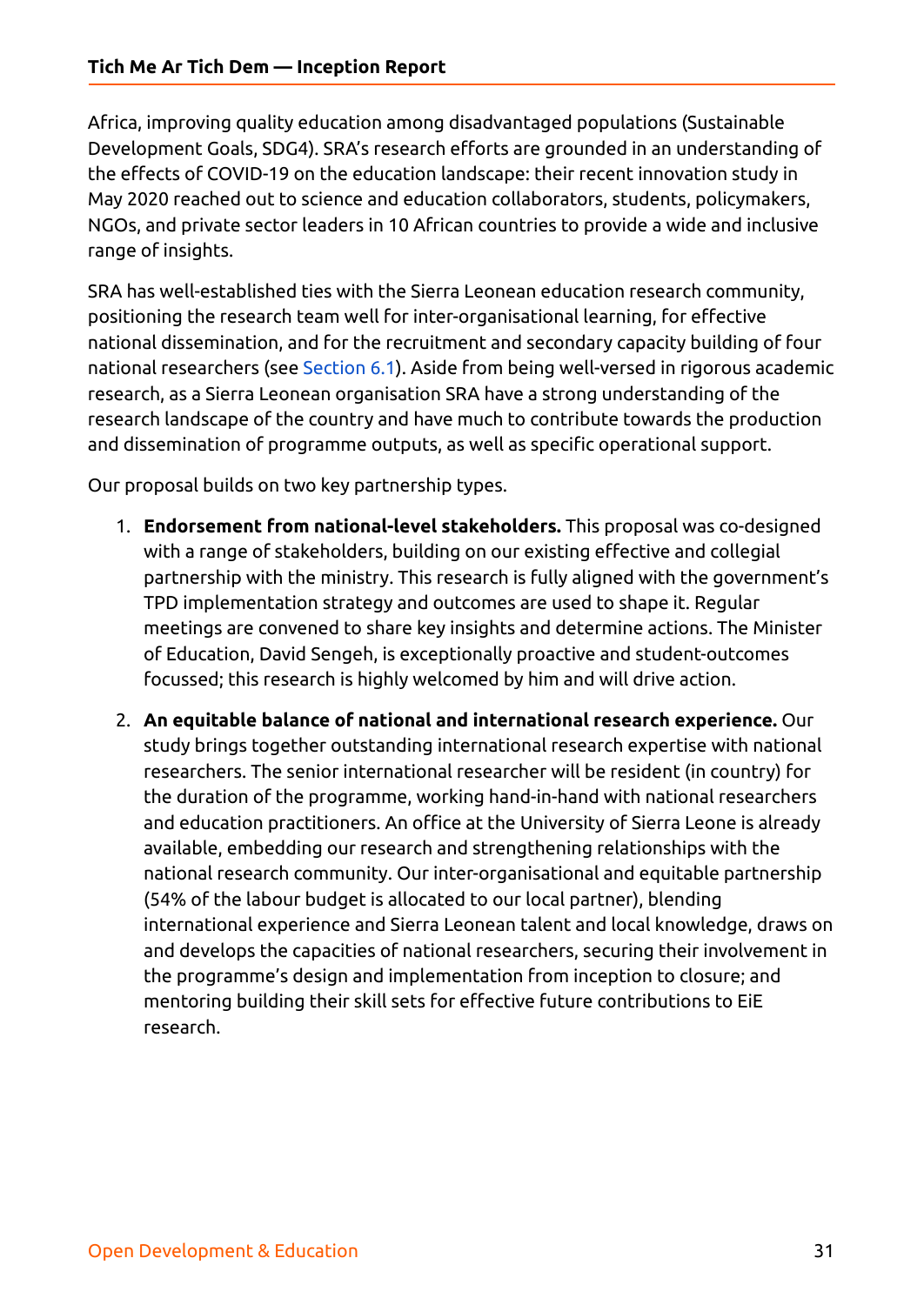Africa, improving quality education among disadvantaged populations (Sustainable Development Goals, SDG4). SRA's research efforts are grounded in an understanding of the effects of COVID-19 on the education landscape: their recent innovation study in May 2020 reached out to science and education collaborators, students, policymakers, NGOs, and private sector leaders in 10 African countries to provide a wide and inclusive range of insights.

SRA has well-established ties with the Sierra Leonean education research community, positioning the research team well for inter-organisational learning, for effective national dissemination, and for the recruitment and secondary capacity building of four national researchers (see [Section](#page-29-1) 6.1). Aside from being well-versed in rigorous academic research, as a Sierra Leonean organisation SRA have a strong understanding of the research landscape of the country and have much to contribute towards the production and dissemination of programme outputs, as well as specific operational support.

Our proposal builds on two key partnership types.

- 1. **Endorsement from national-level stakeholders.** This proposal was co-designed with a range of stakeholders, building on our existing effective and collegial partnership with the ministry. This research is fully aligned with the government's TPD implementation strategy and outcomes are used to shape it. Regular meetings are convened to share key insights and determine actions. The Minister of Education, David Sengeh, is exceptionally proactive and student-outcomes focussed; this research is highly welcomed by him and will drive action.
- 2. **An equitable balance of national and international research experience.** Our study brings together outstanding international research expertise with national researchers. The senior international researcher will be resident (in country) for the duration of the programme, working hand-in-hand with national researchers and education practitioners. An office at the University of Sierra Leone is already available, embedding our research and strengthening relationships with the national research community. Our inter-organisational and equitable partnership (54% of the labour budget is allocated to our local partner), blending international experience and Sierra Leonean talent and local knowledge, draws on and develops the capacities of national researchers, securing their involvement in the programme's design and implementation from inception to closure; and mentoring building their skill sets for effective future contributions to EiE research.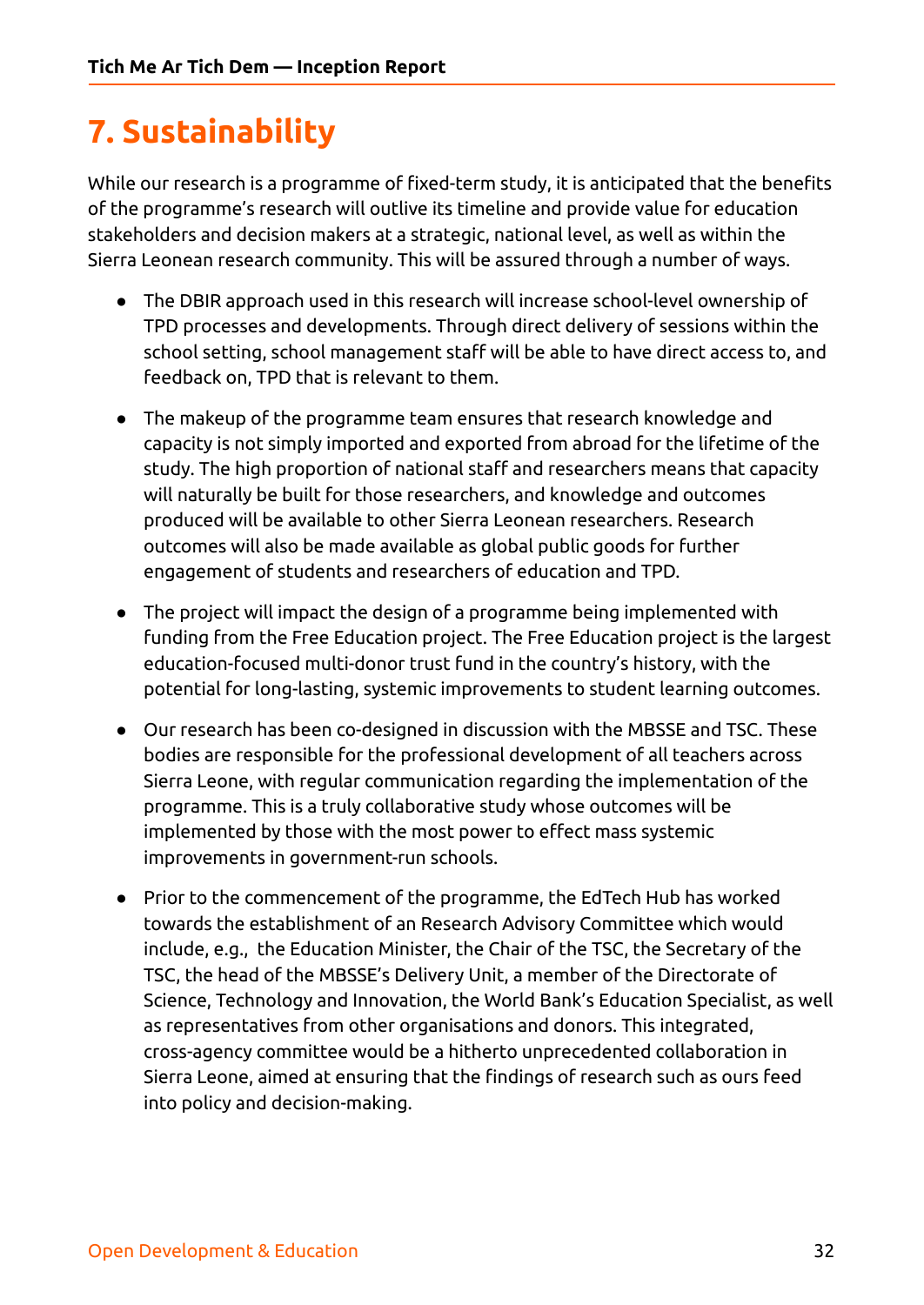# <span id="page-31-0"></span>**7. Sustainability**

While our research is a programme of fixed-term study, it is anticipated that the benefits of the programme's research will outlive its timeline and provide value for education stakeholders and decision makers at a strategic, national level, as well as within the Sierra Leonean research community. This will be assured through a number of ways.

- The DBIR approach used in this research will increase school-level ownership of TPD processes and developments. Through direct delivery of sessions within the school setting, school management staff will be able to have direct access to, and feedback on, TPD that is relevant to them.
- The makeup of the programme team ensures that research knowledge and capacity is not simply imported and exported from abroad for the lifetime of the study. The high proportion of national staff and researchers means that capacity will naturally be built for those researchers, and knowledge and outcomes produced will be available to other Sierra Leonean researchers. Research outcomes will also be made available as global public goods for further engagement of students and researchers of education and TPD.
- The project will impact the design of a programme being implemented with funding from the Free Education project. The Free Education project is the largest education-focused multi-donor trust fund in the country's history, with the potential for long-lasting, systemic improvements to student learning outcomes.
- Our research has been co-designed in discussion with the MBSSE and TSC. These bodies are responsible for the professional development of all teachers across Sierra Leone, with regular communication regarding the implementation of the programme. This is a truly collaborative study whose outcomes will be implemented by those with the most power to effect mass systemic improvements in government-run schools.
- Prior to the commencement of the programme, the EdTech Hub has worked towards the establishment of an Research Advisory Committee which would include, e.g., the Education Minister, the Chair of the TSC, the Secretary of the TSC, the head of the MBSSE's Delivery Unit, a member of the Directorate of Science, Technology and Innovation, the World Bank's Education Specialist, as well as representatives from other organisations and donors. This integrated, cross-agency committee would be a hitherto unprecedented collaboration in Sierra Leone, aimed at ensuring that the findings of research such as ours feed into policy and decision-making.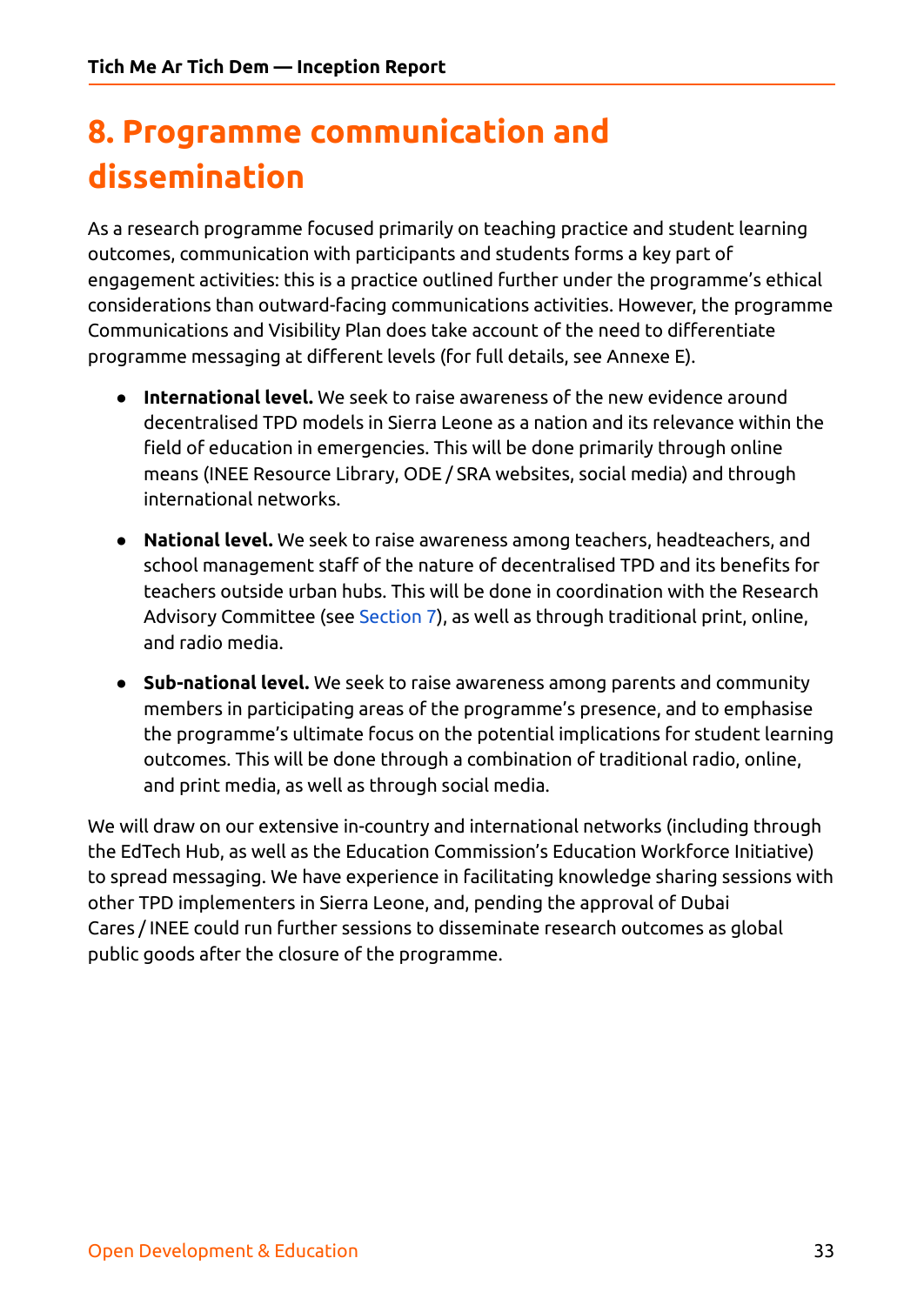# <span id="page-32-0"></span>**8. Programme communication and dissemination**

As a research programme focused primarily on teaching practice and student learning outcomes, communication with participants and students forms a key part of engagement activities: this is a practice outlined further under the programme's ethical considerations than outward-facing communications activities. However, the programme Communications and Visibility Plan does take account of the need to differentiate programme messaging at different levels (for full details, see Annexe E).

- **● International level.** We seek to raise awareness of the new evidence around decentralised TPD models in Sierra Leone as a nation and its relevance within the field of education in emergencies. This will be done primarily through online means (INEE Resource Library, ODE / SRA websites, social media) and through international networks.
- **● National level.** We seek to raise awareness among teachers, headteachers, and school management staff of the nature of decentralised TPD and its benefits for teachers outside urban hubs. This will be done in coordination with the Research Advisory Committee (see [Section](#page-31-0) 7), as well as through traditional print, online, and radio media.
- **● Sub-national level.** We seek to raise awareness among parents and community members in participating areas of the programme's presence, and to emphasise the programme's ultimate focus on the potential implications for student learning outcomes. This will be done through a combination of traditional radio, online, and print media, as well as through social media.

We will draw on our extensive in-country and international networks (including through the EdTech Hub, as well as the Education Commission's Education Workforce Initiative) to spread messaging. We have experience in facilitating knowledge sharing sessions with other TPD implementers in Sierra Leone, and, pending the approval of Dubai Cares / INEE could run further sessions to disseminate research outcomes as global public goods after the closure of the programme.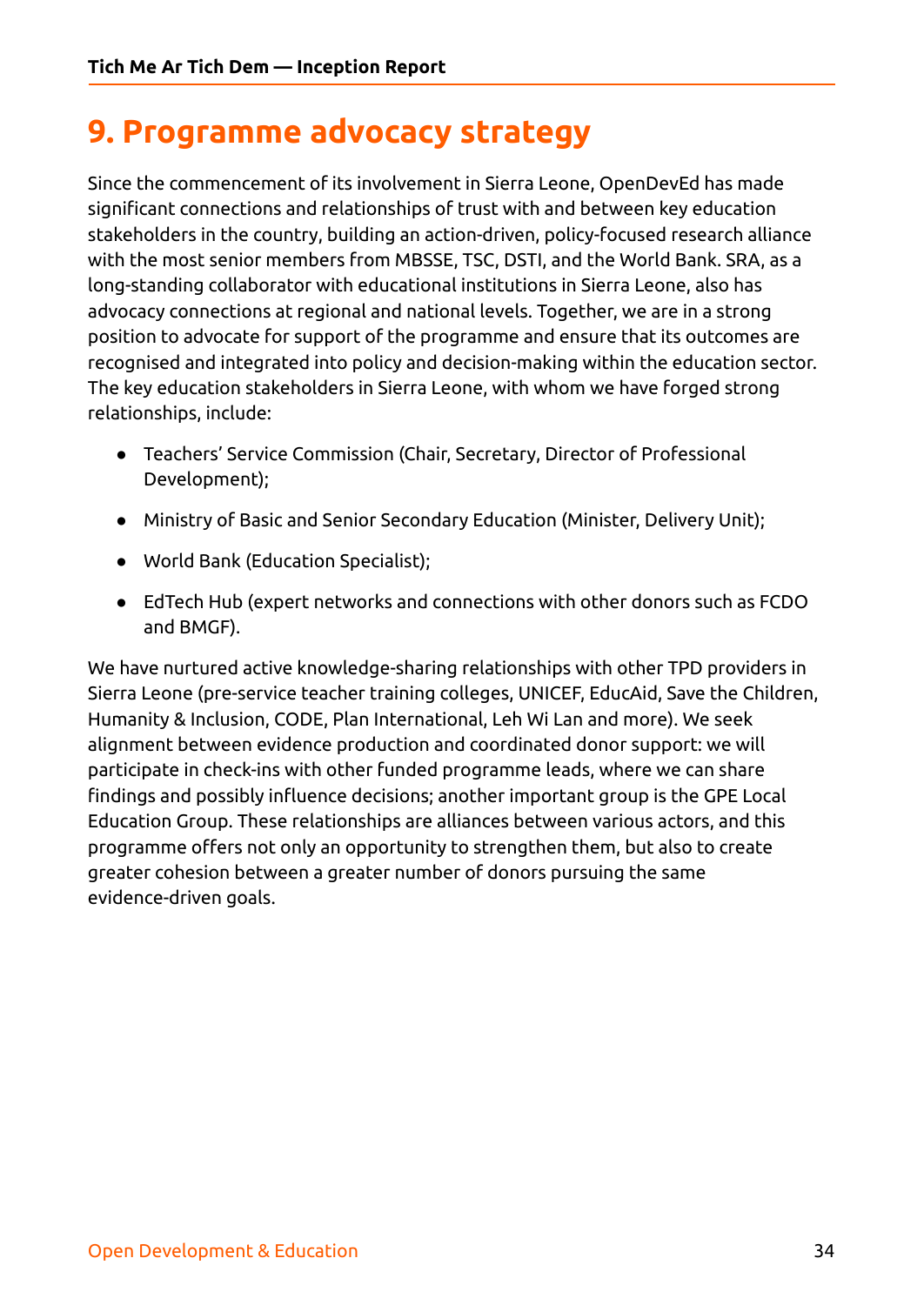# <span id="page-33-0"></span>**9. Programme advocacy strategy**

Since the commencement of its involvement in Sierra Leone, OpenDevEd has made significant connections and relationships of trust with and between key education stakeholders in the country, building an action-driven, policy-focused research alliance with the most senior members from MBSSE, TSC, DSTI, and the World Bank. SRA, as a long-standing collaborator with educational institutions in Sierra Leone, also has advocacy connections at regional and national levels. Together, we are in a strong position to advocate for support of the programme and ensure that its outcomes are recognised and integrated into policy and decision-making within the education sector. The key education stakeholders in Sierra Leone, with whom we have forged strong relationships, include:

- Teachers' Service Commission (Chair, Secretary, Director of Professional Development);
- Ministry of Basic and Senior Secondary Education (Minister, Delivery Unit);
- World Bank (Education Specialist);
- EdTech Hub (expert networks and connections with other donors such as FCDO and BMGF).

We have nurtured active knowledge-sharing relationships with other TPD providers in Sierra Leone (pre-service teacher training colleges, UNICEF, EducAid, Save the Children, Humanity & Inclusion, CODE, Plan International, Leh Wi Lan and more). We seek alignment between evidence production and coordinated donor support: we will participate in check-ins with other funded programme leads, where we can share findings and possibly influence decisions; another important group is the GPE Local Education Group. These relationships are alliances between various actors, and this programme offers not only an opportunity to strengthen them, but also to create greater cohesion between a greater number of donors pursuing the same evidence-driven goals.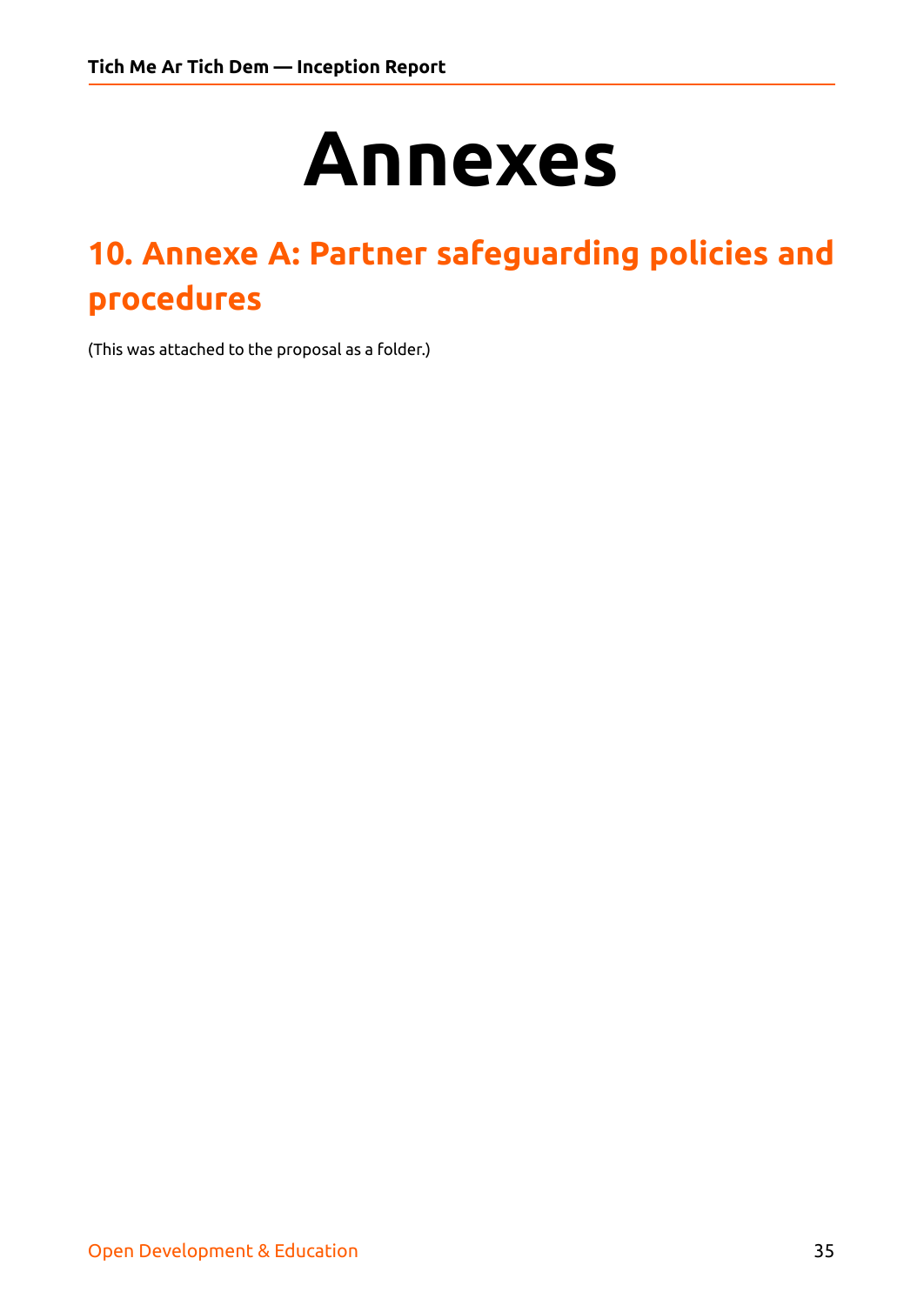# **Annexes**

# <span id="page-34-0"></span>**10. Annexe A: Partner safeguarding policies and procedures**

(This was attached to the proposal as a folder.)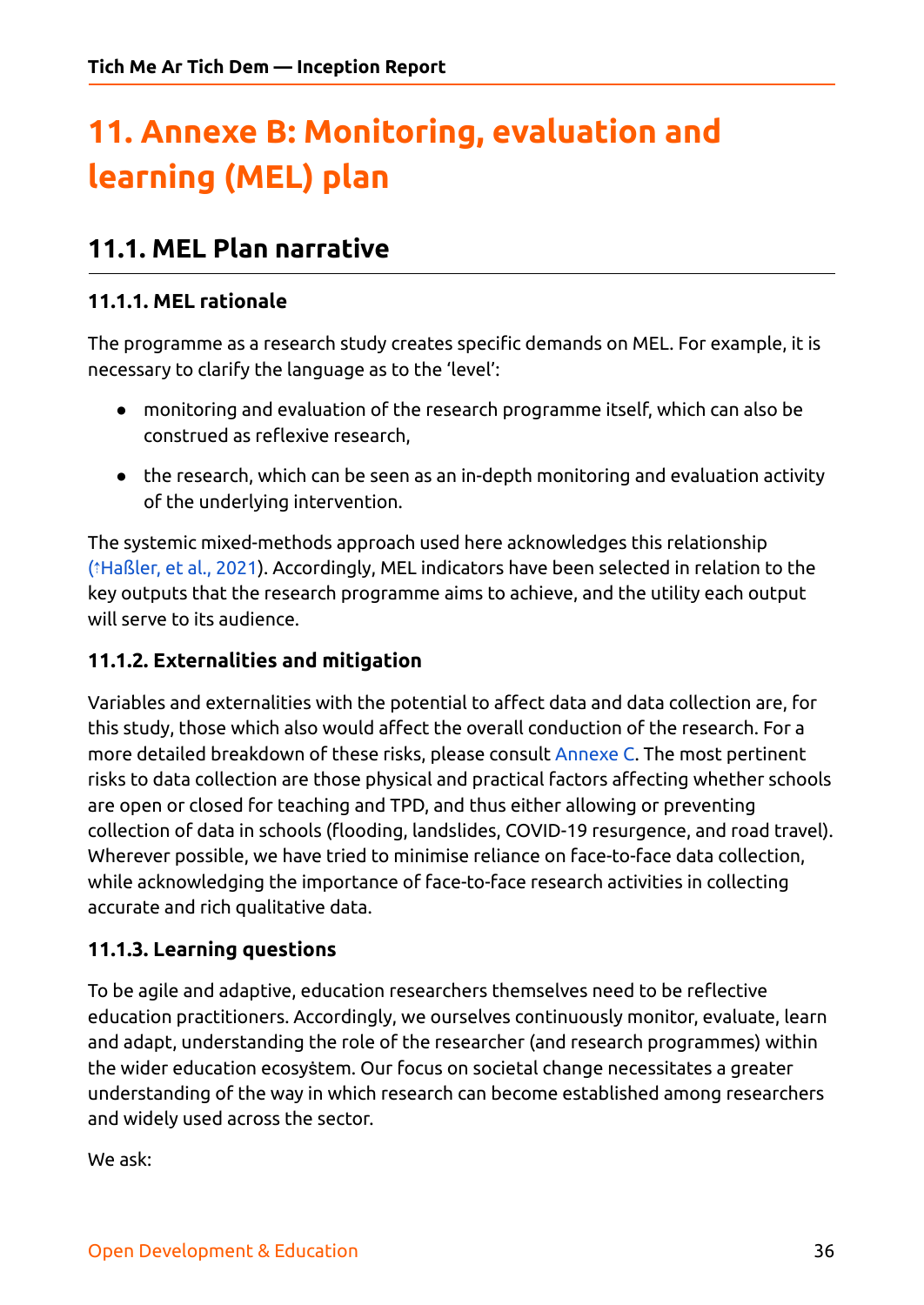# <span id="page-35-0"></span>**11. Annexe B: Monitoring, evaluation and learning (MEL) plan**

## <span id="page-35-1"></span>**11.1. MEL Plan narrative**

#### <span id="page-35-2"></span>**11.1.1. MEL rationale**

The programme as a research study creates specific demands on MEL. For example, it is necessary to clarify the language as to the 'level':

- monitoring and evaluation of the research programme itself, which can also be construed as reflexive research,
- the research, which can be seen as an in-depth monitoring and evaluation activity of the underlying intervention.

The systemic mixed-methods approach used here acknowledges this relationship (⇡[Haßler,](https://ref.opendeved.net/zo/zg/2129771/7/HT9D5C8E/Ha%C3%9Fler,%20et%20al.,%202021?src=2129771:3RTBA9FR) et al., 2021). Accordingly, MEL indicators have been selected in relation to the key outputs that the research programme aims to achieve, and the utility each output will serve to its audience.

#### <span id="page-35-3"></span>**11.1.2. Externalities and mitigation**

Variables and externalities with the potential to affect data and data collection are, for this study, those which also would affect the overall conduction of the research. For a more detailed breakdown of these risks, please consult [Annexe](#page-42-0) C. The most pertinent risks to data collection are those physical and practical factors affecting whether schools are open or closed for teaching and TPD, and thus either allowing or preventing collection of data in schools (flooding, landslides, COVID-19 resurgence, and road travel). Wherever possible, we have tried to minimise reliance on face-to-face data collection, while acknowledging the importance of face-to-face research activities in collecting accurate and rich qualitative data.

#### <span id="page-35-4"></span>**11.1.3. Learning questions**

To be agile and adaptive, education researchers themselves need to be reflective education practitioners. Accordingly, we ourselves continuously monitor, evaluate, learn and adapt, understanding the role of the researcher (and research programmes) within the wider education ecosyṡtem. Our focus on societal change necessitates a greater understanding of the way in which research can become established among researchers and widely used across the sector.

We ask: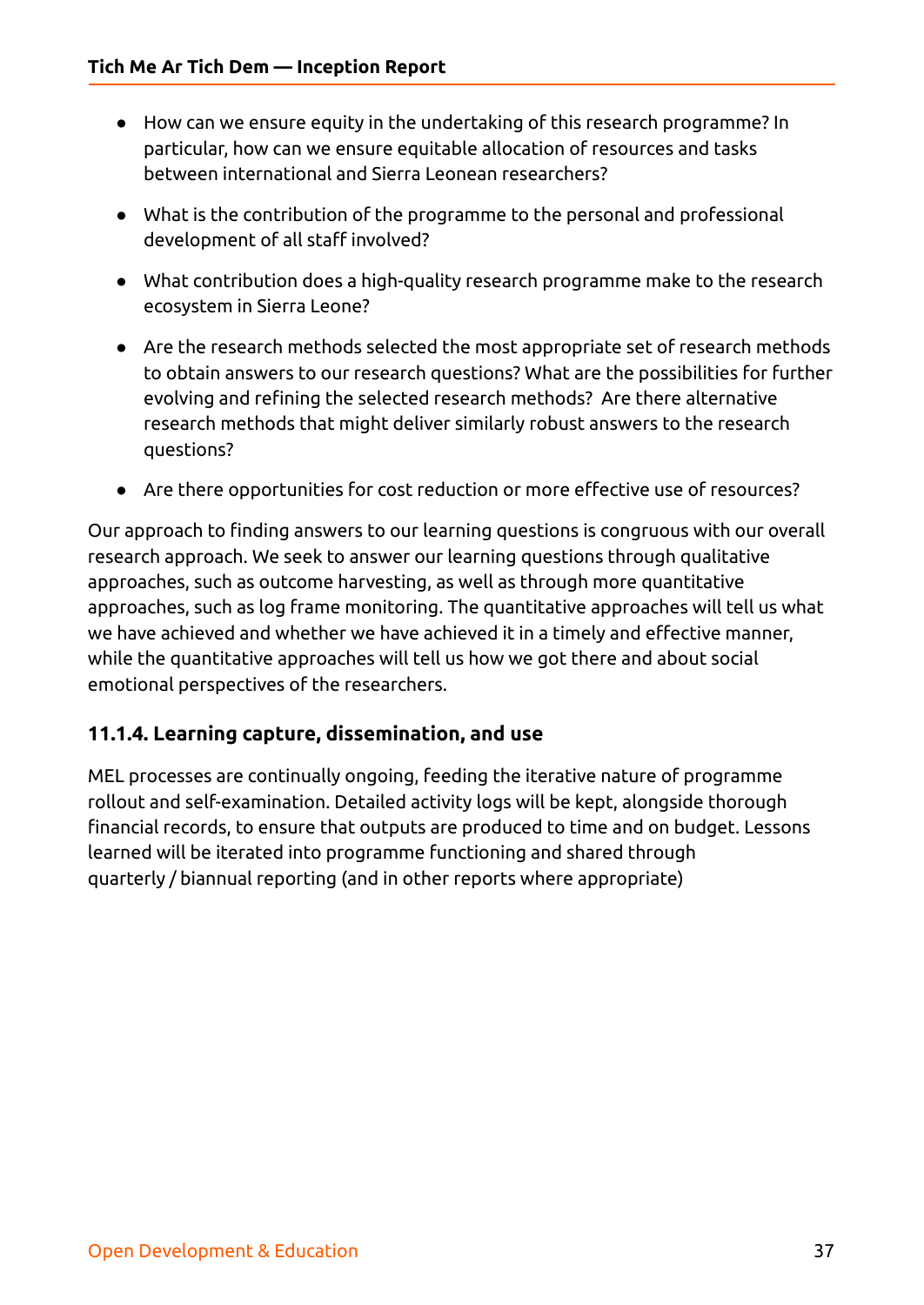- How can we ensure equity in the undertaking of this research programme? In particular, how can we ensure equitable allocation of resources and tasks between international and Sierra Leonean researchers?
- What is the contribution of the programme to the personal and professional development of all staff involved?
- What contribution does a high-quality research programme make to the research ecosystem in Sierra Leone?
- Are the research methods selected the most appropriate set of research methods to obtain answers to our research questions? What are the possibilities for further evolving and refining the selected research methods? Are there alternative research methods that might deliver similarly robust answers to the research questions?
- Are there opportunities for cost reduction or more effective use of resources?

Our approach to finding answers to our learning questions is congruous with our overall research approach. We seek to answer our learning questions through qualitative approaches, such as outcome harvesting, as well as through more quantitative approaches, such as log frame monitoring. The quantitative approaches will tell us what we have achieved and whether we have achieved it in a timely and effective manner, while the quantitative approaches will tell us how we got there and about social emotional perspectives of the researchers.

#### <span id="page-36-0"></span>**11.1.4. Learning capture, dissemination, and use**

MEL processes are continually ongoing, feeding the iterative nature of programme rollout and self-examination. Detailed activity logs will be kept, alongside thorough financial records, to ensure that outputs are produced to time and on budget. Lessons learned will be iterated into programme functioning and shared through quarterly / biannual reporting (and in other reports where appropriate)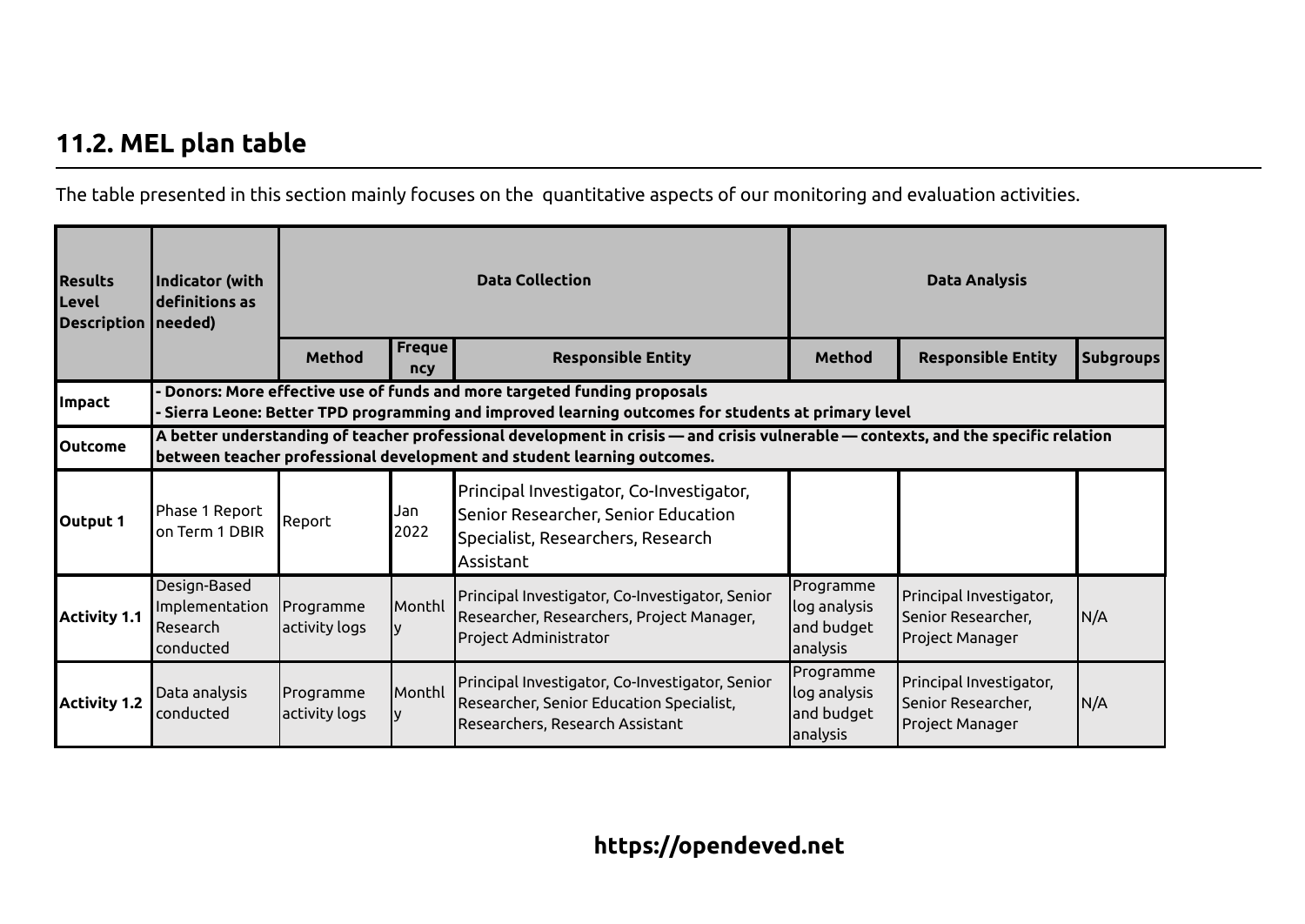## **11.2. MEL plan table**

The table presented in this section mainly focuses on the quantitative aspects of our monitoring and evaluation activities.

<span id="page-37-0"></span>

| <b>Results</b><br>Level<br><b>Description   needed)</b> | Indicator (with<br>definitions as                                                                                                                                                                             |                            |               | <b>Data Collection</b>                                                                                                                                                       |                                                     | <b>Data Analysis</b>                                             |                  |  |
|---------------------------------------------------------|---------------------------------------------------------------------------------------------------------------------------------------------------------------------------------------------------------------|----------------------------|---------------|------------------------------------------------------------------------------------------------------------------------------------------------------------------------------|-----------------------------------------------------|------------------------------------------------------------------|------------------|--|
|                                                         |                                                                                                                                                                                                               | Method                     | Freque<br>ncy | <b>Responsible Entity</b>                                                                                                                                                    | Method                                              | <b>Responsible Entity</b>                                        | <b>Subgroups</b> |  |
| <b>Impact</b>                                           |                                                                                                                                                                                                               |                            |               | Donors: More effective use of funds and more targeted funding proposals<br>Sierra Leone: Better TPD programming and improved learning outcomes for students at primary level |                                                     |                                                                  |                  |  |
| <b>Outcome</b>                                          | A better understanding of teacher professional development in crisis — and crisis vulnerable — contexts, and the specific relation<br>between teacher professional development and student learning outcomes. |                            |               |                                                                                                                                                                              |                                                     |                                                                  |                  |  |
| Output 1                                                | Phase 1 Report<br>on Term 1 DBIR                                                                                                                                                                              | Report                     | Jan<br>2022   | Principal Investigator, Co-Investigator,<br>Senior Researcher, Senior Education<br>Specialist, Researchers, Research<br> Assistant                                           |                                                     |                                                                  |                  |  |
| <b>Activity 1.1</b>                                     | Design-Based<br>Implementation<br>Research<br>conducted                                                                                                                                                       | Programme<br>activity logs | Monthl        | Principal Investigator, Co-Investigator, Senior<br>Researcher, Researchers, Project Manager,<br>Project Administrator                                                        | Programme<br>log analysis<br>and budget<br>analysis | Principal Investigator,<br>Senior Researcher,<br>Project Manager | N/A              |  |
| <b>Activity 1.2</b>                                     | Data analysis<br>conducted                                                                                                                                                                                    | Programme<br>activity logs | Monthl        | Principal Investigator, Co-Investigator, Senior<br>Researcher, Senior Education Specialist,<br>Researchers, Research Assistant                                               | Programme<br>log analysis<br>and budget<br>analysis | Principal Investigator,<br>Senior Researcher,<br>Project Manager | N/A              |  |

## **https://opendeved.net**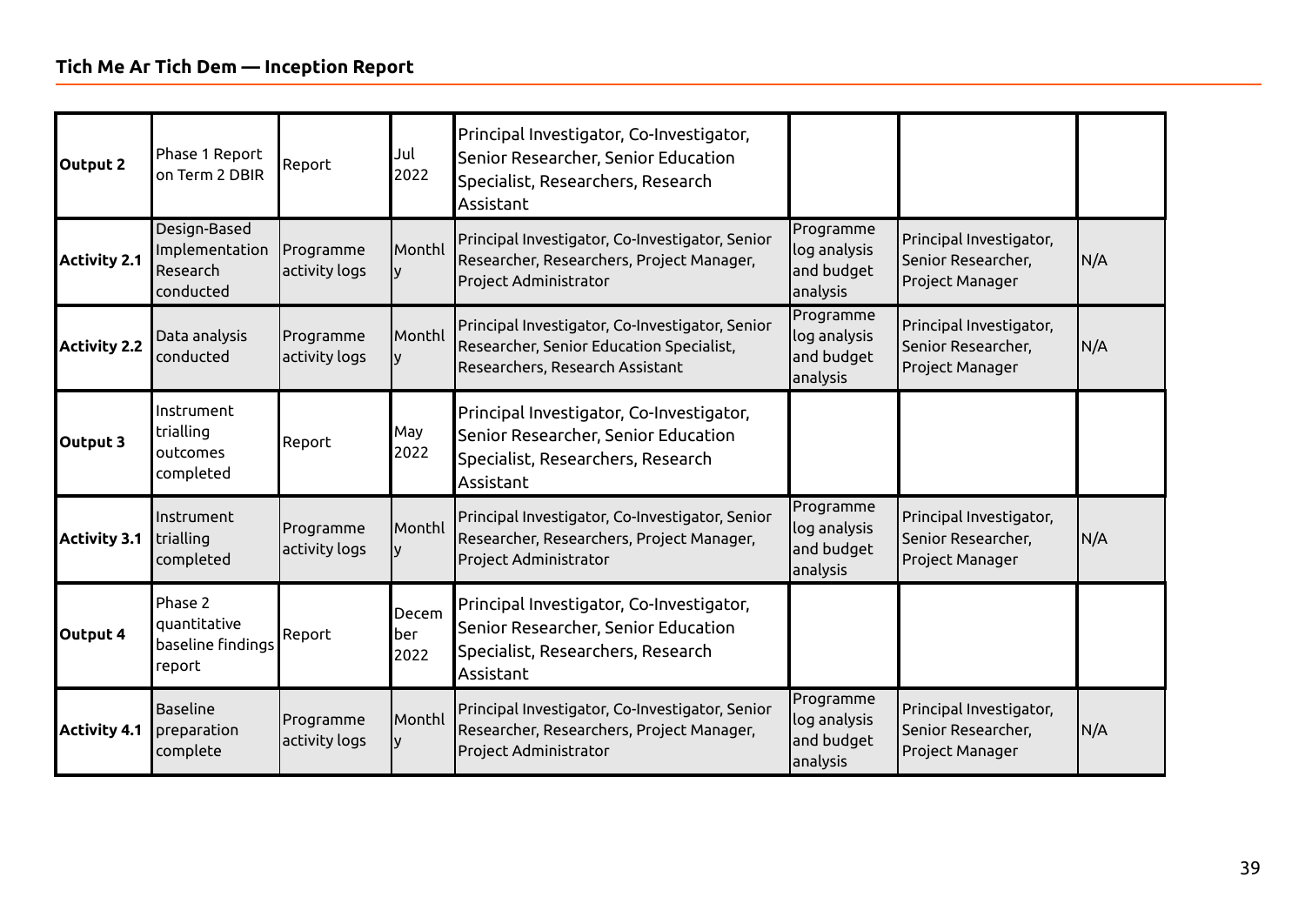| <b>Output 2</b>     | Phase 1 Report<br>on Term 2 DBIR                        | Report                     | Jul<br>2022          | Principal Investigator, Co-Investigator,<br>Senior Researcher, Senior Education<br>Specialist, Researchers, Research<br>Assistant |                                                     |                                                                  |     |
|---------------------|---------------------------------------------------------|----------------------------|----------------------|-----------------------------------------------------------------------------------------------------------------------------------|-----------------------------------------------------|------------------------------------------------------------------|-----|
| <b>Activity 2.1</b> | Design-Based<br>Implementation<br>Research<br>conducted | Programme<br>activity logs | Monthl               | Principal Investigator, Co-Investigator, Senior<br>Researcher, Researchers, Project Manager,<br><b>Project Administrator</b>      | Programme<br>log analysis<br>and budget<br>analysis | Principal Investigator,<br>Senior Researcher,<br>Project Manager | N/A |
| <b>Activity 2.2</b> | Data analysis<br>conducted                              | Programme<br>activity logs | Monthl               | Principal Investigator, Co-Investigator, Senior<br>Researcher, Senior Education Specialist,<br>Researchers, Research Assistant    | Programme<br>log analysis<br>and budget<br>analysis | Principal Investigator,<br>Senior Researcher,<br>Project Manager | N/A |
| Output 3            | Instrument<br>trialling<br>outcomes<br>completed        | Report                     | May<br>2022          | Principal Investigator, Co-Investigator,<br>Senior Researcher, Senior Education<br>Specialist, Researchers, Research<br>Assistant |                                                     |                                                                  |     |
| <b>Activity 3.1</b> | Instrument<br>trialling<br>completed                    | Programme<br>activity logs | Monthl               | Principal Investigator, Co-Investigator, Senior<br>Researcher, Researchers, Project Manager,<br><b>Project Administrator</b>      | Programme<br>log analysis<br>and budget<br>analysis | Principal Investigator,<br>Senior Researcher,<br>Project Manager | N/A |
| Output 4            | Phase 2<br>quantitative<br>baseline findings<br>report  | Report                     | Decem<br>ber<br>2022 | Principal Investigator, Co-Investigator,<br>Senior Researcher, Senior Education<br>Specialist, Researchers, Research<br>Assistant |                                                     |                                                                  |     |
| <b>Activity 4.1</b> | <b>Baseline</b><br>preparation<br>complete              | Programme<br>activity logs | Monthl               | Principal Investigator, Co-Investigator, Senior<br>Researcher, Researchers, Project Manager,<br><b>Project Administrator</b>      | Programme<br>log analysis<br>and budget<br>analysis | Principal Investigator,<br>Senior Researcher,<br>Project Manager | N/A |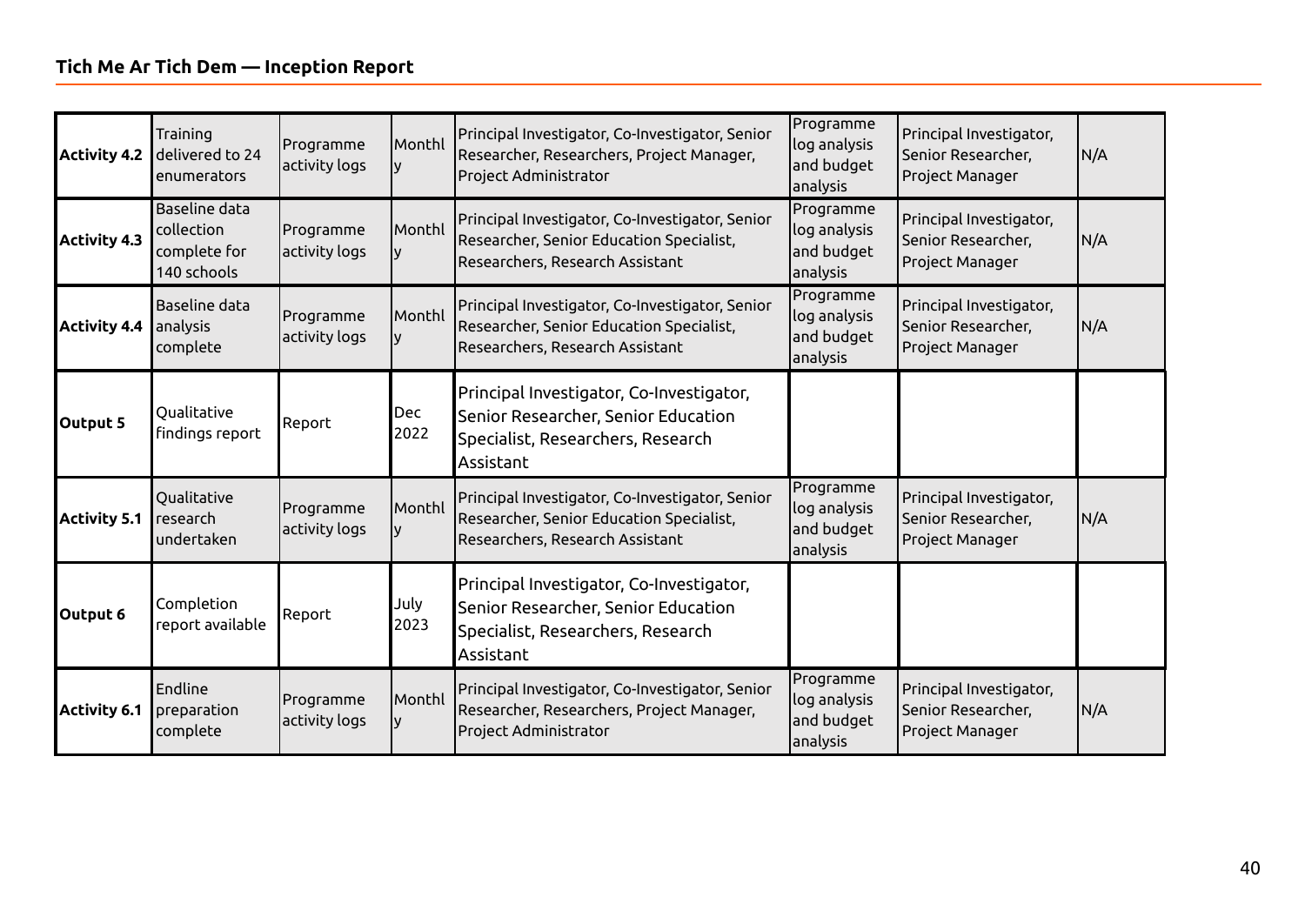| <b>Activity 4.2</b> | Training<br>delivered to 24<br>enumerators                 | Programme<br>activity logs | Monthl             | Principal Investigator, Co-Investigator, Senior<br>Researcher, Researchers, Project Manager,<br><b>Project Administrator</b>      | Programme<br>log analysis<br>and budget<br>analysis | Principal Investigator,<br>Senior Researcher,<br>Project Manager | N/A |
|---------------------|------------------------------------------------------------|----------------------------|--------------------|-----------------------------------------------------------------------------------------------------------------------------------|-----------------------------------------------------|------------------------------------------------------------------|-----|
| <b>Activity 4.3</b> | Baseline data<br>collection<br>complete for<br>140 schools | Programme<br>activity logs | Monthl             | Principal Investigator, Co-Investigator, Senior<br>Researcher, Senior Education Specialist,<br>Researchers, Research Assistant    | Programme<br>log analysis<br>and budget<br>analysis | Principal Investigator,<br>Senior Researcher,<br>Project Manager | N/A |
| <b>Activity 4.4</b> | Baseline data<br>analysis<br>complete                      | Programme<br>activity logs | Monthl             | Principal Investigator, Co-Investigator, Senior<br>Researcher, Senior Education Specialist,<br>Researchers, Research Assistant    | Programme<br>log analysis<br>and budget<br>analysis | Principal Investigator,<br>Senior Researcher,<br>Project Manager | N/A |
| Output 5            | Qualitative<br>findings report                             | Report                     | <b>Dec</b><br>2022 | Principal Investigator, Co-Investigator,<br>Senior Researcher, Senior Education<br>Specialist, Researchers, Research<br>Assistant |                                                     |                                                                  |     |
| <b>Activity 5.1</b> | Qualitative<br>research<br>undertaken                      | Programme<br>activity logs | Monthl             | Principal Investigator, Co-Investigator, Senior<br>Researcher, Senior Education Specialist,<br>Researchers, Research Assistant    | Programme<br>log analysis<br>and budget<br>analysis | Principal Investigator,<br>Senior Researcher,<br>Project Manager | N/A |
| Output 6            | Completion<br>report available                             | Report                     | July<br>2023       | Principal Investigator, Co-Investigator,<br>Senior Researcher, Senior Education<br>Specialist, Researchers, Research<br>Assistant |                                                     |                                                                  |     |
| <b>Activity 6.1</b> | Endline<br>preparation<br>complete                         | Programme<br>activity logs | Monthl             | Principal Investigator, Co-Investigator, Senior<br>Researcher, Researchers, Project Manager,<br><b>Project Administrator</b>      | Programme<br>log analysis<br>and budget<br>analysis | Principal Investigator,<br>Senior Researcher,<br>Project Manager | N/A |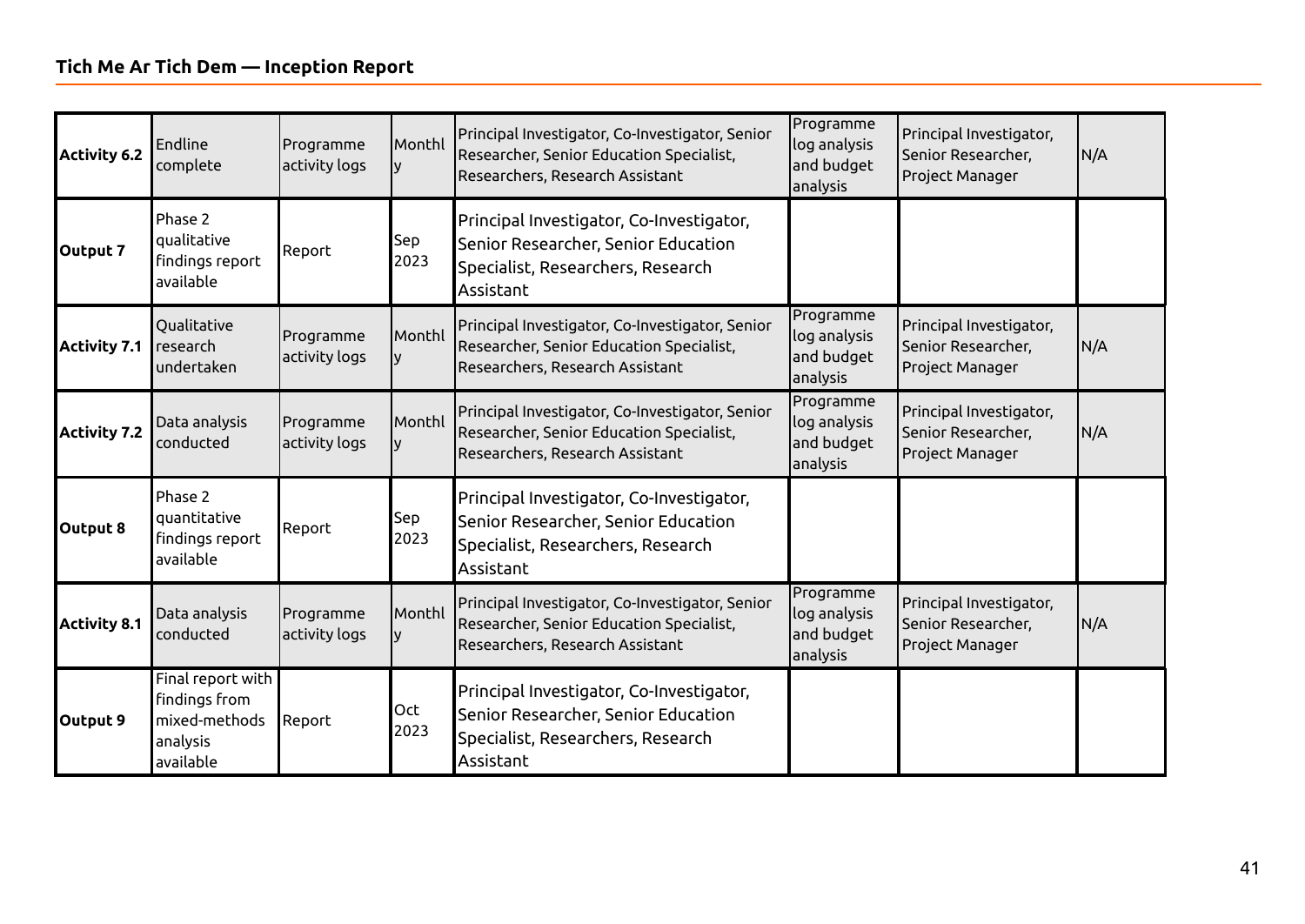| <b>Activity 6.2</b> | Endline<br>complete                                                          | Programme<br>activity logs | Monthl      | Principal Investigator, Co-Investigator, Senior<br>Researcher, Senior Education Specialist,<br>Researchers, Research Assistant    | Programme<br>log analysis<br>and budget<br>analysis | Principal Investigator,<br>Senior Researcher,<br>Project Manager | N/A |
|---------------------|------------------------------------------------------------------------------|----------------------------|-------------|-----------------------------------------------------------------------------------------------------------------------------------|-----------------------------------------------------|------------------------------------------------------------------|-----|
| Output 7            | Phase 2<br>qualitative<br>findings report<br>available                       | Report                     | Sep<br>2023 | Principal Investigator, Co-Investigator,<br>Senior Researcher, Senior Education<br>Specialist, Researchers, Research<br>Assistant |                                                     |                                                                  |     |
| <b>Activity 7.1</b> | Qualitative<br>research<br>undertaken                                        | Programme<br>activity logs | Monthl      | Principal Investigator, Co-Investigator, Senior<br>Researcher, Senior Education Specialist,<br>Researchers, Research Assistant    | Programme<br>log analysis<br>and budget<br>analysis | Principal Investigator,<br>Senior Researcher,<br>Project Manager | N/A |
| <b>Activity 7.2</b> | Data analysis<br>conducted                                                   | Programme<br>activity logs | Monthl      | Principal Investigator, Co-Investigator, Senior<br>Researcher, Senior Education Specialist,<br>Researchers, Research Assistant    | Programme<br>log analysis<br>and budget<br>analysis | Principal Investigator,<br>Senior Researcher,<br>Project Manager | N/A |
| Output 8            | Phase 2<br>quantitative<br>findings report<br>available                      | Report                     | Sep<br>2023 | Principal Investigator, Co-Investigator,<br>Senior Researcher, Senior Education<br>Specialist, Researchers, Research<br>Assistant |                                                     |                                                                  |     |
| <b>Activity 8.1</b> | Data analysis<br>conducted                                                   | Programme<br>activity logs | Monthl      | Principal Investigator, Co-Investigator, Senior<br>Researcher, Senior Education Specialist,<br>Researchers, Research Assistant    | Programme<br>log analysis<br>and budget<br>analysis | Principal Investigator,<br>Senior Researcher,<br>Project Manager | N/A |
| Output 9            | Final report with<br>findings from<br>mixed-methods<br>analysis<br>available | Report                     | Oct<br>2023 | Principal Investigator, Co-Investigator,<br>Senior Researcher, Senior Education<br>Specialist, Researchers, Research<br>Assistant |                                                     |                                                                  |     |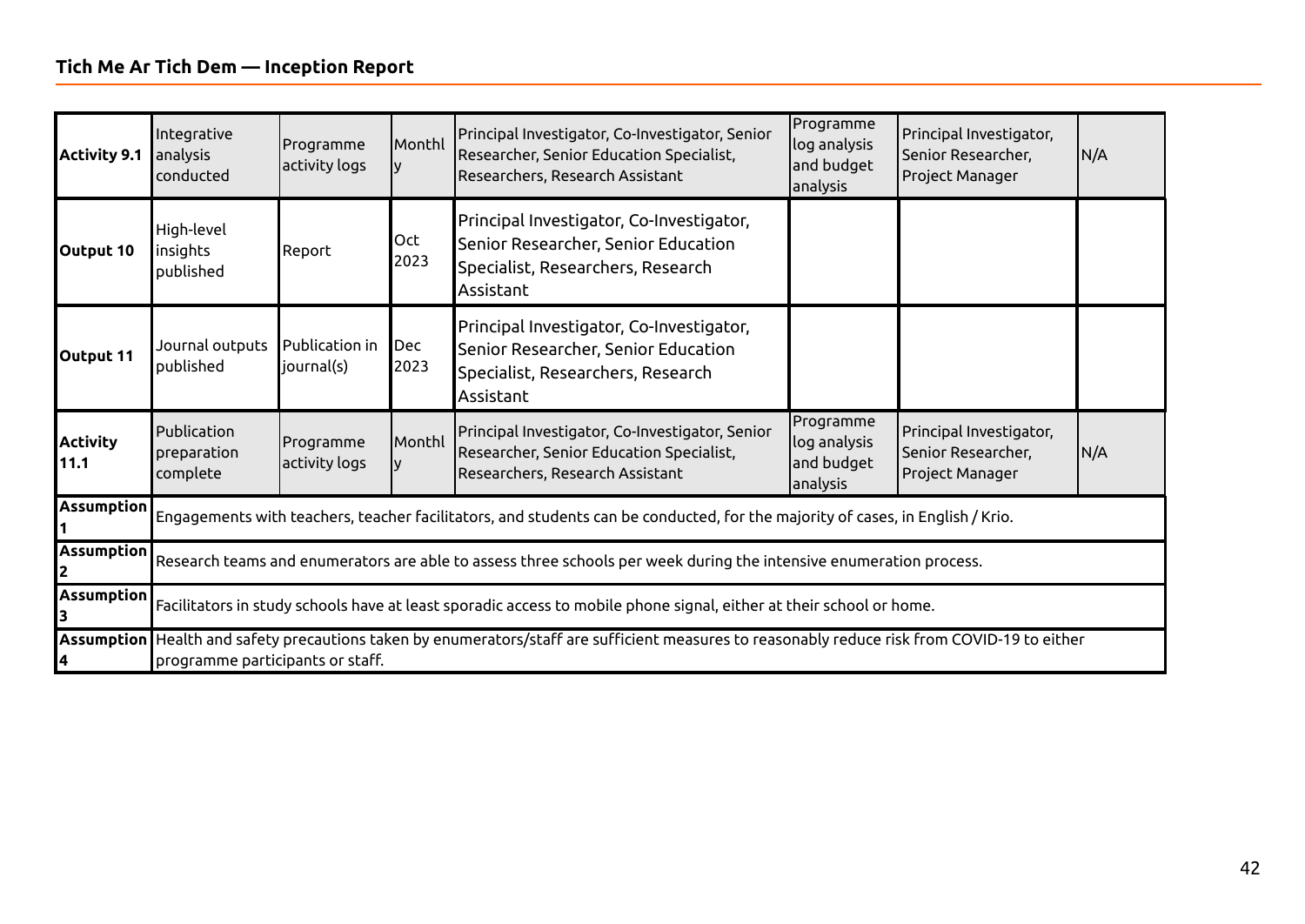| <b>Activity 9.1</b>     | Integrative<br>analysis<br>conducted   | Programme<br>activity logs                                                                                         | lMonthl     | Principal Investigator, Co-Investigator, Senior<br>Researcher, Senior Education Specialist,<br>Researchers, Research Assistant                | Programme<br>log analysis<br>and budget<br>analysis | Principal Investigator,<br>Senior Researcher,<br>Project Manager | N/A |  |  |
|-------------------------|----------------------------------------|--------------------------------------------------------------------------------------------------------------------|-------------|-----------------------------------------------------------------------------------------------------------------------------------------------|-----------------------------------------------------|------------------------------------------------------------------|-----|--|--|
| Output 10               | High-level<br>insights<br>published    | Report                                                                                                             | Oct<br>2023 | Principal Investigator, Co-Investigator,<br>Senior Researcher, Senior Education<br>Specialist, Researchers, Research<br>Assistant             |                                                     |                                                                  |     |  |  |
| Output 11               | Journal outputs<br>published           | Publication in<br>journal(s)                                                                                       | Dec<br>2023 | Principal Investigator, Co-Investigator,<br>Senior Researcher, Senior Education<br>Specialist, Researchers, Research<br>Assistant             |                                                     |                                                                  |     |  |  |
| <b>Activity</b><br>11.1 | Publication<br>preparation<br>complete | Programme<br>activity logs                                                                                         | Monthl      | Principal Investigator, Co-Investigator, Senior<br>Researcher, Senior Education Specialist,<br>Researchers, Research Assistant                | Programme<br>log analysis<br>and budget<br>analysis | Principal Investigator,<br>Senior Researcher,<br>Project Manager | N/A |  |  |
| Assumption              |                                        |                                                                                                                    |             | Engagements with teachers, teacher facilitators, and students can be conducted, for the majority of cases, in English / Krio.                 |                                                     |                                                                  |     |  |  |
| <b>Assumption</b>       |                                        | Research teams and enumerators are able to assess three schools per week during the intensive enumeration process. |             |                                                                                                                                               |                                                     |                                                                  |     |  |  |
| Assumption              |                                        |                                                                                                                    |             | Facilitators in study schools have at least sporadic access to mobile phone signal, either at their school or home.                           |                                                     |                                                                  |     |  |  |
|                         | programme participants or staff.       |                                                                                                                    |             | Assumption Health and safety precautions taken by enumerators/staff are sufficient measures to reasonably reduce risk from COVID-19 to either |                                                     |                                                                  |     |  |  |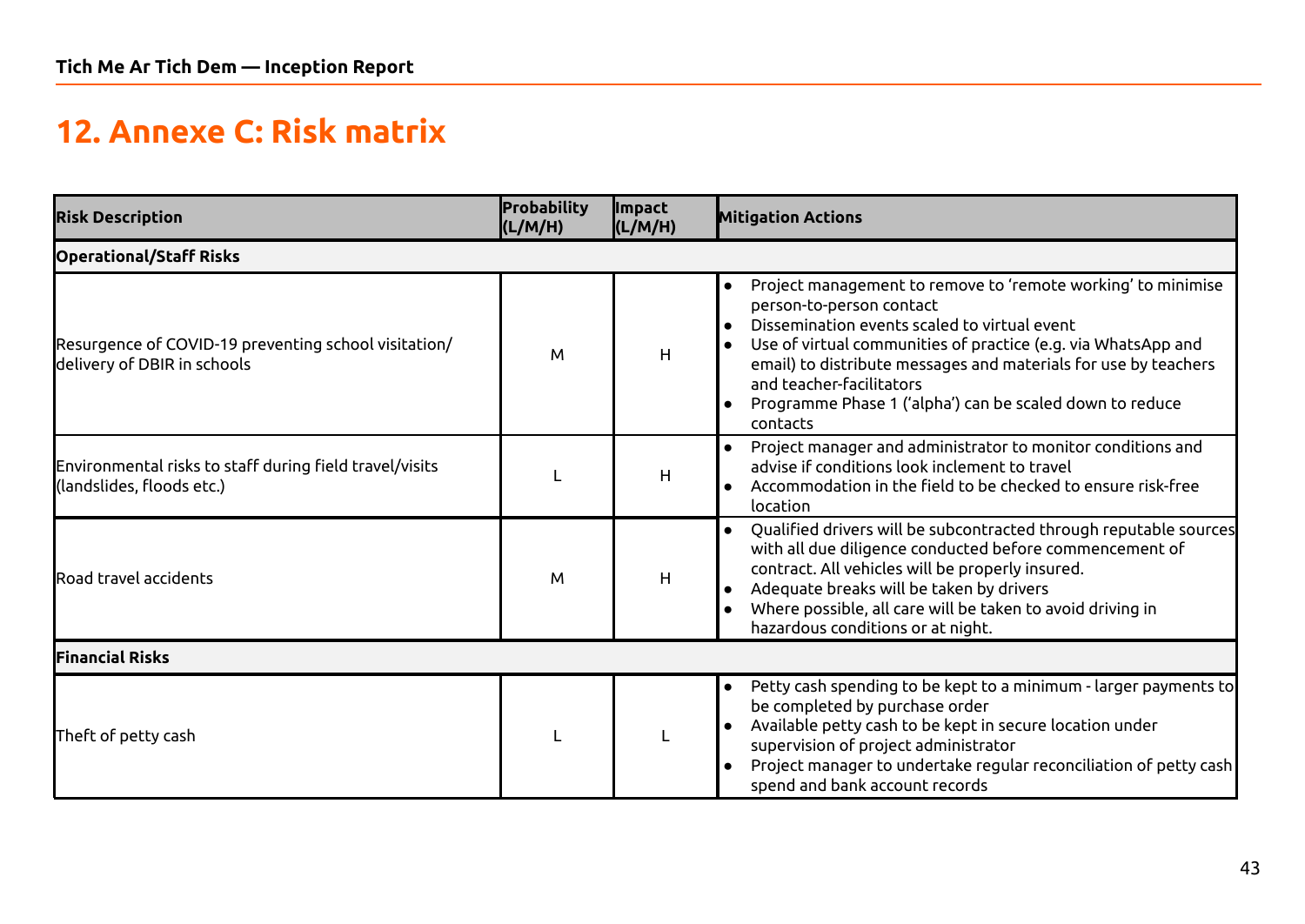# **12. Annexe C: Risk matrix**

<span id="page-42-0"></span>

| <b>Risk Description</b>                                                              | Probability<br>(L/M/H) | <b>Impact</b><br>(L/M/H) | <b>Mitigation Actions</b>                                                                                                                                                                                                                                                                                                                                                        |
|--------------------------------------------------------------------------------------|------------------------|--------------------------|----------------------------------------------------------------------------------------------------------------------------------------------------------------------------------------------------------------------------------------------------------------------------------------------------------------------------------------------------------------------------------|
| <b>Operational/Staff Risks</b>                                                       |                        |                          |                                                                                                                                                                                                                                                                                                                                                                                  |
| Resurgence of COVID-19 preventing school visitation/<br>delivery of DBIR in schools  | M                      | H                        | Project management to remove to 'remote working' to minimise<br>person-to-person contact<br>Dissemination events scaled to virtual event<br>Use of virtual communities of practice (e.g. via WhatsApp and<br>email) to distribute messages and materials for use by teachers<br>and teacher-facilitators<br>Programme Phase 1 ('alpha') can be scaled down to reduce<br>contacts |
| Environmental risks to staff during field travel/visits<br>(landslides, floods etc.) |                        | H                        | Project manager and administrator to monitor conditions and<br>advise if conditions look inclement to travel<br>Accommodation in the field to be checked to ensure risk-free<br>location                                                                                                                                                                                         |
| Road travel accidents                                                                | M                      | H                        | Qualified drivers will be subcontracted through reputable sources<br>with all due diligence conducted before commencement of<br>contract. All vehicles will be properly insured.<br>Adequate breaks will be taken by drivers<br>Where possible, all care will be taken to avoid driving in<br>hazardous conditions or at night.                                                  |
| <b>Financial Risks</b>                                                               |                        |                          |                                                                                                                                                                                                                                                                                                                                                                                  |
| Theft of petty cash                                                                  |                        |                          | Petty cash spending to be kept to a minimum - larger payments to<br>$\bullet$<br>be completed by purchase order<br>Available petty cash to be kept in secure location under<br>supervision of project administrator<br>Project manager to undertake regular reconciliation of petty cash<br>spend and bank account records                                                       |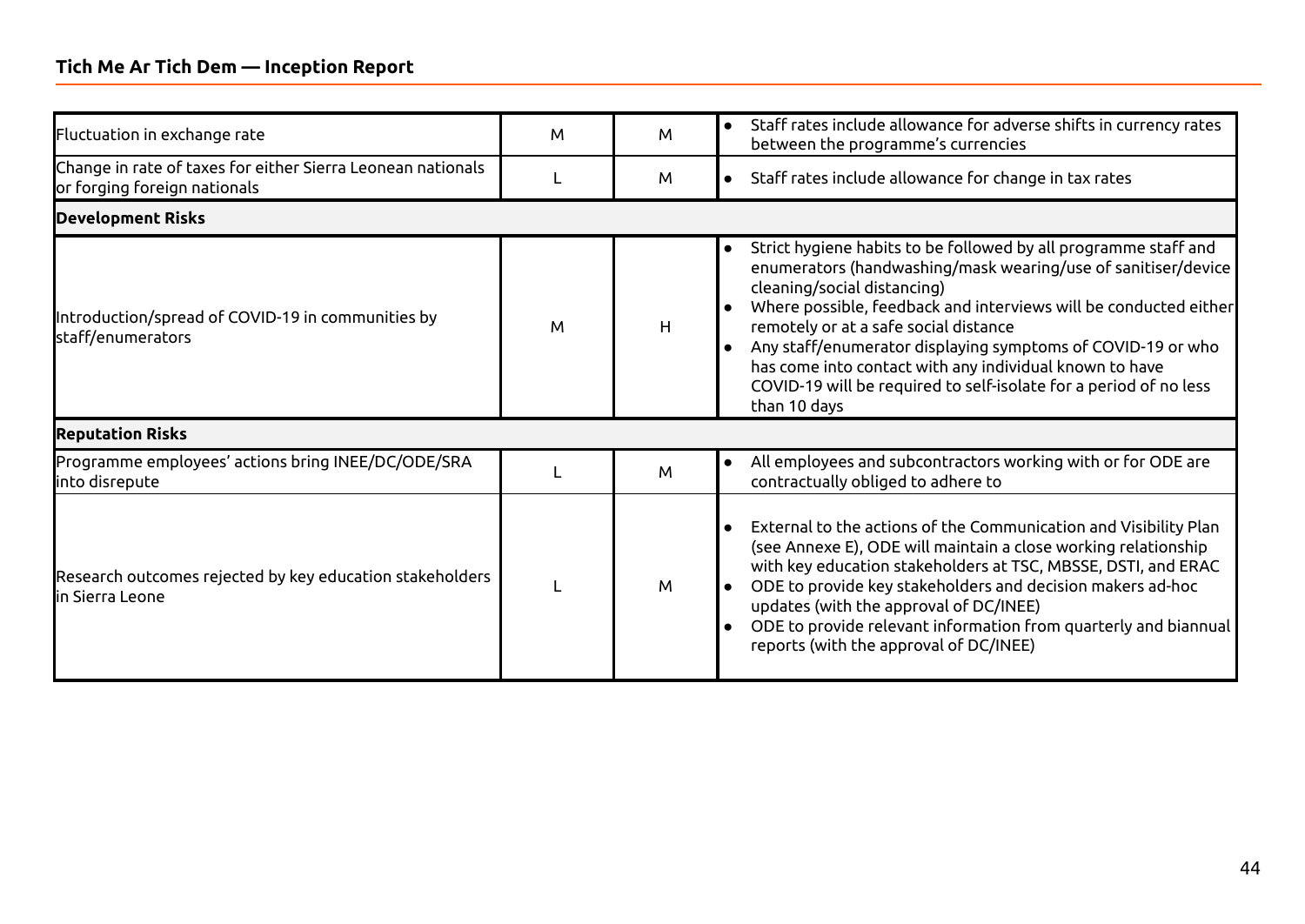#### **Tich Me Ar Tich Dem — Inception Report**

| Fluctuation in exchange rate                                                                | M | M | Staff rates include allowance for adverse shifts in currency rates<br>$\bullet$<br>between the programme's currencies                                                                                                                                                                                                                                                                                                                                                                                                        |
|---------------------------------------------------------------------------------------------|---|---|------------------------------------------------------------------------------------------------------------------------------------------------------------------------------------------------------------------------------------------------------------------------------------------------------------------------------------------------------------------------------------------------------------------------------------------------------------------------------------------------------------------------------|
| Change in rate of taxes for either Sierra Leonean nationals<br>or forging foreign nationals |   | M | Staff rates include allowance for change in tax rates                                                                                                                                                                                                                                                                                                                                                                                                                                                                        |
| <b>Development Risks</b>                                                                    |   |   |                                                                                                                                                                                                                                                                                                                                                                                                                                                                                                                              |
| Introduction/spread of COVID-19 in communities by<br>staff/enumerators                      | M | H | Strict hygiene habits to be followed by all programme staff and<br>$\bullet$<br>enumerators (handwashing/mask wearing/use of sanitiser/device<br>cleaning/social distancing)<br>Where possible, feedback and interviews will be conducted either<br>ه ا<br>remotely or at a safe social distance<br>Any staff/enumerator displaying symptoms of COVID-19 or who<br>$\bullet$<br>has come into contact with any individual known to have<br>COVID-19 will be required to self-isolate for a period of no less<br>than 10 days |
| <b>Reputation Risks</b>                                                                     |   |   |                                                                                                                                                                                                                                                                                                                                                                                                                                                                                                                              |
| Programme employees' actions bring INEE/DC/ODE/SRA<br>into disrepute                        |   | M | All employees and subcontractors working with or for ODE are<br>$\bullet$<br>contractually obliged to adhere to                                                                                                                                                                                                                                                                                                                                                                                                              |
| Research outcomes rejected by key education stakeholders<br><b>l</b> in Sierra Leone        |   | M | External to the actions of the Communication and Visibility Plan<br>$\bullet$<br>(see Annexe E), ODE will maintain a close working relationship<br>with key education stakeholders at TSC, MBSSE, DSTI, and ERAC<br>ODE to provide key stakeholders and decision makers ad-hoc<br>updates (with the approval of DC/INEE)<br>ODE to provide relevant information from quarterly and biannual<br>$\bullet$<br>reports (with the approval of DC/INEE)                                                                           |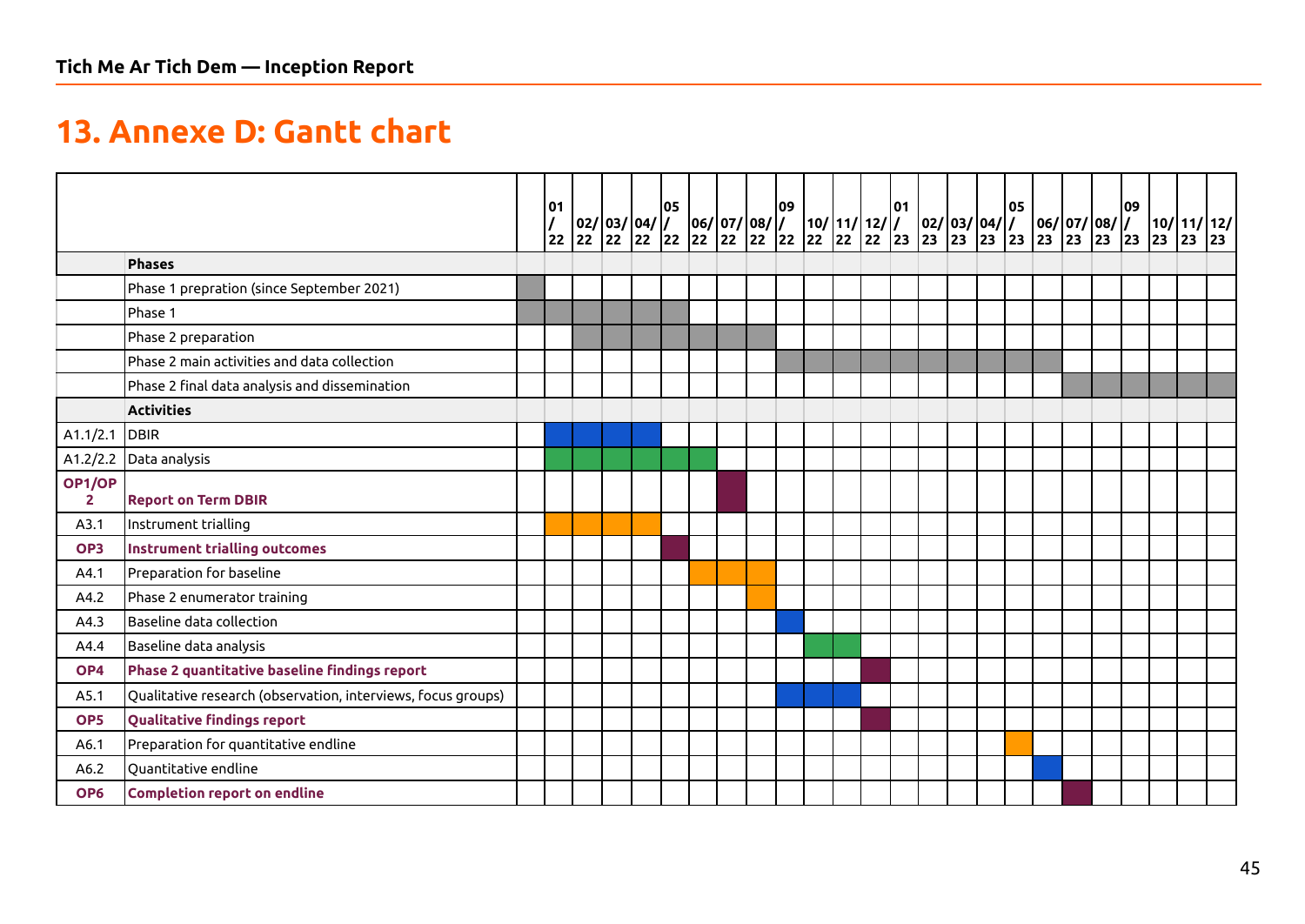# **13. Annexe D: Gantt chart**

<span id="page-44-0"></span>

|                          |                                                              | 01<br>22 | $\begin{array}{ c c c c c c c } \hline \rule{0pt}{10pt} 02/\begin{array}{c} 03/\begin{array}{c} 04/\begin{array}{c} 06/\begin{array}{c} 07/\begin{array}{c} 08/\end{array} \ \hline \end{array} \ \hline \end{array} \ \hline \end{array} \ \hline \end{array} \begin{array}{ c c c c c c c c c } \hline \begin{array}{c} 22/\begin{array}{c} 22/\begin{array}{c} 22/\begin{array}{c} 22/\begin{array}{c} 22/\begin{array}{c} 22/\begin{array$ |  | 05 |  | 09 |  | $\begin{array}{ c c c c }\n\hline\n10/ 11/ 12/ /$<br>22 22 22 23 | 101 | $\begin{array}{ c c c c c }\n\hline\n02/1 & 03/1 & 04/1 \\ 23 & 23 & 23 & 23\n\end{array}$ |  | 05 | $\left  \frac{06}{23} \right  \left  \frac{07}{23} \right  \left  \frac{08}{23} \right  \left  \frac{7}{23} \right $ | 09 |  |  |
|--------------------------|--------------------------------------------------------------|----------|------------------------------------------------------------------------------------------------------------------------------------------------------------------------------------------------------------------------------------------------------------------------------------------------------------------------------------------------------------------------------------------------------------------------------------------------|--|----|--|----|--|------------------------------------------------------------------|-----|--------------------------------------------------------------------------------------------|--|----|----------------------------------------------------------------------------------------------------------------------|----|--|--|
|                          | <b>Phases</b>                                                |          |                                                                                                                                                                                                                                                                                                                                                                                                                                                |  |    |  |    |  |                                                                  |     |                                                                                            |  |    |                                                                                                                      |    |  |  |
|                          | Phase 1 prepration (since September 2021)                    |          |                                                                                                                                                                                                                                                                                                                                                                                                                                                |  |    |  |    |  |                                                                  |     |                                                                                            |  |    |                                                                                                                      |    |  |  |
|                          | Phase 1                                                      |          |                                                                                                                                                                                                                                                                                                                                                                                                                                                |  |    |  |    |  |                                                                  |     |                                                                                            |  |    |                                                                                                                      |    |  |  |
|                          | Phase 2 preparation                                          |          |                                                                                                                                                                                                                                                                                                                                                                                                                                                |  |    |  |    |  |                                                                  |     |                                                                                            |  |    |                                                                                                                      |    |  |  |
|                          | Phase 2 main activities and data collection                  |          |                                                                                                                                                                                                                                                                                                                                                                                                                                                |  |    |  |    |  |                                                                  |     |                                                                                            |  |    |                                                                                                                      |    |  |  |
|                          | Phase 2 final data analysis and dissemination                |          |                                                                                                                                                                                                                                                                                                                                                                                                                                                |  |    |  |    |  |                                                                  |     |                                                                                            |  |    |                                                                                                                      |    |  |  |
|                          | <b>Activities</b>                                            |          |                                                                                                                                                                                                                                                                                                                                                                                                                                                |  |    |  |    |  |                                                                  |     |                                                                                            |  |    |                                                                                                                      |    |  |  |
| A1.1/2.1                 | DBIR                                                         |          |                                                                                                                                                                                                                                                                                                                                                                                                                                                |  |    |  |    |  |                                                                  |     |                                                                                            |  |    |                                                                                                                      |    |  |  |
| A1.2/2.2                 | Data analysis                                                |          |                                                                                                                                                                                                                                                                                                                                                                                                                                                |  |    |  |    |  |                                                                  |     |                                                                                            |  |    |                                                                                                                      |    |  |  |
| OP1/OP<br>$\overline{2}$ | <b>Report on Term DBIR</b>                                   |          |                                                                                                                                                                                                                                                                                                                                                                                                                                                |  |    |  |    |  |                                                                  |     |                                                                                            |  |    |                                                                                                                      |    |  |  |
| A3.1                     | Instrument trialling                                         |          |                                                                                                                                                                                                                                                                                                                                                                                                                                                |  |    |  |    |  |                                                                  |     |                                                                                            |  |    |                                                                                                                      |    |  |  |
| OP <sub>3</sub>          | <b>Instrument trialling outcomes</b>                         |          |                                                                                                                                                                                                                                                                                                                                                                                                                                                |  |    |  |    |  |                                                                  |     |                                                                                            |  |    |                                                                                                                      |    |  |  |
| A4.1                     | Preparation for baseline                                     |          |                                                                                                                                                                                                                                                                                                                                                                                                                                                |  |    |  |    |  |                                                                  |     |                                                                                            |  |    |                                                                                                                      |    |  |  |
| A4.2                     | Phase 2 enumerator training                                  |          |                                                                                                                                                                                                                                                                                                                                                                                                                                                |  |    |  |    |  |                                                                  |     |                                                                                            |  |    |                                                                                                                      |    |  |  |
| A4.3                     | Baseline data collection                                     |          |                                                                                                                                                                                                                                                                                                                                                                                                                                                |  |    |  |    |  |                                                                  |     |                                                                                            |  |    |                                                                                                                      |    |  |  |
| A4.4                     | Baseline data analysis                                       |          |                                                                                                                                                                                                                                                                                                                                                                                                                                                |  |    |  |    |  |                                                                  |     |                                                                                            |  |    |                                                                                                                      |    |  |  |
| OP4                      | Phase 2 quantitative baseline findings report                |          |                                                                                                                                                                                                                                                                                                                                                                                                                                                |  |    |  |    |  |                                                                  |     |                                                                                            |  |    |                                                                                                                      |    |  |  |
| A5.1                     | Qualitative research (observation, interviews, focus groups) |          |                                                                                                                                                                                                                                                                                                                                                                                                                                                |  |    |  |    |  |                                                                  |     |                                                                                            |  |    |                                                                                                                      |    |  |  |
| OP <sub>5</sub>          | <b>Qualitative findings report</b>                           |          |                                                                                                                                                                                                                                                                                                                                                                                                                                                |  |    |  |    |  |                                                                  |     |                                                                                            |  |    |                                                                                                                      |    |  |  |
| A6.1                     | Preparation for quantitative endline                         |          |                                                                                                                                                                                                                                                                                                                                                                                                                                                |  |    |  |    |  |                                                                  |     |                                                                                            |  |    |                                                                                                                      |    |  |  |
| A6.2                     | Quantitative endline                                         |          |                                                                                                                                                                                                                                                                                                                                                                                                                                                |  |    |  |    |  |                                                                  |     |                                                                                            |  |    |                                                                                                                      |    |  |  |
| OP <sub>6</sub>          | Completion report on endline                                 |          |                                                                                                                                                                                                                                                                                                                                                                                                                                                |  |    |  |    |  |                                                                  |     |                                                                                            |  |    |                                                                                                                      |    |  |  |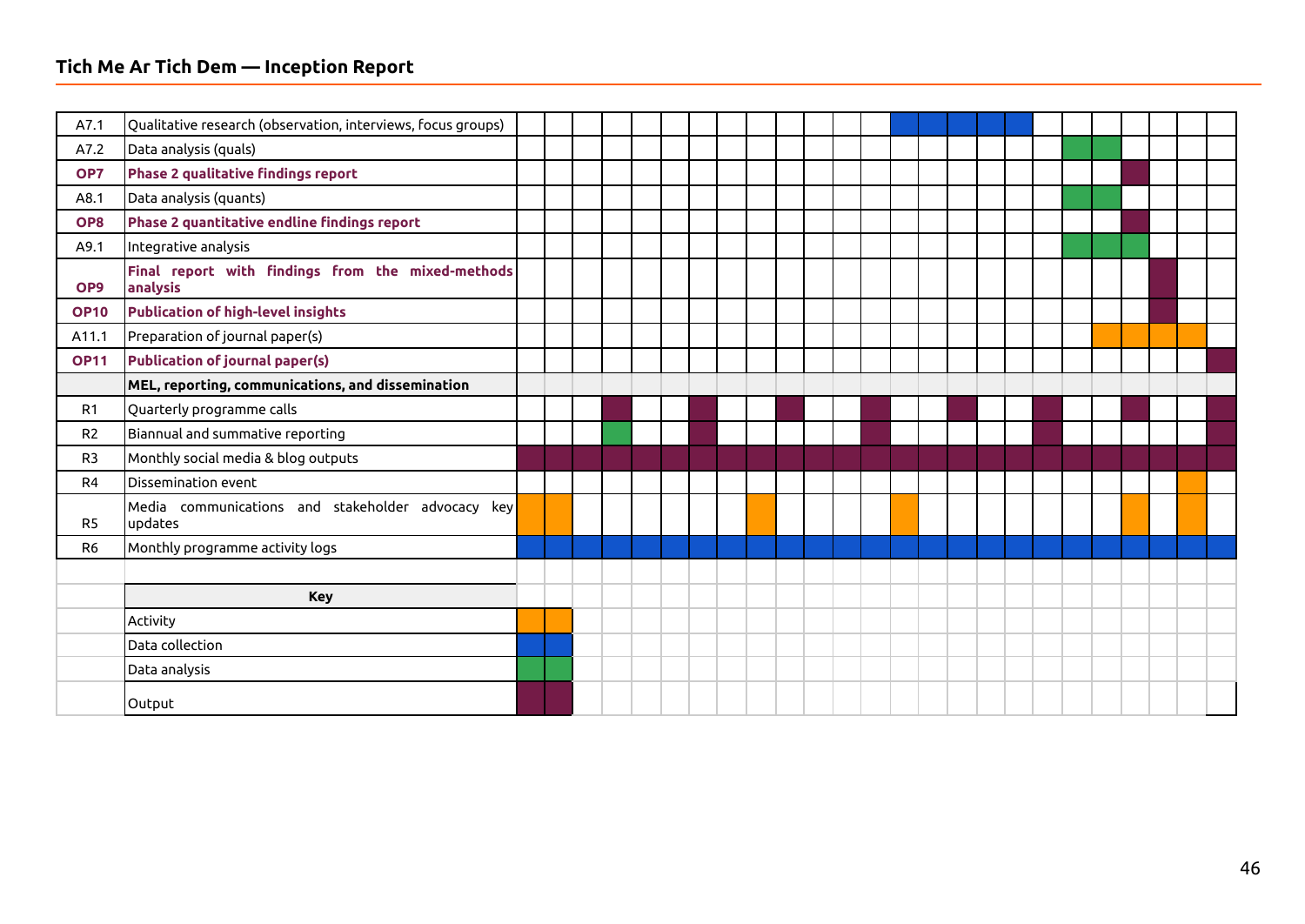#### **Tich Me Ar Tich Dem — Inception Report**

| A7.1            | Qualitative research (observation, interviews, focus groups)  |  |  |  |  |  |  |  |  |  |  |  |  |  |
|-----------------|---------------------------------------------------------------|--|--|--|--|--|--|--|--|--|--|--|--|--|
| A7.2            | Data analysis (quals)                                         |  |  |  |  |  |  |  |  |  |  |  |  |  |
| OP7             | <b>Phase 2 qualitative findings report</b>                    |  |  |  |  |  |  |  |  |  |  |  |  |  |
| A8.1            | Data analysis (quants)                                        |  |  |  |  |  |  |  |  |  |  |  |  |  |
| OP8             | Phase 2 quantitative endline findings report                  |  |  |  |  |  |  |  |  |  |  |  |  |  |
| A9.1            | Integrative analysis                                          |  |  |  |  |  |  |  |  |  |  |  |  |  |
| OP <sub>9</sub> | Final report with findings from the mixed-methods<br>analysis |  |  |  |  |  |  |  |  |  |  |  |  |  |
| <b>OP10</b>     | <b>Publication of high-level insights</b>                     |  |  |  |  |  |  |  |  |  |  |  |  |  |
| A11.1           | Preparation of journal paper(s)                               |  |  |  |  |  |  |  |  |  |  |  |  |  |
| <b>OP11</b>     | <b>Publication of journal paper(s)</b>                        |  |  |  |  |  |  |  |  |  |  |  |  |  |
|                 | MEL, reporting, communications, and dissemination             |  |  |  |  |  |  |  |  |  |  |  |  |  |
| R1              | Quarterly programme calls                                     |  |  |  |  |  |  |  |  |  |  |  |  |  |
| R <sub>2</sub>  | Biannual and summative reporting                              |  |  |  |  |  |  |  |  |  |  |  |  |  |
| R <sub>3</sub>  | Monthly social media & blog outputs                           |  |  |  |  |  |  |  |  |  |  |  |  |  |
| R <sub>4</sub>  | Dissemination event                                           |  |  |  |  |  |  |  |  |  |  |  |  |  |
| R <sub>5</sub>  | Media communications and stakeholder advocacy key<br>updates  |  |  |  |  |  |  |  |  |  |  |  |  |  |
| R <sub>6</sub>  | Monthly programme activity logs                               |  |  |  |  |  |  |  |  |  |  |  |  |  |
|                 |                                                               |  |  |  |  |  |  |  |  |  |  |  |  |  |
|                 | <b>Key</b>                                                    |  |  |  |  |  |  |  |  |  |  |  |  |  |
|                 | Activity                                                      |  |  |  |  |  |  |  |  |  |  |  |  |  |
|                 | Data collection                                               |  |  |  |  |  |  |  |  |  |  |  |  |  |
|                 | Data analysis                                                 |  |  |  |  |  |  |  |  |  |  |  |  |  |
|                 | Output                                                        |  |  |  |  |  |  |  |  |  |  |  |  |  |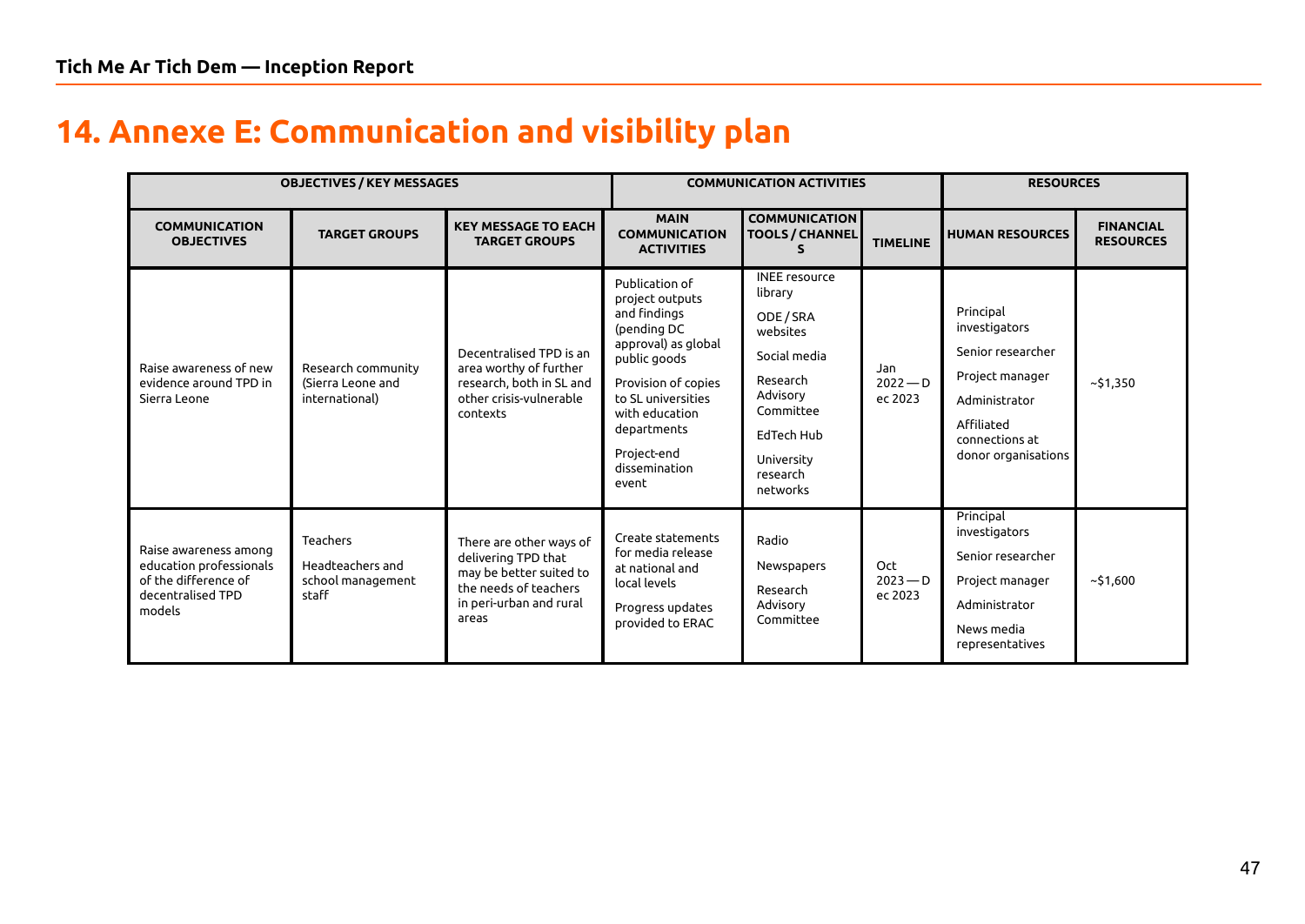# **14. Annexe E: Communication and visibility plan**

<span id="page-46-0"></span>

|                                                                                                         | <b>OBJECTIVES / KEY MESSAGES</b>                                  |                                                                                                                                        |                                                                                                                                                                                                                                | <b>COMMUNICATION ACTIVITIES</b>                                                                                                                                   |                              | <b>RESOURCES</b>                                                                                                                           |                                      |  |  |  |  |
|---------------------------------------------------------------------------------------------------------|-------------------------------------------------------------------|----------------------------------------------------------------------------------------------------------------------------------------|--------------------------------------------------------------------------------------------------------------------------------------------------------------------------------------------------------------------------------|-------------------------------------------------------------------------------------------------------------------------------------------------------------------|------------------------------|--------------------------------------------------------------------------------------------------------------------------------------------|--------------------------------------|--|--|--|--|
| <b>COMMUNICATION</b><br><b>OBJECTIVES</b>                                                               | <b>TARGET GROUPS</b>                                              | <b>KEY MESSAGE TO EACH</b><br><b>TARGET GROUPS</b>                                                                                     | <b>MAIN</b><br><b>COMMUNICATION</b><br><b>ACTIVITIES</b>                                                                                                                                                                       | <b>COMMUNICATION</b><br><b>TOOLS / CHANNEL</b>                                                                                                                    | <b>TIMELINE</b>              | <b>HUMAN RESOURCES</b>                                                                                                                     | <b>FINANCIAL</b><br><b>RESOURCES</b> |  |  |  |  |
| Raise awareness of new<br>evidence around TPD in<br>Sierra Leone                                        | Research community<br>(Sierra Leone and<br>international)         | Decentralised TPD is an<br>area worthy of further<br>research, both in SL and<br>other crisis-vulnerable<br>contexts                   | Publication of<br>project outputs<br>and findings<br>(pending DC<br>approval) as global<br>public goods<br>Provision of copies<br>to SL universities<br>with education<br>departments<br>Project-end<br>dissemination<br>event | <b>INEE</b> resource<br>library<br>ODE / SRA<br>websites<br>Social media<br>Research<br>Advisory<br>Committee<br>EdTech Hub<br>University<br>research<br>networks | Jan<br>$2022 - D$<br>ec 2023 | Principal<br>investigators<br>Senior researcher<br>Project manager<br>Administrator<br>Affiliated<br>connections at<br>donor organisations | ~51,350                              |  |  |  |  |
| Raise awareness among<br>education professionals<br>of the difference of<br>decentralised TPD<br>models | <b>Teachers</b><br>Headteachers and<br>school management<br>staff | There are other ways of<br>delivering TPD that<br>may be better suited to<br>the needs of teachers<br>in peri-urban and rural<br>areas | Create statements<br>for media release<br>at national and<br>local levels<br>Progress updates<br>provided to ERAC                                                                                                              | Radio<br>Newspapers<br>Research<br>Advisory<br>Committee                                                                                                          | Oct<br>$2023 - D$<br>ec 2023 | Principal<br>investigators<br>Senior researcher<br>Project manager<br>Administrator<br>News media<br>representatives                       | ~51,600                              |  |  |  |  |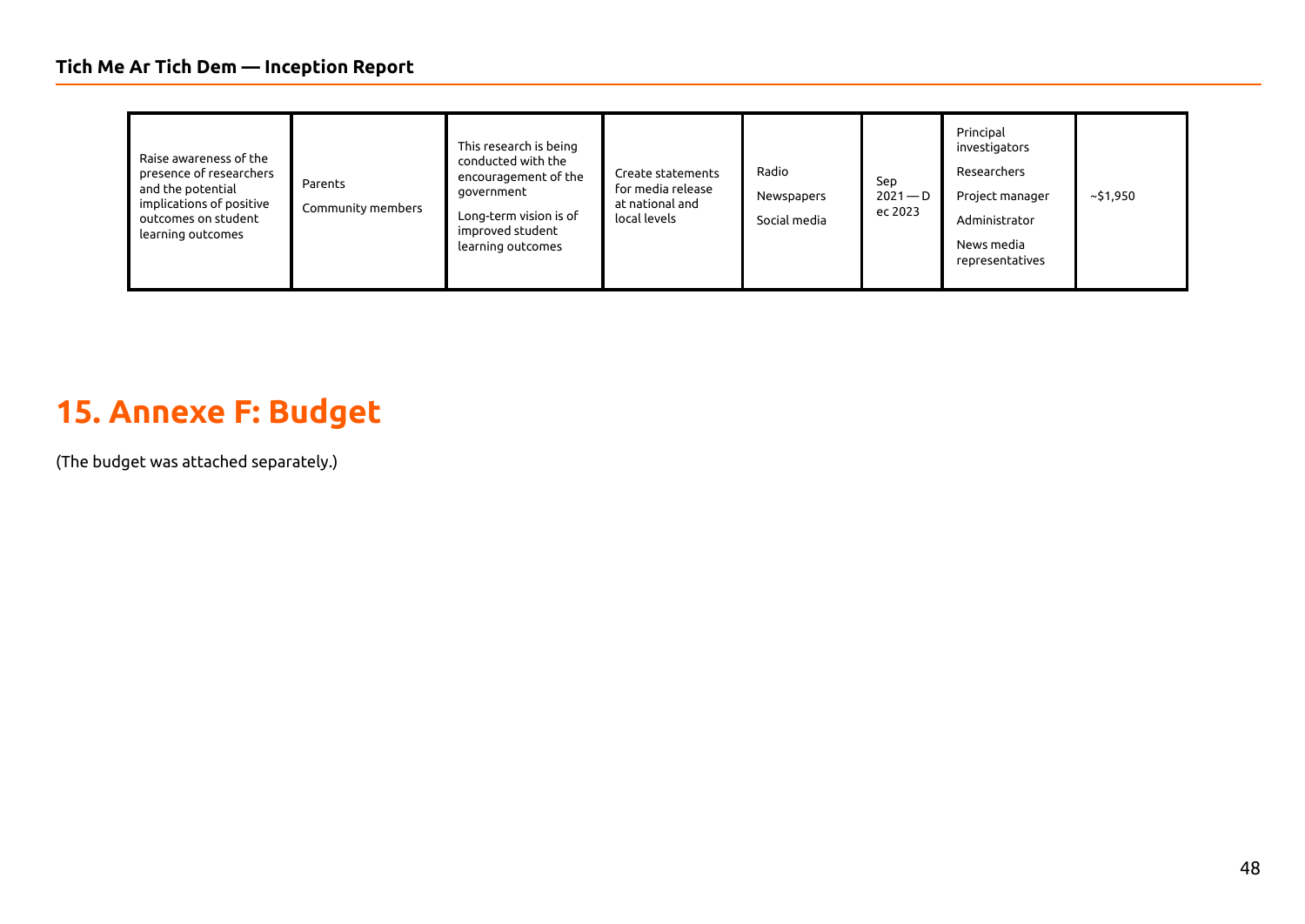| Raise awareness of the<br>presence of researchers<br>and the potential<br>implications of positive<br>outcomes on student<br>learning outcomes | Parents<br>Community members | This research is being<br>conducted with the<br>encouragement of the<br>government<br>Long-term vision is of<br>improved student<br>learning outcomes | Create statements<br>for media release<br>at national and<br>local levels | Radio<br>Newspapers<br>Social media | Sep<br>$2021 - D$<br>ec 2023 | Principal<br>investigators<br>Researchers<br>Project manager<br>Administrator<br>News media<br>representatives | ~51,950 |
|------------------------------------------------------------------------------------------------------------------------------------------------|------------------------------|-------------------------------------------------------------------------------------------------------------------------------------------------------|---------------------------------------------------------------------------|-------------------------------------|------------------------------|----------------------------------------------------------------------------------------------------------------|---------|
|------------------------------------------------------------------------------------------------------------------------------------------------|------------------------------|-------------------------------------------------------------------------------------------------------------------------------------------------------|---------------------------------------------------------------------------|-------------------------------------|------------------------------|----------------------------------------------------------------------------------------------------------------|---------|

# **15. Annexe F: Budget**

<span id="page-47-0"></span>(The budget was attached separately.)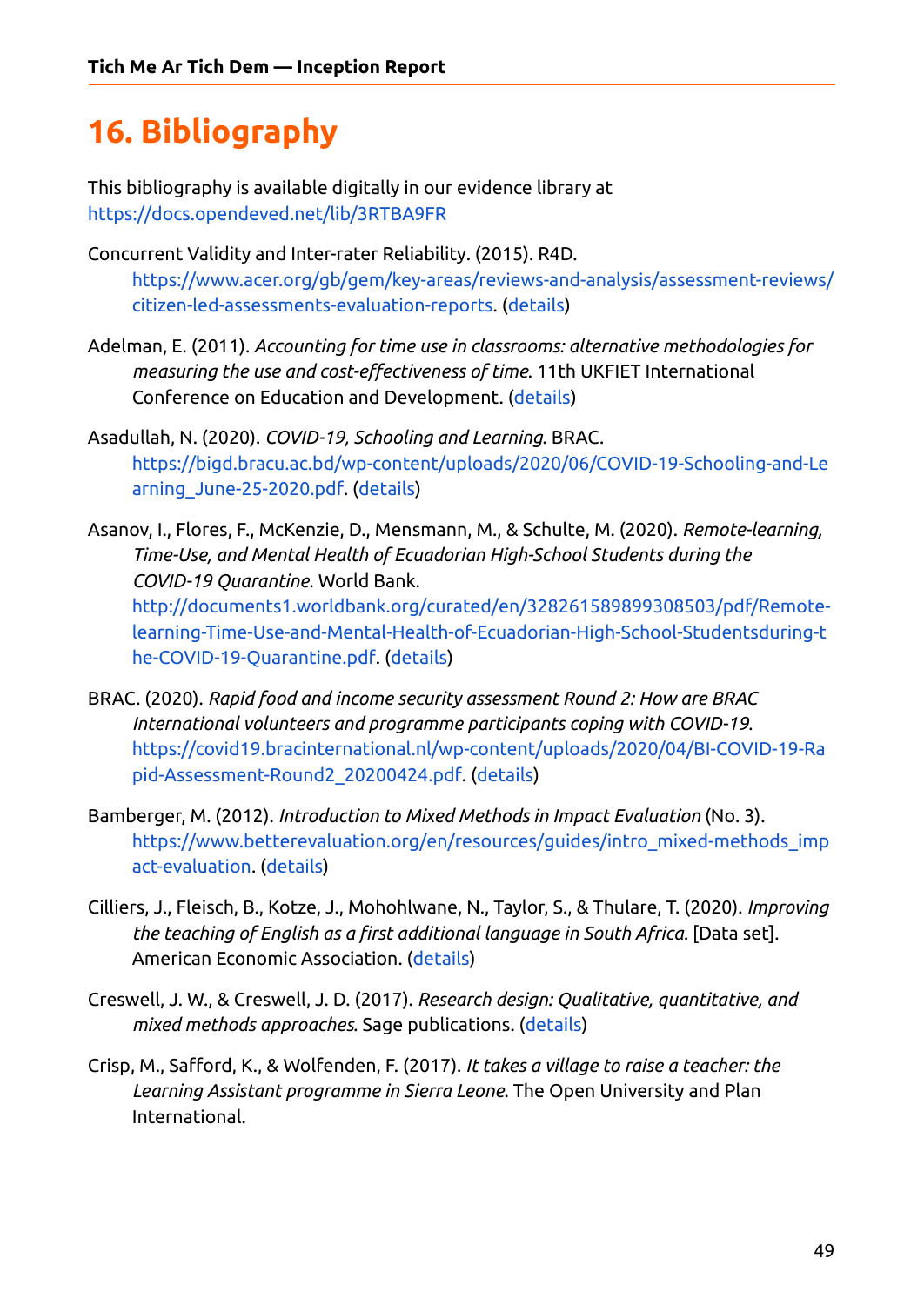# <span id="page-48-0"></span>**16. Bibliography**

This bibliography is available digitally in our evidence library at <https://docs.opendeved.net/lib/3RTBA9FR>

- Concurrent Validity and Inter-rater Reliability. (2015). R4D. [https://www.acer.org/gb/gem/key-areas/reviews-and-analysis/assessment-reviews/](https://www.acer.org/gb/gem/key-areas/reviews-and-analysis/assessment-reviews/citizen-led-assessments-evaluation-reports) [citizen-led-assessments-evaluation-reports](https://www.acer.org/gb/gem/key-areas/reviews-and-analysis/assessment-reviews/citizen-led-assessments-evaluation-reports). ([details](https://ref.opendeved.net/zo/zg/2129771/7/SCAL75HT/NA?src=2129771:3RTBA9FR))
- Adelman, E. (2011). *Accounting for time use in classrooms: alternative methodologies for measuring the use and cost-effectiveness of time*. 11th UKFIET International Conference on Education and Development. ([details](https://ref.opendeved.net/zo/zg/2129771/7/9LXEUU2G/NA?src=2129771:3RTBA9FR))
- Asadullah, N. (2020). *COVID-19, Schooling and Learning*. BRAC. [https://bigd.bracu.ac.bd/wp-content/uploads/2020/06/COVID-19-Schooling-and-Le](https://bigd.bracu.ac.bd/wp-content/uploads/2020/06/COVID-19-Schooling-and-Learning_June-25-2020.pdf) [arning\\_June-25-2020.pdf.](https://bigd.bracu.ac.bd/wp-content/uploads/2020/06/COVID-19-Schooling-and-Learning_June-25-2020.pdf) [\(details\)](https://ref.opendeved.net/zo/zg/2129771/7/DL2YWCN7/NA?src=2129771:3RTBA9FR)
- Asanov, I., Flores, F., McKenzie, D., Mensmann, M., & Schulte, M. (2020). *Remote-learning, Time-Use, and Mental Health of Ecuadorian High-School Students during the COVID-19 Quarantine*. World Bank.

[http://documents1.worldbank.org/curated/en/328261589899308503/pdf/Remote](http://documents1.worldbank.org/curated/en/328261589899308503/pdf/Remote-learning-Time-Use-and-Mental-Health-of-Ecuadorian-High-School-Studentsduring-the-COVID-19-Quarantine.pdf)[learning-Time-Use-and-Mental-Health-of-Ecuadorian-High-School-Studentsduring-t](http://documents1.worldbank.org/curated/en/328261589899308503/pdf/Remote-learning-Time-Use-and-Mental-Health-of-Ecuadorian-High-School-Studentsduring-the-COVID-19-Quarantine.pdf) [he-COVID-19-Quarantine.pdf](http://documents1.worldbank.org/curated/en/328261589899308503/pdf/Remote-learning-Time-Use-and-Mental-Health-of-Ecuadorian-High-School-Studentsduring-the-COVID-19-Quarantine.pdf). [\(details\)](https://ref.opendeved.net/zo/zg/2129771/7/SZ37A924/NA?src=2129771:3RTBA9FR)

- BRAC. (2020). *Rapid food and income security assessment Round 2: How are BRAC International volunteers and programme participants coping with COVID-19*. [https://covid19.bracinternational.nl/wp-content/uploads/2020/04/BI-COVID-19-Ra](https://covid19.bracinternational.nl/wp-content/uploads/2020/04/BI-COVID-19-Rapid-Assessment-Round2_20200424.pdf) [pid-Assessment-Round2\\_20200424.pdf](https://covid19.bracinternational.nl/wp-content/uploads/2020/04/BI-COVID-19-Rapid-Assessment-Round2_20200424.pdf). ([details](https://ref.opendeved.net/zo/zg/2129771/7/DQK5I79P/NA?src=2129771:3RTBA9FR))
- Bamberger, M. (2012). *Introduction to Mixed Methods in Impact Evaluation* (No. 3). [https://www.betterevaluation.org/en/resources/guides/intro\\_mixed-methods\\_imp](https://www.betterevaluation.org/en/resources/guides/intro_mixed-methods_impact-evaluation) [act-evaluation](https://www.betterevaluation.org/en/resources/guides/intro_mixed-methods_impact-evaluation). ([details](https://ref.opendeved.net/zo/zg/2129771/7/47GR9E3C/NA?src=2129771:3RTBA9FR))
- Cilliers, J., Fleisch, B., Kotze, J., Mohohlwane, N., Taylor, S., & Thulare, T. (2020). *Improving the teaching of English as a first additional language in South Africa.* [Data set]. American Economic Association. [\(details\)](https://ref.opendeved.net/zo/zg/2129771/7/8M4KYKZ8/NA?src=2129771:3RTBA9FR)
- Creswell, J. W., & Creswell, J. D. (2017). *Research design: Qualitative, quantitative, and mixed methods approaches*. Sage publications. ([details](https://ref.opendeved.net/zo/zg/2129771/7/EJPU329W/NA?src=2129771:3RTBA9FR))
- Crisp, M., Safford, K., & Wolfenden, F. (2017). *It takes a village to raise a teacher: the Learning Assistant programme in Sierra Leone*. The Open University and Plan International.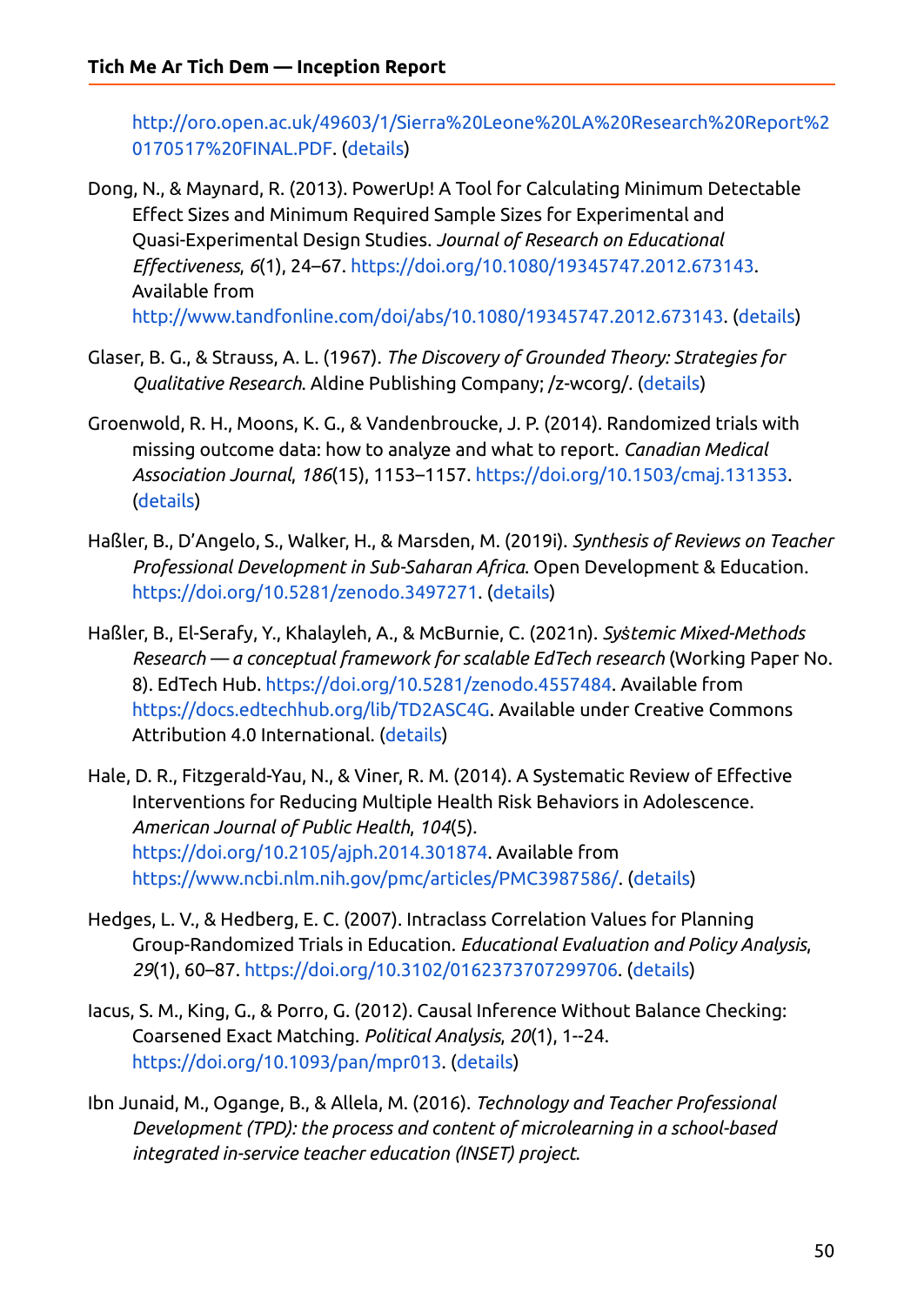[http://oro.open.ac.uk/49603/1/Sierra%20Leone%20LA%20Research%20Report%2](http://oro.open.ac.uk/49603/1/Sierra%20Leone%20LA%20Research%20Report%20170517%20FINAL.PDF) [0170517%20FINAL.PDF.](http://oro.open.ac.uk/49603/1/Sierra%20Leone%20LA%20Research%20Report%20170517%20FINAL.PDF) [\(details\)](https://ref.opendeved.net/zo/zg/2129771/7/4ZWNMP4P/NA?src=2129771:3RTBA9FR)

Dong, N., & Maynard, R. (2013). PowerUp! A Tool for Calculating Minimum Detectable Effect Sizes and Minimum Required Sample Sizes for Experimental and Quasi-Experimental Design Studies. *Journal of Research on Educational Effectiveness*, *6*(1), 24–67. [https://doi.org/10.1080/19345747.2012.673143.](https://doi.org/10.1080/19345747.2012.673143) Available from [http://www.tandfonline.com/doi/abs/10.1080/19345747.2012.673143.](http://www.tandfonline.com/doi/abs/10.1080/19345747.2012.673143) [\(details\)](https://ref.opendeved.net/zo/zg/2129771/7/D6B2YWIC/NA?src=2129771:3RTBA9FR)

- Glaser, B. G., & Strauss, A. L. (1967). *The Discovery of Grounded Theory: Strategies for Qualitative Research*. Aldine Publishing Company; /z-wcorg/. [\(details\)](https://ref.opendeved.net/zo/zg/2129771/7/V92QNPMR/NA?src=2129771:3RTBA9FR)
- Groenwold, R. H., Moons, K. G., & Vandenbroucke, J. P. (2014). Randomized trials with missing outcome data: how to analyze and what to report. *Canadian Medical Association Journal*, *186*(15), 1153–1157. <https://doi.org/10.1503/cmaj.131353>. [\(details\)](https://ref.opendeved.net/zo/zg/2129771/7/J5YNSL5W/NA?src=2129771:3RTBA9FR)
- Haßler, B., D'Angelo, S., Walker, H., & Marsden, M. (2019i). *Synthesis of Reviews on Teacher Professional Development in Sub-Saharan Africa*. Open Development & Education. <https://doi.org/10.5281/zenodo.3497271>. [\(details\)](https://ref.opendeved.net/zo/zg/2129771/7/SC8FTPC4/NA?src=2129771:3RTBA9FR)
- Haßler, B., El-Serafy, Y., Khalayleh, A., & McBurnie, C. (2021n). *Syṡtemic Mixed-Methods Research — a conceptual framework for scalable EdTech research* (Working Paper No. 8). EdTech Hub. [https://doi.org/10.5281/zenodo.4557484.](https://doi.org/10.5281/zenodo.4557484) Available from [https://docs.edtechhub.org/lib/TD2ASC4G.](https://docs.edtechhub.org/lib/TD2ASC4G) Available under Creative Commons Attribution 4.0 International. ([details](https://ref.opendeved.net/zo/zg/2129771/7/HT9D5C8E/NA?src=2129771:3RTBA9FR))
- Hale, D. R., Fitzgerald-Yau, N., & Viner, R. M. (2014). A Systematic Review of Effective Interventions for Reducing Multiple Health Risk Behaviors in Adolescence. *American Journal of Public Health*, *104*(5). [https://doi.org/10.2105/ajph.2014.301874.](https://doi.org/10.2105/ajph.2014.301874) Available from <https://www.ncbi.nlm.nih.gov/pmc/articles/PMC3987586/>. ([details](https://ref.opendeved.net/zo/zg/2129771/7/LGNT6S8W/NA?src=2129771:3RTBA9FR))
- Hedges, L. V., & Hedberg, E. C. (2007). Intraclass Correlation Values for Planning Group-Randomized Trials in Education. *Educational Evaluation and Policy Analysis*, *29*(1), 60–87. [https://doi.org/10.3102/0162373707299706.](https://doi.org/10.3102/0162373707299706) [\(details\)](https://ref.opendeved.net/zo/zg/2129771/7/F8TWE7SI/NA?src=2129771:3RTBA9FR)
- Iacus, S. M., King, G., & Porro, G. (2012). Causal Inference Without Balance Checking: Coarsened Exact Matching. *Political Analysis*, *20*(1), 1--24. <https://doi.org/10.1093/pan/mpr013>. ([details](https://ref.opendeved.net/zo/zg/2129771/7/QSHBGGL8/NA?src=2129771:3RTBA9FR))
- Ibn Junaid, M., Ogange, B., & Allela, M. (2016). *Technology and Teacher Professional Development (TPD): the process and content of microlearning in a school-based integrated in-service teacher education (INSET) project*.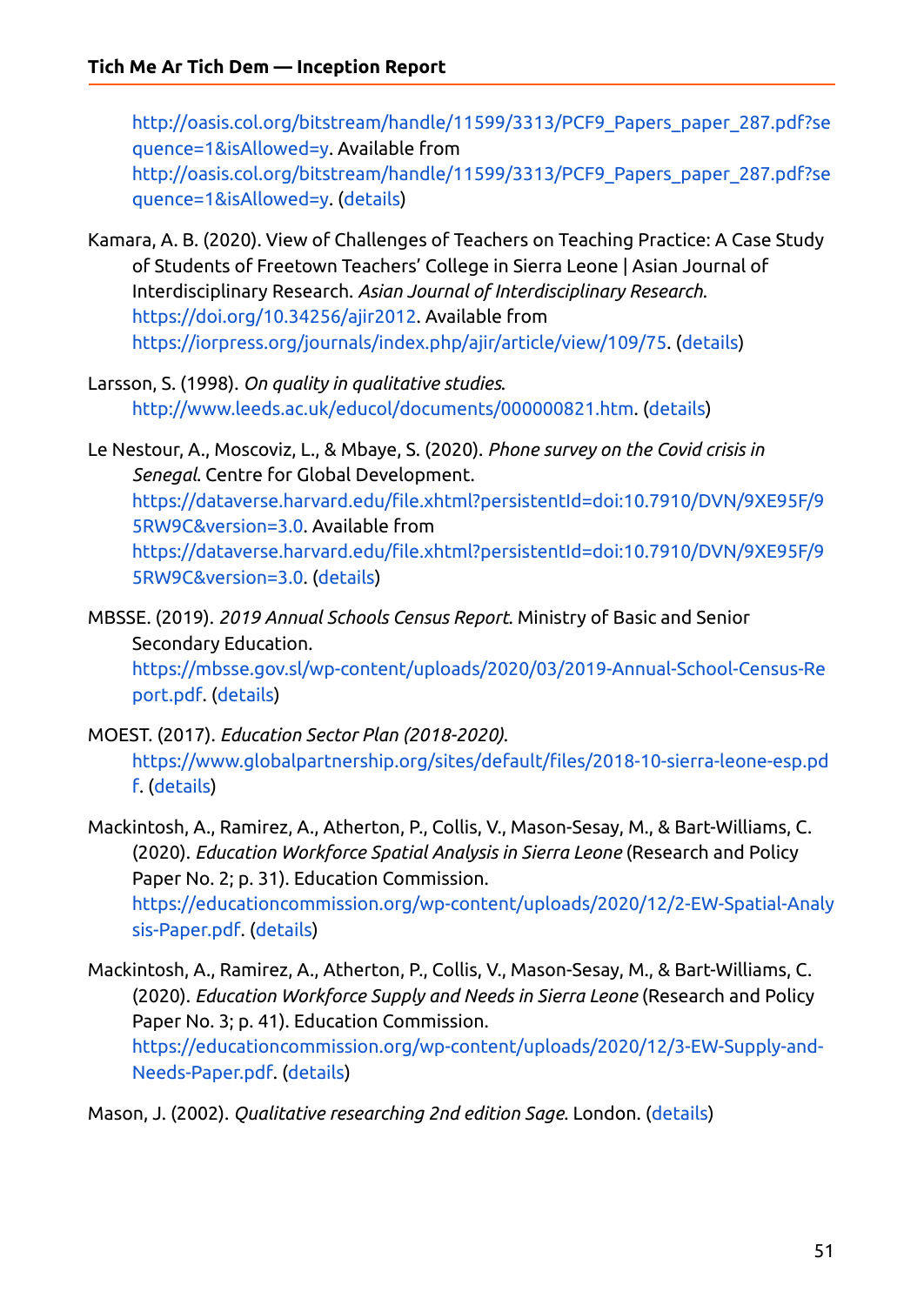[http://oasis.col.org/bitstream/handle/11599/3313/PCF9\\_Papers\\_paper\\_287.pdf?se](http://oasis.col.org/bitstream/handle/11599/3313/PCF9_Papers_paper_287.pdf?sequence=1&isAllowed=y) [quence=1&isAllowed=y](http://oasis.col.org/bitstream/handle/11599/3313/PCF9_Papers_paper_287.pdf?sequence=1&isAllowed=y). Available from [http://oasis.col.org/bitstream/handle/11599/3313/PCF9\\_Papers\\_paper\\_287.pdf?se](http://oasis.col.org/bitstream/handle/11599/3313/PCF9_Papers_paper_287.pdf?sequence=1&isAllowed=y) [quence=1&isAllowed=y](http://oasis.col.org/bitstream/handle/11599/3313/PCF9_Papers_paper_287.pdf?sequence=1&isAllowed=y). ([details](https://ref.opendeved.net/zo/zg/2129771/7/AGCBZMKU/NA?src=2129771:3RTBA9FR))

- Kamara, A. B. (2020). View of Challenges of Teachers on Teaching Practice: A Case Study of Students of Freetown Teachers' College in Sierra Leone | Asian Journal of Interdisciplinary Research. *Asian Journal of Interdisciplinary Research*. [https://doi.org/10.34256/ajir2012.](https://doi.org/10.34256/ajir2012) Available from <https://iorpress.org/journals/index.php/ajir/article/view/109/75>. ([details](https://ref.opendeved.net/zo/zg/2129771/7/2SLNN2ZL/NA?src=2129771:3RTBA9FR))
- Larsson, S. (1998). *On quality in qualitative studies*. <http://www.leeds.ac.uk/educol/documents/000000821.htm>. ([details](https://ref.opendeved.net/zo/zg/2129771/7/I58LVFZB/NA?src=2129771:3RTBA9FR))
- Le Nestour, A., Moscoviz, L., & Mbaye, S. (2020). *Phone survey on the Covid crisis in Senegal*. Centre for Global Development. [https://dataverse.harvard.edu/file.xhtml?persistentId=doi:10.7910/DVN/9XE95F/9](https://dataverse.harvard.edu/file.xhtml?persistentId=doi:10.7910/DVN/9XE95F/95RW9C&version=3.0) [5RW9C&version=3.0.](https://dataverse.harvard.edu/file.xhtml?persistentId=doi:10.7910/DVN/9XE95F/95RW9C&version=3.0) Available from [https://dataverse.harvard.edu/file.xhtml?persistentId=doi:10.7910/DVN/9XE95F/9](https://dataverse.harvard.edu/file.xhtml?persistentId=doi:10.7910/DVN/9XE95F/95RW9C&version=3.0) [5RW9C&version=3.0.](https://dataverse.harvard.edu/file.xhtml?persistentId=doi:10.7910/DVN/9XE95F/95RW9C&version=3.0) [\(details\)](https://ref.opendeved.net/zo/zg/2129771/7/EC2R6KUT/NA?src=2129771:3RTBA9FR)

MBSSE. (2019). *2019 Annual Schools Census Report*. Ministry of Basic and Senior Secondary Education. [https://mbsse.gov.sl/wp-content/uploads/2020/03/2019-Annual-School-Census-Re](https://mbsse.gov.sl/wp-content/uploads/2020/03/2019-Annual-School-Census-Report.pdf) [port.pdf.](https://mbsse.gov.sl/wp-content/uploads/2020/03/2019-Annual-School-Census-Report.pdf) [\(details\)](https://ref.opendeved.net/zo/zg/2129771/7/XBP2R2XI/NA?src=2129771:3RTBA9FR)

MOEST. (2017). *Education Sector Plan (2018-2020)*. [https://www.globalpartnership.org/sites/default/files/2018-10-sierra-leone-esp.pd](https://www.globalpartnership.org/sites/default/files/2018-10-sierra-leone-esp.pdf) [f.](https://www.globalpartnership.org/sites/default/files/2018-10-sierra-leone-esp.pdf) [\(details\)](https://ref.opendeved.net/zo/zg/2129771/7/L3KM6UKJ/NA?src=2129771:3RTBA9FR)

- Mackintosh, A., Ramirez, A., Atherton, P., Collis, V., Mason-Sesay, M., & Bart-Williams, C. (2020). *Education Workforce Spatial Analysis in Sierra Leone* (Research and Policy Paper No. 2; p. 31). Education Commission. [https://educationcommission.org/wp-content/uploads/2020/12/2-EW-Spatial-Analy](https://educationcommission.org/wp-content/uploads/2020/12/2-EW-Spatial-Analysis-Paper.pdf) [sis-Paper.pdf](https://educationcommission.org/wp-content/uploads/2020/12/2-EW-Spatial-Analysis-Paper.pdf). ([details](https://ref.opendeved.net/zo/zg/2129771/7/KY2Y4AEB/NA?src=2129771:3RTBA9FR))
- Mackintosh, A., Ramirez, A., Atherton, P., Collis, V., Mason-Sesay, M., & Bart-Williams, C. (2020). *Education Workforce Supply and Needs in Sierra Leone* (Research and Policy Paper No. 3; p. 41). Education Commission. [https://educationcommission.org/wp-content/uploads/2020/12/3-EW-Supply-and-](https://educationcommission.org/wp-content/uploads/2020/12/3-EW-Supply-and-Needs-Paper.pdf)[Needs-Paper.pdf](https://educationcommission.org/wp-content/uploads/2020/12/3-EW-Supply-and-Needs-Paper.pdf). ([details](https://ref.opendeved.net/zo/zg/2129771/7/NVEG4QQ7/NA?src=2129771:3RTBA9FR))

Mason, J. (2002). *Qualitative researching 2nd edition Sage*. London. [\(details\)](https://ref.opendeved.net/zo/zg/2129771/7/S3AYR6UI/NA?src=2129771:3RTBA9FR)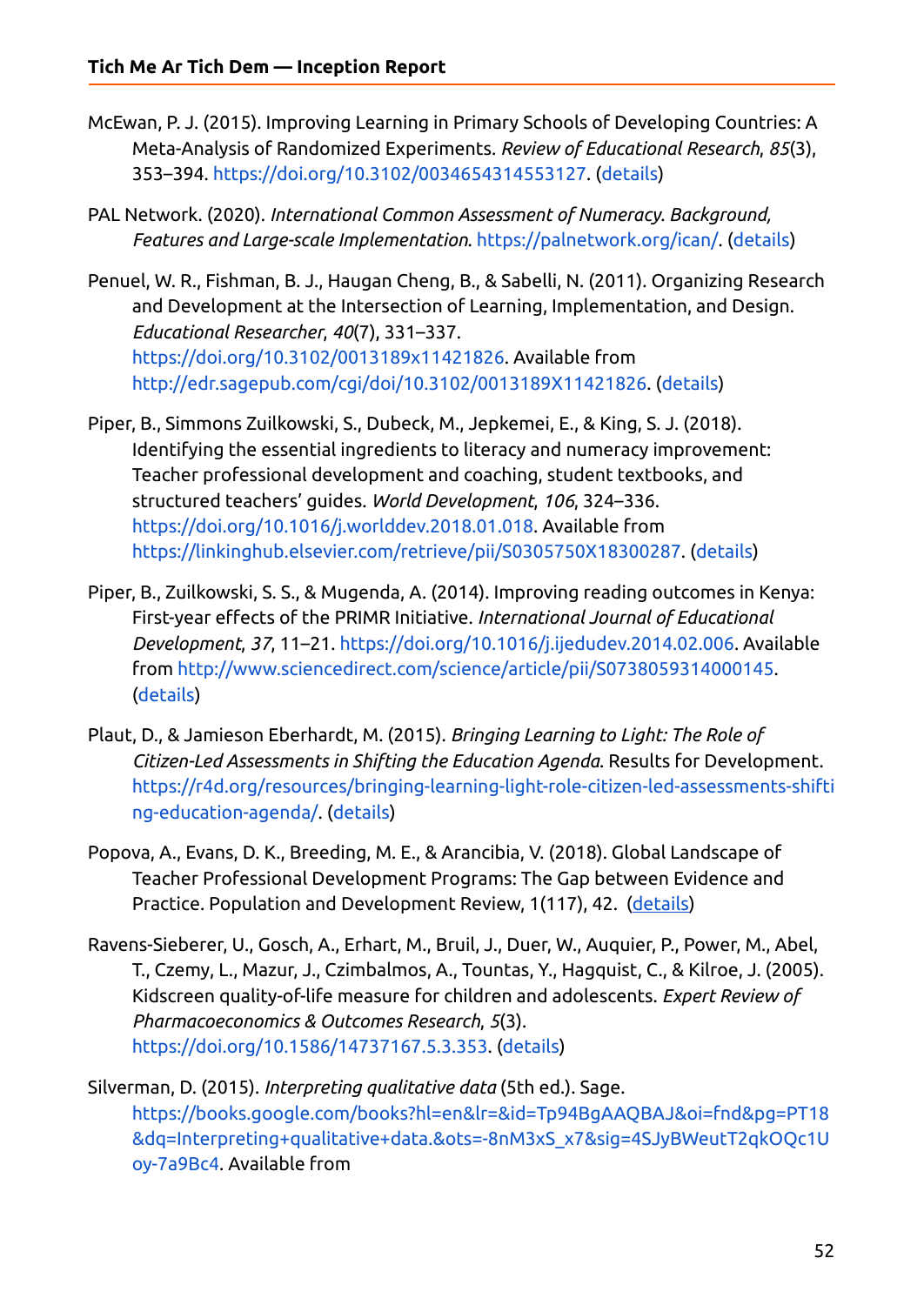- McEwan, P. J. (2015). Improving Learning in Primary Schools of Developing Countries: A Meta-Analysis of Randomized Experiments. *Review of Educational Research*, *85*(3), 353–394. <https://doi.org/10.3102/0034654314553127>. [\(details\)](https://ref.opendeved.net/zo/zg/2129771/7/8IGI2G66/NA?src=2129771:3RTBA9FR)
- PAL Network. (2020). *International Common Assessment of Numeracy. Background, Features and Large-scale Implementation*. <https://palnetwork.org/ican/>. [\(details\)](https://ref.opendeved.net/zo/zg/2129771/7/3K8HUV3T/NA?src=2129771:3RTBA9FR)
- Penuel, W. R., Fishman, B. J., Haugan Cheng, B., & Sabelli, N. (2011). Organizing Research and Development at the Intersection of Learning, Implementation, and Design. *Educational Researcher*, *40*(7), 331–337. <https://doi.org/10.3102/0013189x11421826>. Available from <http://edr.sagepub.com/cgi/doi/10.3102/0013189X11421826>. ([details](https://ref.opendeved.net/zo/zg/2129771/7/9MT6Q4IT/NA?src=2129771:3RTBA9FR))
- Piper, B., Simmons Zuilkowski, S., Dubeck, M., Jepkemei, E., & King, S. J. (2018). Identifying the essential ingredients to literacy and numeracy improvement: Teacher professional development and coaching, student textbooks, and structured teachers' guides. *World Development*, *106*, 324–336. <https://doi.org/10.1016/j.worlddev.2018.01.018>. Available from <https://linkinghub.elsevier.com/retrieve/pii/S0305750X18300287>. [\(details\)](https://ref.opendeved.net/zo/zg/2129771/7/3IIW96ZB/NA?src=2129771:3RTBA9FR)
- Piper, B., Zuilkowski, S. S., & Mugenda, A. (2014). Improving reading outcomes in Kenya: First-year effects of the PRIMR Initiative. *International Journal of Educational Development*, *37*, 11–21. [https://doi.org/10.1016/j.ijedudev.2014.02.006.](https://doi.org/10.1016/j.ijedudev.2014.02.006) Available from <http://www.sciencedirect.com/science/article/pii/S0738059314000145>. [\(details\)](https://ref.opendeved.net/zo/zg/2129771/7/XJR35PXI/NA?src=2129771:3RTBA9FR)
- Plaut, D., & Jamieson Eberhardt, M. (2015). *Bringing Learning to Light: The Role of Citizen-Led Assessments in Shifting the Education Agenda*. Results for Development. [https://r4d.org/resources/bringing-learning-light-role-citizen-led-assessments-shifti](https://r4d.org/resources/bringing-learning-light-role-citizen-led-assessments-shifting-education-agenda/) [ng-education-agenda/](https://r4d.org/resources/bringing-learning-light-role-citizen-led-assessments-shifting-education-agenda/). ([details](https://ref.opendeved.net/zo/zg/2129771/7/7XH66MAB/NA?src=2129771:3RTBA9FR))
- Popova, A., Evans, D. K., Breeding, M. E., & Arancibia, V. (2018). Global Landscape of Teacher Professional Development Programs: The Gap between Evidence and Practice. Population and Development Review, 1(117), 42. [\(details\)](https://ref.opendeved.net/zo/zg/2129771/7/LJZMNXHB/NA?src=2129771:3RTBA9FR)
- Ravens-Sieberer, U., Gosch, A., Erhart, M., Bruil, J., Duer, W., Auquier, P., Power, M., Abel, T., Czemy, L., Mazur, J., Czimbalmos, A., Tountas, Y., Hagquist, C., & Kilroe, J. (2005). Kidscreen quality-of-life measure for children and adolescents. *Expert Review of Pharmacoeconomics & Outcomes Research*, *5*(3). [https://doi.org/10.1586/14737167.5.3.353.](https://doi.org/10.1586/14737167.5.3.353) [\(details\)](https://ref.opendeved.net/zo/zg/2129771/7/AIRB5JEP/NA?src=2129771:3RTBA9FR)
- Silverman, D. (2015). *Interpreting qualitative data* (5th ed.). Sage. [https://books.google.com/books?hl=en&lr=&id=Tp94BgAAQBAJ&oi=fnd&pg=PT18](https://books.google.com/books?hl=en&lr=&id=Tp94BgAAQBAJ&oi=fnd&pg=PT18&dq=Interpreting+qualitative+data.&ots=-8nM3xS_x7&sig=4SJyBWeutT2qkOQc1Uoy-7a9Bc4) [&dq=Interpreting+qualitative+data.&ots=-8nM3xS\\_x7&sig=4SJyBWeutT2qkOQc1U](https://books.google.com/books?hl=en&lr=&id=Tp94BgAAQBAJ&oi=fnd&pg=PT18&dq=Interpreting+qualitative+data.&ots=-8nM3xS_x7&sig=4SJyBWeutT2qkOQc1Uoy-7a9Bc4) [oy-7a9Bc4.](https://books.google.com/books?hl=en&lr=&id=Tp94BgAAQBAJ&oi=fnd&pg=PT18&dq=Interpreting+qualitative+data.&ots=-8nM3xS_x7&sig=4SJyBWeutT2qkOQc1Uoy-7a9Bc4) Available from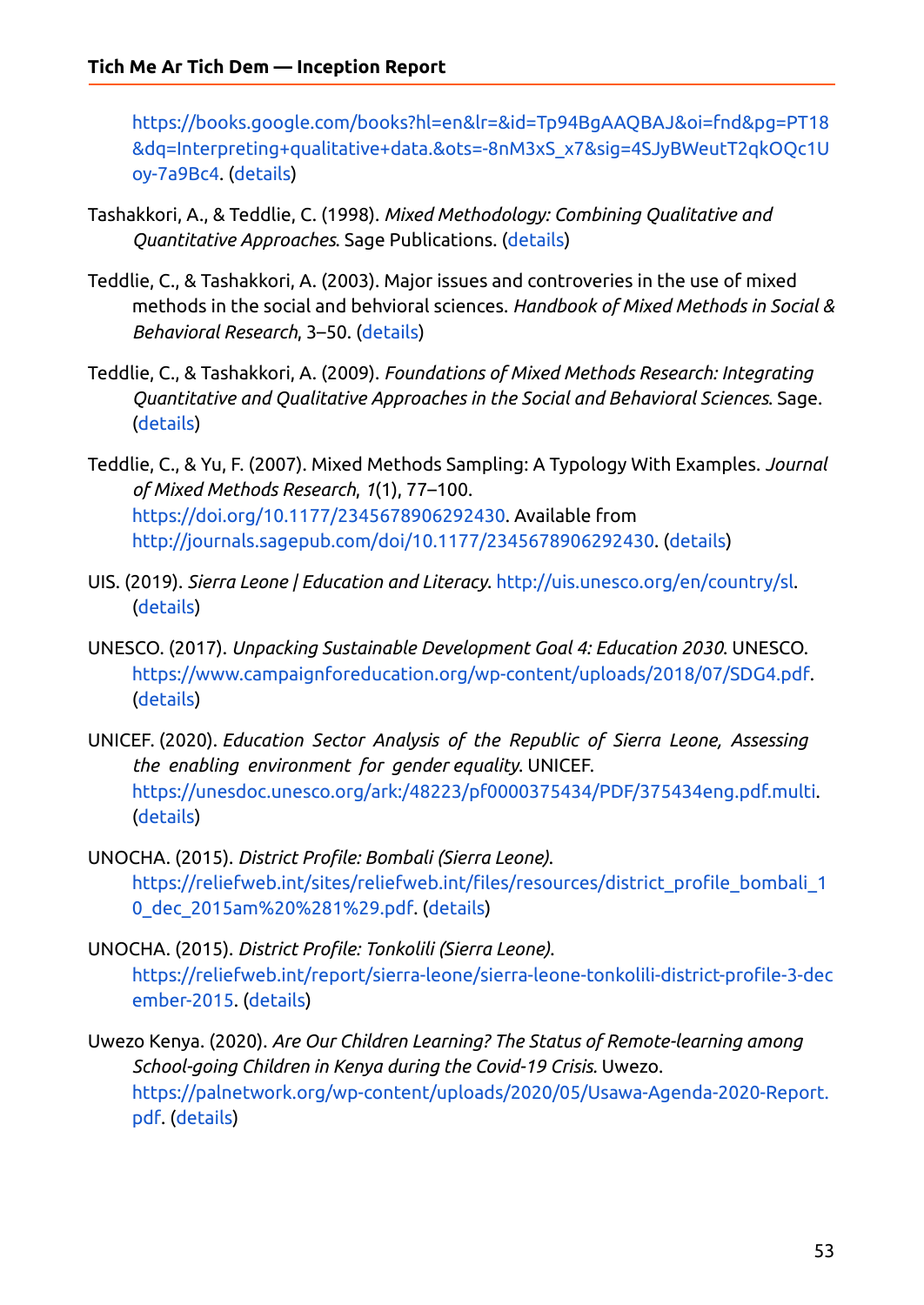[https://books.google.com/books?hl=en&lr=&id=Tp94BgAAQBAJ&oi=fnd&pg=PT18](https://books.google.com/books?hl=en&lr=&id=Tp94BgAAQBAJ&oi=fnd&pg=PT18&dq=Interpreting+qualitative+data.&ots=-8nM3xS_x7&sig=4SJyBWeutT2qkOQc1Uoy-7a9Bc4) [&dq=Interpreting+qualitative+data.&ots=-8nM3xS\\_x7&sig=4SJyBWeutT2qkOQc1U](https://books.google.com/books?hl=en&lr=&id=Tp94BgAAQBAJ&oi=fnd&pg=PT18&dq=Interpreting+qualitative+data.&ots=-8nM3xS_x7&sig=4SJyBWeutT2qkOQc1Uoy-7a9Bc4) [oy-7a9Bc4.](https://books.google.com/books?hl=en&lr=&id=Tp94BgAAQBAJ&oi=fnd&pg=PT18&dq=Interpreting+qualitative+data.&ots=-8nM3xS_x7&sig=4SJyBWeutT2qkOQc1Uoy-7a9Bc4) [\(details\)](https://ref.opendeved.net/zo/zg/2129771/7/FDLAJLIG/NA?src=2129771:3RTBA9FR)

- Tashakkori, A., & Teddlie, C. (1998). *Mixed Methodology: Combining Qualitative and Quantitative Approaches*. Sage Publications. ([details](https://ref.opendeved.net/zo/zg/2129771/7/DYMUFPI7/NA?src=2129771:3RTBA9FR))
- Teddlie, C., & Tashakkori, A. (2003). Major issues and controveries in the use of mixed methods in the social and behvioral sciences. *Handbook of Mixed Methods in Social & Behavioral Research*, 3–50. ([details](https://ref.opendeved.net/zo/zg/2129771/7/42PBFYSZ/NA?src=2129771:3RTBA9FR))
- Teddlie, C., & Tashakkori, A. (2009). *Foundations of Mixed Methods Research: Integrating Quantitative and Qualitative Approaches in the Social and Behavioral Sciences*. Sage. [\(details\)](https://ref.opendeved.net/zo/zg/2129771/7/WW5RDP97/NA?src=2129771:3RTBA9FR)
- Teddlie, C., & Yu, F. (2007). Mixed Methods Sampling: A Typology With Examples. *Journal of Mixed Methods Research*, *1*(1), 77–100. <https://doi.org/10.1177/2345678906292430>. Available from <http://journals.sagepub.com/doi/10.1177/2345678906292430>. ([details](https://ref.opendeved.net/zo/zg/2129771/7/WGBILE5I/NA?src=2129771:3RTBA9FR))
- UIS. (2019). *Sierra Leone | Education and Literacy*. <http://uis.unesco.org/en/country/sl>. [\(details\)](https://ref.opendeved.net/zo/zg/2129771/7/745JE8XZ/NA?src=2129771:3RTBA9FR)
- UNESCO. (2017). *Unpacking Sustainable Development Goal 4: Education 2030*. UNESCO. [https://www.campaignforeducation.org/wp-content/uploads/2018/07/SDG4.pdf.](https://www.campaignforeducation.org/wp-content/uploads/2018/07/SDG4.pdf) [\(details\)](https://ref.opendeved.net/zo/zg/2129771/7/922GAFMZ/NA?src=2129771:3RTBA9FR)
- UNICEF. (2020). *Education Sector Analysis of the Republic of Sierra Leone, Assessing the enabling environment for gender equality*. UNICEF. <https://unesdoc.unesco.org/ark:/48223/pf0000375434/PDF/375434eng.pdf.multi>. [\(details\)](https://ref.opendeved.net/zo/zg/2129771/7/F3TVHD2G/NA?src=2129771:3RTBA9FR)
- UNOCHA. (2015). *District Profile: Bombali (Sierra Leone)*. [https://reliefweb.int/sites/reliefweb.int/files/resources/district\\_profile\\_bombali\\_1](https://reliefweb.int/sites/reliefweb.int/files/resources/district_profile_bombali_10_dec_2015am%20%281%29.pdf) [0\\_dec\\_2015am%20%281%29.pdf.](https://reliefweb.int/sites/reliefweb.int/files/resources/district_profile_bombali_10_dec_2015am%20%281%29.pdf) [\(details\)](https://ref.opendeved.net/zo/zg/2129771/7/AIKESIRX/NA?src=2129771:3RTBA9FR)
- UNOCHA. (2015). *District Profile: Tonkolili (Sierra Leone)*. [https://reliefweb.int/report/sierra-leone/sierra-leone-tonkolili-district-profile-3-dec](https://reliefweb.int/report/sierra-leone/sierra-leone-tonkolili-district-profile-3-december-2015) [ember-2015.](https://reliefweb.int/report/sierra-leone/sierra-leone-tonkolili-district-profile-3-december-2015) ([details](https://ref.opendeved.net/zo/zg/2129771/7/B9W6JXTW/NA?src=2129771:3RTBA9FR))
- Uwezo Kenya. (2020). *Are Our Children Learning? The Status of Remote-learning among School-going Children in Kenya during the Covid-19 Crisis.* Uwezo. [https://palnetwork.org/wp-content/uploads/2020/05/Usawa-Agenda-2020-Report.](https://palnetwork.org/wp-content/uploads/2020/05/Usawa-Agenda-2020-Report.pdf) [pdf.](https://palnetwork.org/wp-content/uploads/2020/05/Usawa-Agenda-2020-Report.pdf) ([details](https://ref.opendeved.net/zo/zg/2129771/7/LRBK4LWS/NA?src=2129771:3RTBA9FR))